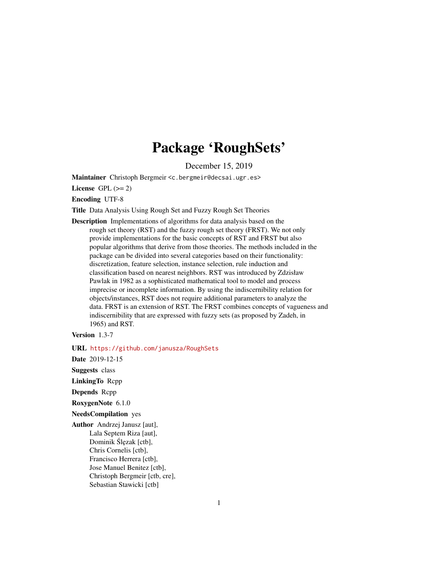# Package 'RoughSets'

December 15, 2019

Maintainer Christoph Bergmeir <c.bergmeir@decsai.ugr.es>

License GPL  $(>= 2)$ 

Encoding UTF-8

Title Data Analysis Using Rough Set and Fuzzy Rough Set Theories

Description Implementations of algorithms for data analysis based on the rough set theory (RST) and the fuzzy rough set theory (FRST). We not only provide implementations for the basic concepts of RST and FRST but also popular algorithms that derive from those theories. The methods included in the package can be divided into several categories based on their functionality: discretization, feature selection, instance selection, rule induction and classification based on nearest neighbors. RST was introduced by Zdzisław Pawlak in 1982 as a sophisticated mathematical tool to model and process imprecise or incomplete information. By using the indiscernibility relation for objects/instances, RST does not require additional parameters to analyze the data. FRST is an extension of RST. The FRST combines concepts of vagueness and indiscernibility that are expressed with fuzzy sets (as proposed by Zadeh, in 1965) and RST.

Version 1.3-7

URL <https://github.com/janusza/RoughSets>

Date 2019-12-15

Suggests class

LinkingTo Rcpp

Depends Rcpp

RoxygenNote 6.1.0

NeedsCompilation yes

Author Andrzej Janusz [aut], Lala Septem Riza [aut], Dominik Ślęzak [ctb], Chris Cornelis [ctb], Francisco Herrera [ctb], Jose Manuel Benitez [ctb], Christoph Bergmeir [ctb, cre], Sebastian Stawicki [ctb]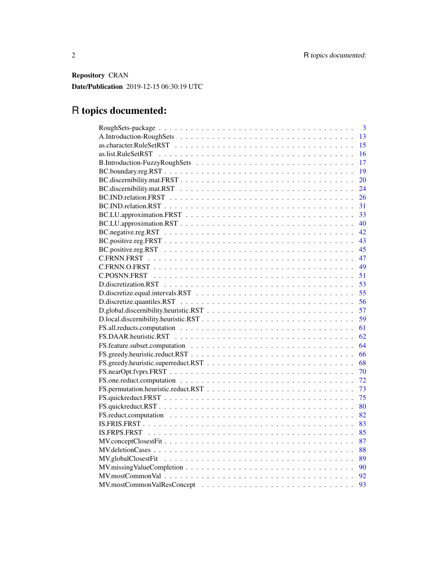Repository CRAN Date/Publication 2019-12-15 06:30:19 UTC

# R topics documented:

| 3  |
|----|
| 13 |
| 15 |
| 16 |
| 17 |
| 19 |
| 20 |
| 24 |
| 26 |
| 31 |
| 33 |
| 40 |
| 42 |
| 43 |
| 45 |
| 47 |
| 49 |
| 51 |
| 53 |
| 55 |
| 56 |
| 57 |
| 59 |
| 61 |
| 62 |
| 64 |
| 66 |
| 68 |
| 70 |
| 72 |
| 73 |
| 75 |
| 80 |
| 82 |
| 83 |
| 85 |
| 87 |
| 88 |
| 89 |
| 90 |
| 92 |
| 93 |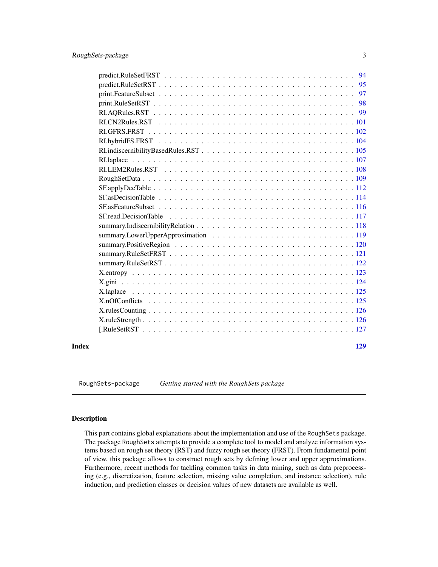<span id="page-2-0"></span>

|       | $predict.RuleSetFRST           94$                                                                                  |     |
|-------|---------------------------------------------------------------------------------------------------------------------|-----|
|       |                                                                                                                     |     |
|       |                                                                                                                     | 97  |
|       |                                                                                                                     |     |
|       |                                                                                                                     |     |
|       |                                                                                                                     |     |
|       |                                                                                                                     |     |
|       |                                                                                                                     |     |
|       |                                                                                                                     |     |
|       |                                                                                                                     |     |
|       |                                                                                                                     |     |
|       |                                                                                                                     |     |
|       | $SF. apply DecTable \ldots \ldots \ldots \ldots \ldots \ldots \ldots \ldots \ldots \ldots \ldots \ldots \ldots 112$ |     |
|       |                                                                                                                     |     |
|       |                                                                                                                     |     |
|       |                                                                                                                     |     |
|       |                                                                                                                     |     |
|       |                                                                                                                     |     |
|       |                                                                                                                     |     |
|       |                                                                                                                     |     |
|       |                                                                                                                     |     |
|       |                                                                                                                     |     |
|       |                                                                                                                     |     |
|       | X.laplace                                                                                                           |     |
|       |                                                                                                                     |     |
|       |                                                                                                                     |     |
|       |                                                                                                                     |     |
|       |                                                                                                                     |     |
|       |                                                                                                                     |     |
| Index |                                                                                                                     | 129 |

RoughSets-package *Getting started with the RoughSets package*

# Description

This part contains global explanations about the implementation and use of the RoughSets package. The package RoughSets attempts to provide a complete tool to model and analyze information systems based on rough set theory (RST) and fuzzy rough set theory (FRST). From fundamental point of view, this package allows to construct rough sets by defining lower and upper approximations. Furthermore, recent methods for tackling common tasks in data mining, such as data preprocessing (e.g., discretization, feature selection, missing value completion, and instance selection), rule induction, and prediction classes or decision values of new datasets are available as well.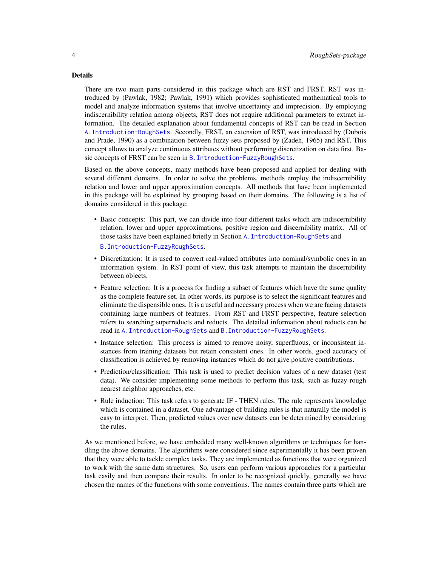#### Details

There are two main parts considered in this package which are RST and FRST. RST was introduced by (Pawlak, 1982; Pawlak, 1991) which provides sophisticated mathematical tools to model and analyze information systems that involve uncertainty and imprecision. By employing indiscernibility relation among objects, RST does not require additional parameters to extract information. The detailed explanation about fundamental concepts of RST can be read in Section [A.Introduction-RoughSets](#page-12-1). Secondly, FRST, an extension of RST, was introduced by (Dubois and Prade, 1990) as a combination between fuzzy sets proposed by (Zadeh, 1965) and RST. This concept allows to analyze continuous attributes without performing discretization on data first. Basic concepts of FRST can be seen in [B.Introduction-FuzzyRoughSets](#page-16-1).

Based on the above concepts, many methods have been proposed and applied for dealing with several different domains. In order to solve the problems, methods employ the indiscernibility relation and lower and upper approximation concepts. All methods that have been implemented in this package will be explained by grouping based on their domains. The following is a list of domains considered in this package:

- Basic concepts: This part, we can divide into four different tasks which are indiscernibility relation, lower and upper approximations, positive region and discernibility matrix. All of those tasks have been explained briefly in Section [A.Introduction-RoughSets](#page-12-1) and [B.Introduction-FuzzyRoughSets](#page-16-1).
- Discretization: It is used to convert real-valued attributes into nominal/symbolic ones in an information system. In RST point of view, this task attempts to maintain the discernibility between objects.
- Feature selection: It is a process for finding a subset of features which have the same quality as the complete feature set. In other words, its purpose is to select the significant features and eliminate the dispensible ones. It is a useful and necessary process when we are facing datasets containing large numbers of features. From RST and FRST perspective, feature selection refers to searching superreducts and reducts. The detailed information about reducts can be read in [A.Introduction-RoughSets](#page-12-1) and [B.Introduction-FuzzyRoughSets](#page-16-1).
- Instance selection: This process is aimed to remove noisy, superfluous, or inconsistent instances from training datasets but retain consistent ones. In other words, good accuracy of classification is achieved by removing instances which do not give positive contributions.
- Prediction/classification: This task is used to predict decision values of a new dataset (test data). We consider implementing some methods to perform this task, such as fuzzy-rough nearest neighbor approaches, etc.
- Rule induction: This task refers to generate IF THEN rules. The rule represents knowledge which is contained in a dataset. One advantage of building rules is that naturally the model is easy to interpret. Then, predicted values over new datasets can be determined by considering the rules.

As we mentioned before, we have embedded many well-known algorithms or techniques for handling the above domains. The algorithms were considered since experimentally it has been proven that they were able to tackle complex tasks. They are implemented as functions that were organized to work with the same data structures. So, users can perform various approaches for a particular task easily and then compare their results. In order to be recognized quickly, generally we have chosen the names of the functions with some conventions. The names contain three parts which are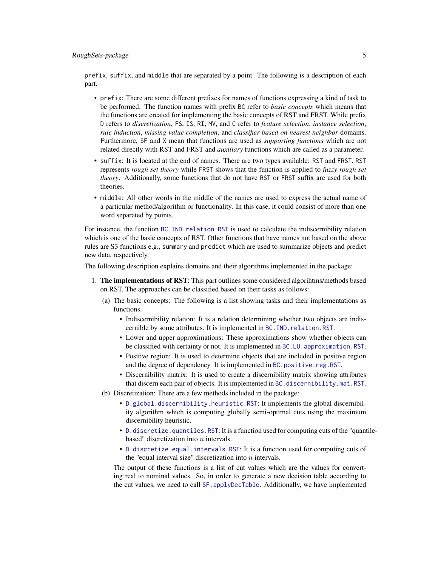prefix, suffix, and middle that are separated by a point. The following is a description of each part.

- prefix: There are some different prefixes for names of functions expressing a kind of task to be performed. The function names with prefix BC refer to *basic concepts* which means that the functions are created for implementing the basic concepts of RST and FRST. While prefix D refers to *discretization*, FS, IS, RI, MV, and C refer to *feature selection*, *instance selection*, *rule induction*, *missing value completion*, and *classifier based on nearest neighbor* domains. Furthermore, SF and X mean that functions are used as *supporting functions* which are not related directly with RST and FRST and *auxiliary* functions which are called as a parameter.
- suffix: It is located at the end of names. There are two types available: RST and FRST. RST represents *rough set theory* while FRST shows that the function is applied to *fuzzy rough set theory*. Additionally, some functions that do not have RST or FRST suffix are used for both theories.
- middle: All other words in the middle of the names are used to express the actual name of a particular method/algorithm or functionality. In this case, it could consist of more than one word separated by points.

For instance, the function [BC.IND.relation.RST](#page-30-1) is used to calculate the indiscernibility relation which is one of the basic concepts of RST. Other functions that have names not based on the above rules are S3 functions e.g., summary and predict which are used to summarize objects and predict new data, respectively.

The following description explains domains and their algorithms implemented in the package:

- 1. The implementations of RST: This part outlines some considered algorihtms/methods based on RST. The approaches can be classified based on their tasks as follows:
	- (a) The basic concepts: The following is a list showing tasks and their implementations as functions.
		- Indiscernibility relation: It is a relation determining whether two objects are indiscernible by some attributes. It is implemented in [BC.IND.relation.RST](#page-30-1).
		- Lower and upper approximations: These approximations show whether objects can be classified with certainty or not. It is implemented in BC.LU. approximation.RST.
		- Positive region: It is used to determine objects that are included in positive region and the degree of dependency. It is implemented in [BC.positive.reg.RST](#page-44-1).
		- Discernibility matrix: It is used to create a discernibility matrix showing attributes that discern each pair of objects. It is implemented in BC. discernibility.mat.RST.
	- (b) Discretization: There are a few methods included in the package:
		- [D.global.discernibility.heuristic.RST](#page-56-1): It implements the global discernibility algorithm which is computing globally semi-optimal cuts using the maximum discernibility heuristic.
		- [D.discretize.quantiles.RST](#page-55-1): It is a function used for computing cuts of the "quantilebased" discretization into  $n$  intervals.
		- [D.discretize.equal.intervals.RST](#page-54-1): It is a function used for computing cuts of the "equal interval size" discretization into  $n$  intervals.

The output of these functions is a list of cut values which are the values for converting real to nominal values. So, in order to generate a new decision table according to the cut values, we need to call [SF.applyDecTable](#page-111-1). Additionally, we have implemented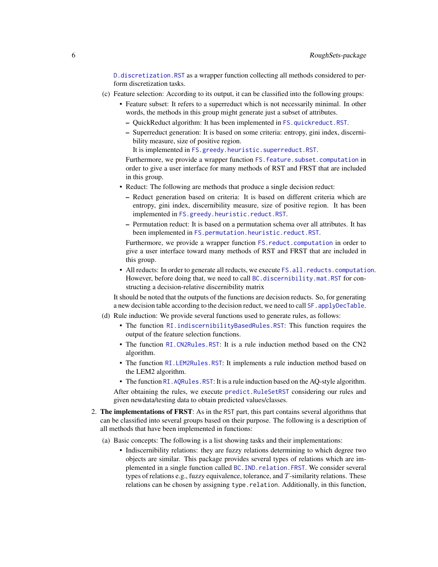[D.discretization.RST](#page-52-1) as a wrapper function collecting all methods considered to perform discretization tasks.

- (c) Feature selection: According to its output, it can be classified into the following groups:
	- Feature subset: It refers to a superreduct which is not necessarily minimal. In other words, the methods in this group might generate just a subset of attributes.
		- QuickReduct algorithm: It has been implemented in [FS.quickreduct.RST](#page-79-1).
		- Superreduct generation: It is based on some criteria: entropy, gini index, discernibility measure, size of positive region.
			- It is implemented in [FS.greedy.heuristic.superreduct.RST](#page-67-1).

Furthermore, we provide a wrapper function FS. feature. subset. computation in order to give a user interface for many methods of RST and FRST that are included in this group.

- Reduct: The following are methods that produce a single decision reduct:
	- Reduct generation based on criteria: It is based on different criteria which are entropy, gini index, discernibility measure, size of positive region. It has been implemented in [FS.greedy.heuristic.reduct.RST](#page-65-1).
	- Permutation reduct: It is based on a permutation schema over all attributes. It has been implemented in [FS.permutation.heuristic.reduct.RST](#page-72-1).

Furthermore, we provide a wrapper function FS. reduct. computation in order to give a user interface toward many methods of RST and FRST that are included in this group.

• All reducts: In order to generate all reducts, we execute FS. all. reducts. computation. However, before doing that, we need to call [BC.discernibility.mat.RST](#page-23-1) for constructing a decision-relative discernibility matrix

It should be noted that the outputs of the functions are decision reducts. So, for generating a new decision table according to the decision reduct, we need to call SF. applyDecTable.

- (d) Rule induction: We provide several functions used to generate rules, as follows:
	- The function [RI.indiscernibilityBasedRules.RST](#page-104-1): This function requires the output of the feature selection functions.
	- The function [RI.CN2Rules.RST](#page-100-1): It is a rule induction method based on the CN2 algorithm.
	- The function [RI.LEM2Rules.RST](#page-107-1): It implements a rule induction method based on the LEM2 algorithm.
	- The function RI. AQRules.RST: It is a rule induction based on the AQ-style algorithm.

After obtaining the rules, we execute [predict.RuleSetRST](#page-94-1) considering our rules and given newdata/testing data to obtain predicted values/classes.

- 2. The implementations of FRST: As in the RST part, this part contains several algorithms that can be classified into several groups based on their purpose. The following is a description of all methods that have been implemented in functions:
	- (a) Basic concepts: The following is a list showing tasks and their implementations:
		- Indiscernibility relations: they are fuzzy relations determining to which degree two objects are similar. This package provides several types of relations which are implemented in a single function called [BC.IND.relation.FRST](#page-25-1). We consider several types of relations e.g., fuzzy equivalence, tolerance, and T-similarity relations. These relations can be chosen by assigning type.relation. Additionally, in this function,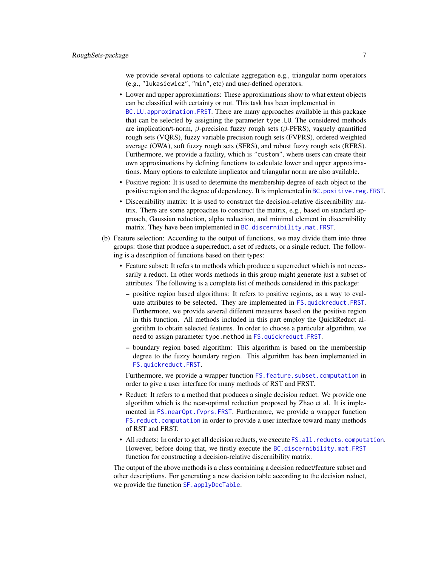we provide several options to calculate aggregation e.g., triangular norm operators (e.g., "lukasiewicz", "min", etc) and user-defined operators.

- Lower and upper approximations: These approximations show to what extent objects can be classified with certainty or not. This task has been implemented in [BC.LU.approximation.FRST](#page-32-1). There are many approaches available in this package that can be selected by assigning the parameter type.LU. The considered methods are implication/t-norm,  $\beta$ -precision fuzzy rough sets ( $\beta$ -PFRS), vaguely quantified rough sets (VQRS), fuzzy variable precision rough sets (FVPRS), ordered weighted average (OWA), soft fuzzy rough sets (SFRS), and robust fuzzy rough sets (RFRS). Furthermore, we provide a facility, which is "custom", where users can create their own approximations by defining functions to calculate lower and upper approximations. Many options to calculate implicator and triangular norm are also available.
- Positive region: It is used to determine the membership degree of each object to the positive region and the degree of dependency. It is implemented in [BC.positive.reg.FRST](#page-42-1).
- Discernibility matrix: It is used to construct the decision-relative discernibility matrix. There are some approaches to construct the matrix, e.g., based on standard approach, Gaussian reduction, alpha reduction, and minimal element in discernibility matrix. They have been implemented in [BC.discernibility.mat.FRST](#page-19-1).
- (b) Feature selection: According to the output of functions, we may divide them into three groups: those that produce a superreduct, a set of reducts, or a single reduct. The following is a description of functions based on their types:
	- Feature subset: It refers to methods which produce a superreduct which is not necessarily a reduct. In other words methods in this group might generate just a subset of attributes. The following is a complete list of methods considered in this package:
		- positive region based algorithms: It refers to positive regions, as a way to evaluate attributes to be selected. They are implemented in [FS.quickreduct.FRST](#page-74-1). Furthermore, we provide several different measures based on the positive region in this function. All methods included in this part employ the QuickReduct algorithm to obtain selected features. In order to choose a particular algorithm, we need to assign parameter type.method in [FS.quickreduct.FRST](#page-74-1).
		- boundary region based algorithm: This algorithm is based on the membership degree to the fuzzy boundary region. This algorithm has been implemented in [FS.quickreduct.FRST](#page-74-1).

Furthermore, we provide a wrapper function FS. feature. subset. computation in order to give a user interface for many methods of RST and FRST.

- Reduct: It refers to a method that produces a single decision reduct. We provide one algorithm which is the near-optimal reduction proposed by Zhao et al. It is implemented in [FS.nearOpt.fvprs.FRST](#page-69-1). Furthermore, we provide a wrapper function [FS.reduct.computation](#page-81-1) in order to provide a user interface toward many methods of RST and FRST.
- All reducts: In order to get all decision reducts, we execute FS. all. reducts. computation. However, before doing that, we firstly execute the [BC.discernibility.mat.FRST](#page-19-1) function for constructing a decision-relative discernibility matrix.

The output of the above methods is a class containing a decision reduct/feature subset and other descriptions. For generating a new decision table according to the decision reduct, we provide the function SF. applyDecTable.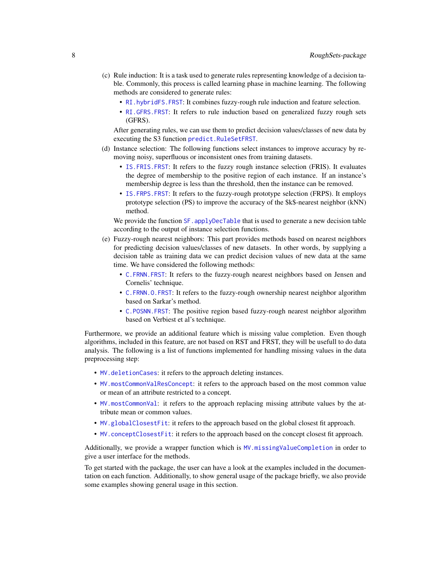- (c) Rule induction: It is a task used to generate rules representing knowledge of a decision table. Commonly, this process is called learning phase in machine learning. The following methods are considered to generate rules:
	- [RI.hybridFS.FRST](#page-103-1): It combines fuzzy-rough rule induction and feature selection.
	- [RI.GFRS.FRST](#page-101-1): It refers to rule induction based on generalized fuzzy rough sets (GFRS).

After generating rules, we can use them to predict decision values/classes of new data by executing the S3 function [predict.RuleSetFRST](#page-93-1).

- (d) Instance selection: The following functions select instances to improve accuracy by removing noisy, superfluous or inconsistent ones from training datasets.
	- [IS.FRIS.FRST](#page-82-1): It refers to the fuzzy rough instance selection (FRIS). It evaluates the degree of membership to the positive region of each instance. If an instance's membership degree is less than the threshold, then the instance can be removed.
	- [IS.FRPS.FRST](#page-84-1): It refers to the fuzzy-rough prototype selection (FRPS). It employs prototype selection (PS) to improve the accuracy of the \$k\$-nearest neighbor (kNN) method.

We provide the function SF. applyDecTable that is used to generate a new decision table according to the output of instance selection functions.

- (e) Fuzzy-rough nearest neighbors: This part provides methods based on nearest neighbors for predicting decision values/classes of new datasets. In other words, by supplying a decision table as training data we can predict decision values of new data at the same time. We have considered the following methods:
	- [C.FRNN.FRST](#page-46-1): It refers to the fuzzy-rough nearest neighbors based on Jensen and Cornelis' technique.
	- [C.FRNN.O.FRST](#page-48-1): It refers to the fuzzy-rough ownership nearest neighbor algorithm based on Sarkar's method.
	- [C.POSNN.FRST](#page-50-1): The positive region based fuzzy-rough nearest neighbor algorithm based on Verbiest et al's technique.

Furthermore, we provide an additional feature which is missing value completion. Even though algorithms, included in this feature, are not based on RST and FRST, they will be usefull to do data analysis. The following is a list of functions implemented for handling missing values in the data preprocessing step:

- [MV.deletionCases](#page-87-1): it refers to the approach deleting instances.
- [MV.mostCommonValResConcept](#page-92-1): it refers to the approach based on the most common value or mean of an attribute restricted to a concept.
- [MV.mostCommonVal](#page-91-1): it refers to the approach replacing missing attribute values by the attribute mean or common values.
- [MV.globalClosestFit](#page-88-1): it refers to the approach based on the global closest fit approach.
- [MV.conceptClosestFit](#page-86-1): it refers to the approach based on the concept closest fit approach.

Additionally, we provide a wrapper function which is [MV.missingValueCompletion](#page-89-1) in order to give a user interface for the methods.

To get started with the package, the user can have a look at the examples included in the documentation on each function. Additionally, to show general usage of the package briefly, we also provide some examples showing general usage in this section.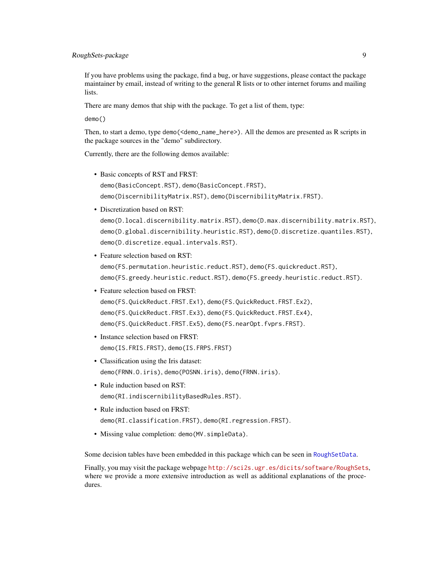If you have problems using the package, find a bug, or have suggestions, please contact the package maintainer by email, instead of writing to the general R lists or to other internet forums and mailing lists.

There are many demos that ship with the package. To get a list of them, type:

demo()

Then, to start a demo, type demo(<demo\_name\_here>). All the demos are presented as R scripts in the package sources in the "demo" subdirectory.

Currently, there are the following demos available:

- Basic concepts of RST and FRST: demo(BasicConcept.RST), demo(BasicConcept.FRST), demo(DiscernibilityMatrix.RST), demo(DiscernibilityMatrix.FRST).
- Discretization based on RST:

```
demo(D.local.discernibility.matrix.RST), demo(D.max.discernibility.matrix.RST),
demo(D.global.discernibility.heuristic.RST), demo(D.discretize.quantiles.RST),
demo(D.discretize.equal.intervals.RST).
```
- Feature selection based on RST: demo(FS.permutation.heuristic.reduct.RST), demo(FS.quickreduct.RST), demo(FS.greedy.heuristic.reduct.RST), demo(FS.greedy.heuristic.reduct.RST).
- Feature selection based on FRST: demo(FS.QuickReduct.FRST.Ex1), demo(FS.QuickReduct.FRST.Ex2), demo(FS.QuickReduct.FRST.Ex3), demo(FS.QuickReduct.FRST.Ex4), demo(FS.QuickReduct.FRST.Ex5), demo(FS.nearOpt.fvprs.FRST).
- Instance selection based on FRST: demo(IS.FRIS.FRST), demo(IS.FRPS.FRST)
- Classification using the Iris dataset: demo(FRNN.O.iris), demo(POSNN.iris), demo(FRNN.iris).
- Rule induction based on RST: demo(RI.indiscernibilityBasedRules.RST).
- Rule induction based on FRST: demo(RI.classification.FRST), demo(RI.regression.FRST).
- Missing value completion: demo(MV.simpleData).

Some decision tables have been embedded in this package which can be seen in [RoughSetData](#page-108-1).

Finally, you may visit the package webpage <http://sci2s.ugr.es/dicits/software/RoughSets>, where we provide a more extensive introduction as well as additional explanations of the procedures.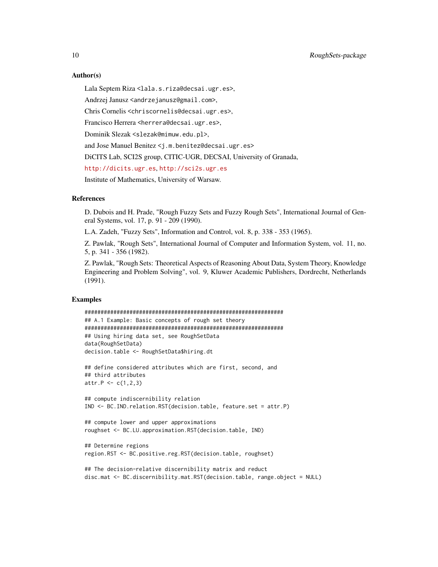#### Author(s)

Lala Septem Riza <lala.s.riza@decsai.ugr.es>,

Andrzej Janusz <andrzejanusz@gmail.com>,

Chris Cornelis <chriscornelis@decsai.ugr.es>,

Francisco Herrera <herrera@decsai.ugr.es>,

Dominik Slezak <slezak@mimuw.edu.pl>,

and Jose Manuel Benitez <j.m.benitez@decsai.ugr.es>

DiCITS Lab, SCI2S group, CITIC-UGR, DECSAI, University of Granada,

<http://dicits.ugr.es>, <http://sci2s.ugr.es>

Institute of Mathematics, University of Warsaw.

#### References

D. Dubois and H. Prade, "Rough Fuzzy Sets and Fuzzy Rough Sets", International Journal of General Systems, vol. 17, p. 91 - 209 (1990).

L.A. Zadeh, "Fuzzy Sets", Information and Control, vol. 8, p. 338 - 353 (1965).

Z. Pawlak, "Rough Sets", International Journal of Computer and Information System, vol. 11, no. 5, p. 341 - 356 (1982).

Z. Pawlak, "Rough Sets: Theoretical Aspects of Reasoning About Data, System Theory, Knowledge Engineering and Problem Solving", vol. 9, Kluwer Academic Publishers, Dordrecht, Netherlands (1991).

# Examples

```
##############################################################
## A.1 Example: Basic concepts of rough set theory
##############################################################
## Using hiring data set, see RoughSetData
data(RoughSetData)
decision.table <- RoughSetData$hiring.dt
## define considered attributes which are first, second, and
## third attributes
attr.P < -c(1,2,3)## compute indiscernibility relation
IND <- BC.IND.relation.RST(decision.table, feature.set = attr.P)
## compute lower and upper approximations
roughset <- BC.LU.approximation.RST(decision.table, IND)
## Determine regions
region.RST <- BC.positive.reg.RST(decision.table, roughset)
## The decision-relative discernibility matrix and reduct
```

```
disc.mat <- BC.discernibility.mat.RST(decision.table, range.object = NULL)
```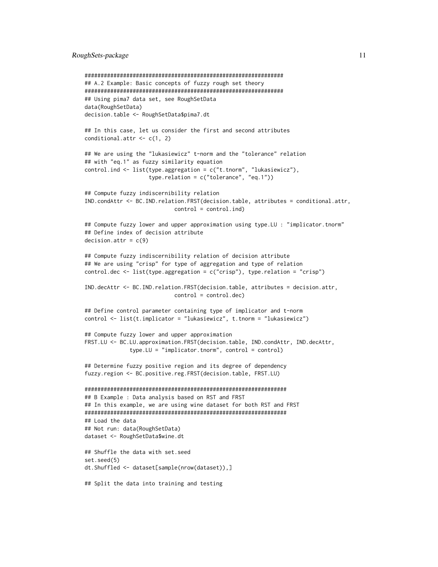```
##############################################################
## A.2 Example: Basic concepts of fuzzy rough set theory
##############################################################
## Using pima7 data set, see RoughSetData
data(RoughSetData)
decision.table <- RoughSetData$pima7.dt
## In this case, let us consider the first and second attributes
conditional.attr \leq c(1, 2)## We are using the "lukasiewicz" t-norm and the "tolerance" relation
## with "eq.1" as fuzzy similarity equation
control.ind <- list(type.aggregation = c("t.tnorm", "lukasiewicz"),
                    type.relation = c("tolerance", "eq.1"))
## Compute fuzzy indiscernibility relation
IND.condAttr <- BC.IND.relation.FRST(decision.table, attributes = conditional.attr,
                            control = control.ind)
## Compute fuzzy lower and upper approximation using type.LU : "implicator.tnorm"
## Define index of decision attribute
decision.attr = c(9)## Compute fuzzy indiscernibility relation of decision attribute
## We are using "crisp" for type of aggregation and type of relation
control.dec \leq list(type.aggregation = c("crisp"), type.relation = "crisp")
IND.decAttr <- BC.IND.relation.FRST(decision.table, attributes = decision.attr,
                            control = control.dec)
## Define control parameter containing type of implicator and t-norm
control <- list(t.implicator = "lukasiewicz", t.tnorm = "lukasiewicz")
## Compute fuzzy lower and upper approximation
FRST.LU <- BC.LU.approximation.FRST(decision.table, IND.condAttr, IND.decAttr,
              type.LU = "implicator.tnorm", control = control)
## Determine fuzzy positive region and its degree of dependency
fuzzy.region <- BC.positive.reg.FRST(decision.table, FRST.LU)
###############################################################
## B Example : Data analysis based on RST and FRST
## In this example, we are using wine dataset for both RST and FRST
###############################################################
## Load the data
## Not run: data(RoughSetData)
dataset <- RoughSetData$wine.dt
## Shuffle the data with set.seed
set.seed(5)
dt.Shuffled <- dataset[sample(nrow(dataset)),]
## Split the data into training and testing
```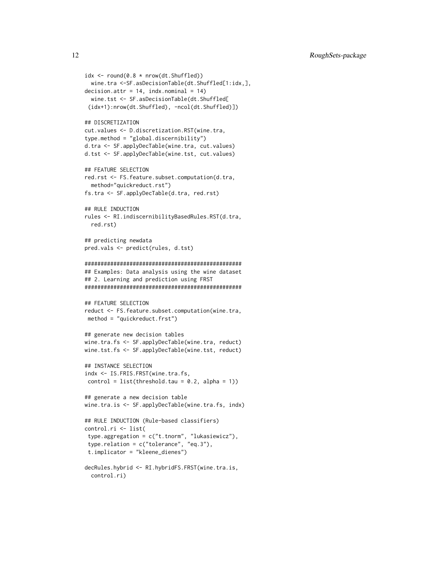```
idx \le round(0.8 * nrow(dt.Shuffled))
 wine.tra <-SF.asDecisionTable(dt.Shuffled[1:idx,],
decision.attr = 14, indx.nominal = 14)
 wine.tst <- SF.asDecisionTable(dt.Shuffled[
 (idx+1):nrow(dt.Shuffled), -ncol(dt.Shuffled)])
## DISCRETIZATION
cut.values <- D.discretization.RST(wine.tra,
type.method = "global.discernibility")
d.tra <- SF.applyDecTable(wine.tra, cut.values)
d.tst <- SF.applyDecTable(wine.tst, cut.values)
## FEATURE SELECTION
red.rst <- FS.feature.subset.computation(d.tra,
 method="quickreduct.rst")
fs.tra <- SF.applyDecTable(d.tra, red.rst)
## RULE INDUCTION
rules <- RI.indiscernibilityBasedRules.RST(d.tra,
 red.rst)
## predicting newdata
pred.vals <- predict(rules, d.tst)
#################################################
## Examples: Data analysis using the wine dataset
## 2. Learning and prediction using FRST
#################################################
## FEATURE SELECTION
reduct <- FS.feature.subset.computation(wine.tra,
method = "quickreduct.frst")
## generate new decision tables
wine.tra.fs <- SF.applyDecTable(wine.tra, reduct)
wine.tst.fs <- SF.applyDecTable(wine.tst, reduct)
## INSTANCE SELECTION
indx <- IS.FRIS.FRST(wine.tra.fs,
control = list(threshold.tau = 0.2, alpha = 1))## generate a new decision table
wine.tra.is <- SF.applyDecTable(wine.tra.fs, indx)
## RULE INDUCTION (Rule-based classifiers)
control.ri <- list(
 type.aggregation = c("t.tnorm", "lukasiewicz"),
 type.relation = c("tolerance", "eq.3"),
t.implicator = "kleene_dienes")
decRules.hybrid <- RI.hybridFS.FRST(wine.tra.is,
```

```
control.ri)
```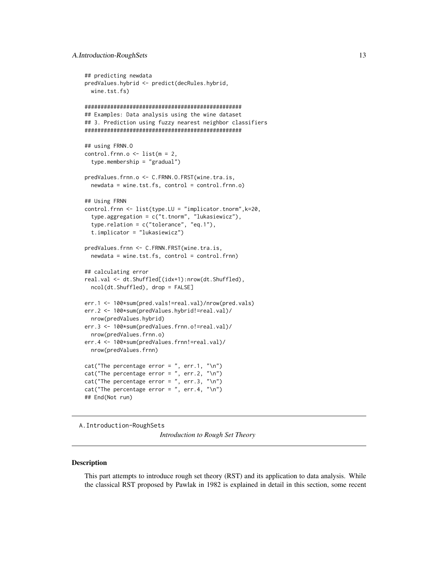```
## predicting newdata
predValues.hybrid <- predict(decRules.hybrid,
 wine.tst.fs)
#################################################
## Examples: Data analysis using the wine dataset
## 3. Prediction using fuzzy nearest neighbor classifiers
#################################################
## using FRNN.O
control.frnn.o <- list(m = 2,
 type.membership = "gradual")
predValues.frnn.o <- C.FRNN.O.FRST(wine.tra.is,
 newdata = wine.test.fs, control = control.frnn.o)## Using FRNN
control.frnn <- list(type.LU = "implicator.tnorm",k=20,
  type.aggregation = c("t.tnorm", "lukasiewicz"),
 type.relation = c("tolerance", "eq.1"),
 t.implicator = "lukasiewicz")
predValues.frnn <- C.FRNN.FRST(wine.tra.is,
 newdata = wine.tst.fs, control = control.frnn)
## calculating error
real.val <- dt.Shuffled[(idx+1):nrow(dt.Shuffled),
 ncol(dt.Shuffled), drop = FALSE]
err.1 <- 100*sum(pred.vals!=real.val)/nrow(pred.vals)
err.2 <- 100*sum(predValues.hybrid!=real.val)/
 nrow(predValues.hybrid)
err.3 <- 100*sum(predValues.frnn.o!=real.val)/
 nrow(predValues.frnn.o)
err.4 <- 100*sum(predValues.frnn!=real.val)/
 nrow(predValues.frnn)
cat("The percentage error = ", err.1, "\n")
cat("The percentage error = ", err.2, "\\n")cat("The percentage error = ", err.3, "\\n")cat("The percentage error = ", err.4, "\n")
## End(Not run)
```
<span id="page-12-1"></span>A.Introduction-RoughSets

*Introduction to Rough Set Theory*

#### **Description**

This part attempts to introduce rough set theory (RST) and its application to data analysis. While the classical RST proposed by Pawlak in 1982 is explained in detail in this section, some recent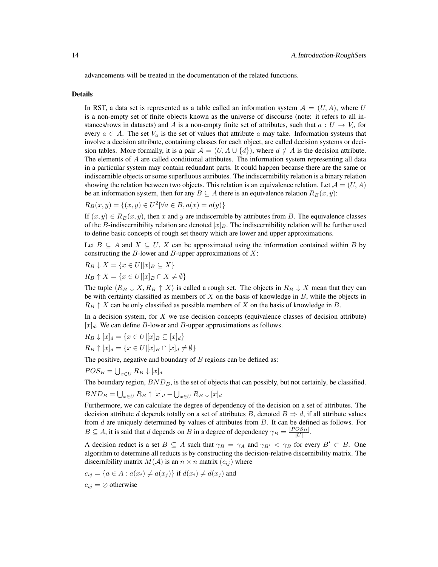advancements will be treated in the documentation of the related functions.

#### Details

In RST, a data set is represented as a table called an information system  $A = (U, A)$ , where U is a non-empty set of finite objects known as the universe of discourse (note: it refers to all instances/rows in datasets) and A is a non-empty finite set of attributes, such that  $a: U \rightarrow V_a$  for every  $a \in A$ . The set  $V_a$  is the set of values that attribute a may take. Information systems that involve a decision attribute, containing classes for each object, are called decision systems or decision tables. More formally, it is a pair  $\mathcal{A} = (U, A \cup \{d\})$ , where  $d \notin A$  is the decision attribute. The elements of  $A$  are called conditional attributes. The information system representing all data in a particular system may contain redundant parts. It could happen because there are the same or indiscernible objects or some superfluous attributes. The indiscernibility relation is a binary relation showing the relation between two objects. This relation is an equivalence relation. Let  $\mathcal{A} = (U, A)$ be an information system, then for any  $B \subseteq A$  there is an equivalence relation  $R_B(x, y)$ :

$$
R_B(x, y) = \{(x, y) \in U^2 | \forall a \in B, a(x) = a(y)\}\
$$

If  $(x, y) \in R_B(x, y)$ , then x and y are indiscernible by attributes from B. The equivalence classes of the B-indiscernibility relation are denoted  $[x]_B$ . The indiscernibility relation will be further used to define basic concepts of rough set theory which are lower and upper approximations.

Let  $B \subseteq A$  and  $X \subseteq U$ , X can be approximated using the information contained within B by constructing the B-lower and B-upper approximations of  $X$ :

$$
R_B \downarrow X = \{ x \in U | [x]_B \subseteq X \}
$$

 $R_B \uparrow X = \{x \in U | [x]_B \cap X \neq \emptyset\}$ 

The tuple  $\langle R_B \downarrow X, R_B \uparrow X \rangle$  is called a rough set. The objects in  $R_B \downarrow X$  mean that they can be with certainty classified as members of  $X$  on the basis of knowledge in  $B$ , while the objects in  $R_B \uparrow X$  can be only classified as possible members of X on the basis of knowledge in B.

In a decision system, for  $X$  we use decision concepts (equivalence classes of decision attribute)  $[x]_d$ . We can define *B*-lower and *B*-upper approximations as follows.

$$
R_B \downarrow [x]_d = \{x \in U | [x]_B \subseteq [x]_d\}
$$
  

$$
R_B \uparrow [x]_d = \{x \in U | [x]_B \cap [x]_d \neq \emptyset\}
$$

The positive, negative and boundary of  $B$  regions can be defined as:

 $POS_B = \bigcup_{x \in U} R_B \downarrow [x]_d$ 

The boundary region,  $BND<sub>B</sub>$ , is the set of objects that can possibly, but not certainly, be classified.

$$
BND_B = \bigcup_{x \in U} R_B \uparrow [x]_d - \bigcup_{x \in U} R_B \downarrow [x]_d
$$

Furthermore, we can calculate the degree of dependency of the decision on a set of attributes. The decision attribute d depends totally on a set of attributes B, denoted  $B \Rightarrow d$ , if all attribute values from  $d$  are uniquely determined by values of attributes from  $B$ . It can be defined as follows. For  $B \subseteq A$ , it is said that d depends on B in a degree of dependency  $\gamma_B = \frac{|POS_B|}{|U|}$ .

A decision reduct is a set  $B \subseteq A$  such that  $\gamma_B = \gamma_A$  and  $\gamma_{B'} < \gamma_B$  for every  $B' \subset B$ . One algorithm to determine all reducts is by constructing the decision-relative discernibility matrix. The discernibility matrix  $M(A)$  is an  $n \times n$  matrix  $(c_{ij})$  where

$$
c_{ij} = \{a \in A : a(x_i) \neq a(x_j)\} \text{ if } d(x_i) \neq d(x_j) \text{ and}
$$
  

$$
c_{ij} = \emptyset \text{ otherwise}
$$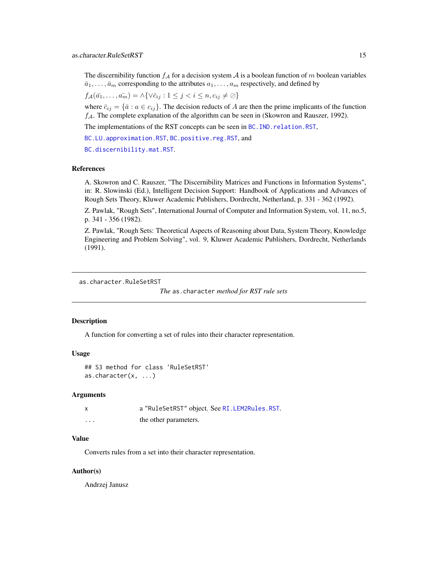<span id="page-14-0"></span>The discernibility function  $f_A$  for a decision system A is a boolean function of m boolean variables  $\bar{a}_1, \ldots, \bar{a}_m$  corresponding to the attributes  $a_1, \ldots, a_m$  respectively, and defined by

$$
f_{\mathcal{A}}(\bar{a_1},\ldots,\bar{a_m}) = \land \{\forall \bar{c}_{ij} : 1 \leq j < i \leq n, c_{ij} \neq \emptyset\}
$$

where  $\bar{c}_{ij} = \{\bar{a} : a \in c_{ij}\}\.$  The decision reducts of A are then the prime implicants of the function  $f_A$ . The complete explanation of the algorithm can be seen in (Skowron and Rauszer, 1992).

The implementations of the RST concepts can be seen in BC. IND. relation.RST,

[BC.LU.approximation.RST](#page-39-1), [BC.positive.reg.RST](#page-44-1), and

[BC.discernibility.mat.RST](#page-23-1).

# References

A. Skowron and C. Rauszer, "The Discernibility Matrices and Functions in Information Systems", in: R. Slowinski (Ed.), Intelligent Decision Support: Handbook of Applications and Advances of Rough Sets Theory, Kluwer Academic Publishers, Dordrecht, Netherland, p. 331 - 362 (1992).

Z. Pawlak, "Rough Sets", International Journal of Computer and Information System, vol. 11, no.5, p. 341 - 356 (1982).

Z. Pawlak, "Rough Sets: Theoretical Aspects of Reasoning about Data, System Theory, Knowledge Engineering and Problem Solving", vol. 9, Kluwer Academic Publishers, Dordrecht, Netherlands (1991).

```
as.character.RuleSetRST
```

```
The as.character method for RST rule sets
```
#### Description

A function for converting a set of rules into their character representation.

# Usage

```
## S3 method for class 'RuleSetRST'
as.character(x, ...)
```
# Arguments

|         | a "RuleSetRST" object. See RI. LEM2Rules. RST. |
|---------|------------------------------------------------|
| $\cdot$ | the other parameters.                          |

# Value

Converts rules from a set into their character representation.

# Author(s)

Andrzej Janusz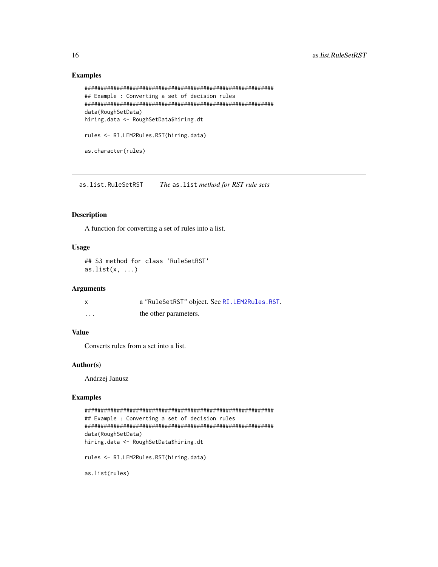# Examples

```
###########################################################
## Example : Converting a set of decision rules
###########################################################
data(RoughSetData)
hiring.data <- RoughSetData$hiring.dt
rules <- RI.LEM2Rules.RST(hiring.data)
as.character(rules)
```
as.list.RuleSetRST *The* as.list *method for RST rule sets*

# Description

A function for converting a set of rules into a list.

# Usage

## S3 method for class 'RuleSetRST' as.list $(x, \ldots)$ 

#### Arguments

| $\boldsymbol{\mathsf{x}}$ | a "RuleSetRST" object. See RI.LEM2Rules.RST. |
|---------------------------|----------------------------------------------|
| .                         | the other parameters.                        |

# Value

Converts rules from a set into a list.

# Author(s)

Andrzej Janusz

# Examples

```
###########################################################
## Example : Converting a set of decision rules
###########################################################
data(RoughSetData)
hiring.data <- RoughSetData$hiring.dt
rules <- RI.LEM2Rules.RST(hiring.data)
```
as.list(rules)

<span id="page-15-0"></span>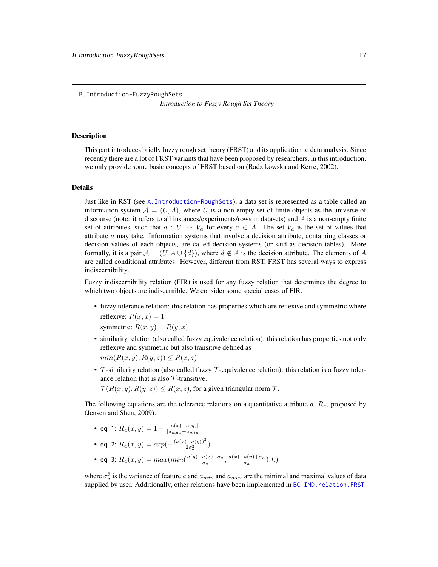*Introduction to Fuzzy Rough Set Theory*

#### <span id="page-16-1"></span><span id="page-16-0"></span>**Description**

This part introduces briefly fuzzy rough set theory (FRST) and its application to data analysis. Since recently there are a lot of FRST variants that have been proposed by researchers, in this introduction, we only provide some basic concepts of FRST based on (Radzikowska and Kerre, 2002).

# Details

Just like in RST (see [A.Introduction-RoughSets](#page-12-1)), a data set is represented as a table called an information system  $A = (U, A)$ , where U is a non-empty set of finite objects as the universe of discourse (note: it refers to all instances/experiments/rows in datasets) and A is a non-empty finite set of attributes, such that  $a: U \to V_a$  for every  $a \in A$ . The set  $V_a$  is the set of values that attribute a may take. Information systems that involve a decision attribute, containing classes or decision values of each objects, are called decision systems (or said as decision tables). More formally, it is a pair  $\mathcal{A} = (U, A \cup \{d\})$ , where  $d \notin A$  is the decision attribute. The elements of A are called conditional attributes. However, different from RST, FRST has several ways to express indiscernibility.

Fuzzy indiscernibility relation (FIR) is used for any fuzzy relation that determines the degree to which two objects are indiscernible. We consider some special cases of FIR.

• fuzzy tolerance relation: this relation has properties which are reflexive and symmetric where reflexive:  $R(x, x) = 1$ symmetric:  $R(x, y) = R(y, x)$ 

• similarity relation (also called fuzzy equivalence relation): this relation has properties not only reflexive and symmetric but also transitive defined as

 $min(R(x, y), R(y, z)) \leq R(x, z)$ 

•  $\tau$ -similarity relation (also called fuzzy  $\tau$ -equivalence relation): this relation is a fuzzy tolerance relation that is also  $T$ -transitive.

 $\mathcal{T}(R(x,y), R(y,z)) \leq R(x,z)$ , for a given triangular norm  $\mathcal{T}$ .

The following equations are the tolerance relations on a quantitative attribute  $a, R_a$ , proposed by (Jensen and Shen, 2009).

- eq.1:  $R_a(x,y) = 1 \frac{|a(x)-a(y)|}{|a_{\text{max}}-a_{\text{min}}|}$  $|a_{max}-a_{min}|$
- eq.2:  $R_a(x, y) = exp(-\frac{(a(x) a(y))^2}{2\sigma^2})$  $\frac{a(y)}{2\sigma_a^2}$
- eq.3:  $R_a(x, y) = max(min(\frac{a(y)-a(x)+\sigma_a}{\sigma_a}))$  $\frac{a(x)+\sigma_a}{\sigma_a}, \frac{a(x)-a(y)+\sigma_a}{\sigma_a}$  $\frac{a(y)+\sigma_a}{\sigma_a}$ ), 0)

where  $\sigma_a^2$  is the variance of feature a and  $a_{min}$  and  $a_{max}$  are the minimal and maximal values of data supplied by user. Additionally, other relations have been implemented in BC. IND. relation. FRST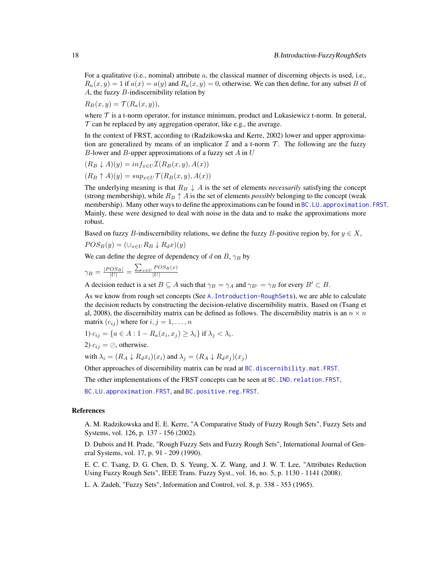For a qualitative (i.e., nominal) attribute  $a$ , the classical manner of discerning objects is used, i.e.,  $R_a(x, y) = 1$  if  $a(x) = a(y)$  and  $R_a(x, y) = 0$ , otherwise. We can then define, for any subset B of A, the fuzzy B-indiscernibility relation by

 $R_B(x, y) = \mathcal{T}(R_a(x, y)),$ 

where  $\tau$  is a t-norm operator, for instance minimum, product and Lukasiewicz t-norm. In general,  $\tau$  can be replaced by any aggregation operator, like e.g., the average.

In the context of FRST, according to (Radzikowska and Kerre, 2002) lower and upper approximation are generalized by means of an implicator  $\mathcal I$  and a t-norm  $\mathcal T$ . The following are the fuzzy B-lower and B-upper approximations of a fuzzy set  $A$  in  $U$ 

$$
(R_B \downarrow A)(y) = \inf_{x \in U} \mathcal{I}(R_B(x, y), A(x))
$$

$$
(R_B \uparrow A)(y) = \sup_{x \in U} \mathcal{T}(R_B(x, y), A(x))
$$

The underlying meaning is that  $R_B \downarrow A$  is the set of elements *necessarily* satisfying the concept (strong membership), while  $R_B \uparrow A$  is the set of elements *possibly* belonging to the concept (weak membership). Many other ways to define the approximations can be found in BC.LU. approximation. FRST. Mainly, these were designed to deal with noise in the data and to make the approximations more robust.

Based on fuzzy B-indiscernibility relations, we define the fuzzy B-positive region by, for  $y \in X$ ,

$$
POS_B(y) = (\cup_{x \in U} R_B \downarrow R_d x)(y)
$$

We can define the degree of dependency of d on B,  $\gamma_B$  by

$$
\gamma_B = \frac{|POS_B|}{|U|} = \frac{\sum_{x \in U} POS_B(x)}{|U|}
$$

A decision reduct is a set  $B \subseteq A$  such that  $\gamma_B = \gamma_A$  and  $\gamma_{B'} = \gamma_B$  for every  $B' \subset B$ .

As we know from rough set concepts (See [A.Introduction-RoughSets](#page-12-1)), we are able to calculate the decision reducts by constructing the decision-relative discernibility matrix. Based on (Tsang et al, 2008), the discernibility matrix can be defined as follows. The discernibility matrix is an  $n \times n$ matrix  $(c_{ij})$  where for  $i, j = 1, \ldots, n$ 

1) 
$$
c_{ij} = \{a \in A : 1 - R_a(x_i, x_j) \ge \lambda_i\}
$$
 if  $\lambda_j < \lambda_i$ .

2) 
$$
c_{ij} = \oslash
$$
, otherwise.

with  $\lambda_i = (R_A \downarrow R_d x_i)(x_i)$  and  $\lambda_i = (R_A \downarrow R_d x_i)(x_i)$ 

Other approaches of discernibility matrix can be read at [BC.discernibility.mat.FRST](#page-19-1).

The other implementations of the FRST concepts can be seen at [BC.IND.relation.FRST](#page-25-1),

[BC.LU.approximation.FRST](#page-32-1), and [BC.positive.reg.FRST](#page-42-1).

# References

A. M. Radzikowska and E. E. Kerre, "A Comparative Study of Fuzzy Rough Sets", Fuzzy Sets and Systems, vol. 126, p. 137 - 156 (2002).

D. Dubois and H. Prade, "Rough Fuzzy Sets and Fuzzy Rough Sets", International Journal of General Systems, vol. 17, p. 91 - 209 (1990).

E. C. C. Tsang, D. G. Chen, D. S. Yeung, X. Z. Wang, and J. W. T. Lee, "Attributes Reduction Using Fuzzy Rough Sets", IEEE Trans. Fuzzy Syst., vol. 16, no. 5, p. 1130 - 1141 (2008).

L. A. Zadeh, "Fuzzy Sets", Information and Control, vol. 8, p. 338 - 353 (1965).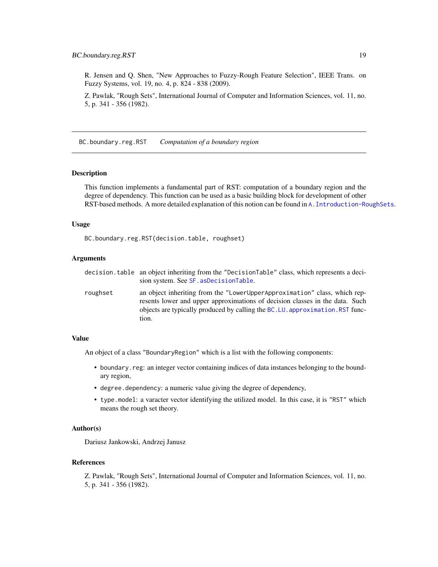<span id="page-18-0"></span>R. Jensen and Q. Shen, "New Approaches to Fuzzy-Rough Feature Selection", IEEE Trans. on Fuzzy Systems, vol. 19, no. 4, p. 824 - 838 (2009).

Z. Pawlak, "Rough Sets", International Journal of Computer and Information Sciences, vol. 11, no. 5, p. 341 - 356 (1982).

BC.boundary.reg.RST *Computation of a boundary region*

# Description

This function implements a fundamental part of RST: computation of a boundary region and the degree of dependency. This function can be used as a basic building block for development of other RST-based methods. A more detailed explanation of this notion can be found in [A.Introduction-RoughSets](#page-12-1).

# Usage

BC.boundary.reg.RST(decision.table, roughset)

# Arguments

|          | decision. table an object inheriting from the "DecisionTable" class, which represents a deci-<br>sion system. See SF. as Decision Table.                                                                                                            |
|----------|-----------------------------------------------------------------------------------------------------------------------------------------------------------------------------------------------------------------------------------------------------|
| roughset | an object inheriting from the "LowerUpperApproximation" class, which rep-<br>resents lower and upper approximations of decision classes in the data. Such<br>objects are typically produced by calling the BC.LU. approximation. RST func-<br>tion. |

# Value

An object of a class "BoundaryRegion" which is a list with the following components:

- boundary.reg: an integer vector containing indices of data instances belonging to the boundary region,
- degree.dependency: a numeric value giving the degree of dependency,
- type.model: a varacter vector identifying the utilized model. In this case, it is "RST" which means the rough set theory.

# Author(s)

Dariusz Jankowski, Andrzej Janusz

# References

Z. Pawlak, "Rough Sets", International Journal of Computer and Information Sciences, vol. 11, no. 5, p. 341 - 356 (1982).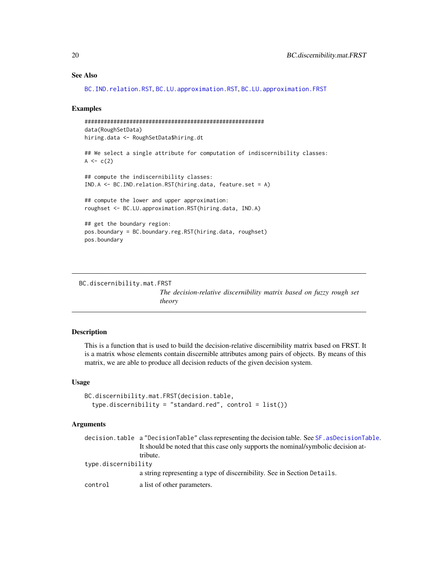# See Also

```
BC.IND.relation.RST, BC.LU.approximation.RST, BC.LU.approximation.FRST
```
#### Examples

```
########################################################
data(RoughSetData)
hiring.data <- RoughSetData$hiring.dt
## We select a single attribute for computation of indiscernibility classes:
A \leq -c(2)## compute the indiscernibility classes:
IND.A <- BC.IND.relation.RST(hiring.data, feature.set = A)
## compute the lower and upper approximation:
roughset <- BC.LU.approximation.RST(hiring.data, IND.A)
## get the boundary region:
pos.boundary = BC.boundary.reg.RST(hiring.data, roughset)
pos.boundary
```

```
BC.discernibility.mat.FRST
```
*The decision-relative discernibility matrix based on fuzzy rough set theory*

# Description

This is a function that is used to build the decision-relative discernibility matrix based on FRST. It is a matrix whose elements contain discernible attributes among pairs of objects. By means of this matrix, we are able to produce all decision reducts of the given decision system.

# Usage

```
BC.discernibility.mat.FRST(decision.table,
  type.discernibility = "standard.read", control = list())
```
# Arguments

|                     | decision.table a "DecisionTable" class representing the decision table. See SF. asDecisionTable. |
|---------------------|--------------------------------------------------------------------------------------------------|
|                     | It should be noted that this case only supports the nominal/symbolic decision at-                |
|                     | tribute.                                                                                         |
| type.discernibility |                                                                                                  |
|                     | a string representing a type of discernibility. See in Section Details.                          |
| control             | a list of other parameters.                                                                      |

<span id="page-19-0"></span>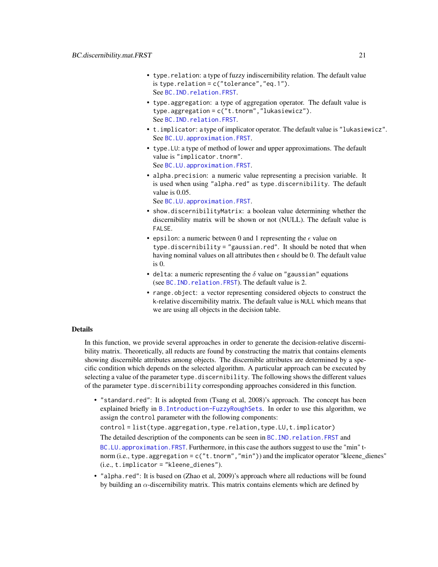- type.relation: a type of fuzzy indiscernibility relation. The default value is type.relation =  $c("tolerance", "eq.1").$ See [BC.IND.relation.FRST](#page-25-1).
- type.aggregation: a type of aggregation operator. The default value is type.aggregation = c("t.tnorm","lukasiewicz"). See [BC.IND.relation.FRST](#page-25-1).
- t.implicator: a type of implicator operator. The default value is "lukasiewicz". See [BC.LU.approximation.FRST](#page-32-1).
- type.LU: a type of method of lower and upper approximations. The default value is "implicator.tnorm". See [BC.LU.approximation.FRST](#page-32-1).
- alpha.precision: a numeric value representing a precision variable. It is used when using "alpha.red" as type.discernibility. The default value is 0.05.

See [BC.LU.approximation.FRST](#page-32-1).

- show.discernibilityMatrix: a boolean value determining whether the discernibility matrix will be shown or not (NULL). The default value is FALSE.
- epsilon: a numeric between 0 and 1 representing the  $\epsilon$  value on type.discernibility = "gaussian.red". It should be noted that when having nominal values on all attributes then  $\epsilon$  should be 0. The default value is 0.
- delta: a numeric representing the  $\delta$  value on "gaussian" equations (see [BC.IND.relation.FRST](#page-25-1)). The default value is 2.
- range.object: a vector representing considered objects to construct the k-relative discernibility matrix. The default value is NULL which means that we are using all objects in the decision table.

# Details

In this function, we provide several approaches in order to generate the decision-relative discernibility matrix. Theoretically, all reducts are found by constructing the matrix that contains elements showing discernible attributes among objects. The discernible attributes are determined by a specific condition which depends on the selected algorithm. A particular approach can be executed by selecting a value of the parameter type.discernibility. The following shows the different values of the parameter type.discernibility corresponding approaches considered in this function.

• "standard.red": It is adopted from (Tsang et al, 2008)'s approach. The concept has been explained briefly in [B.Introduction-FuzzyRoughSets](#page-16-1). In order to use this algorithm, we assign the control parameter with the following components:

control = list(type.aggregation,type.relation,type.LU,t.implicator)

The detailed description of the components can be seen in BC. IND. relation. FRST and

BC.LU. approximation. FRST. Furthermore, in this case the authors suggest to use the "min" tnorm (i.e., type.aggregation = c("t.tnorm","min")) and the implicator operator "kleene\_dienes" (i.e., t.implicator = "kleene\_dienes").

• "alpha.red": It is based on (Zhao et al, 2009)'s approach where all reductions will be found by building an  $\alpha$ -discernibility matrix. This matrix contains elements which are defined by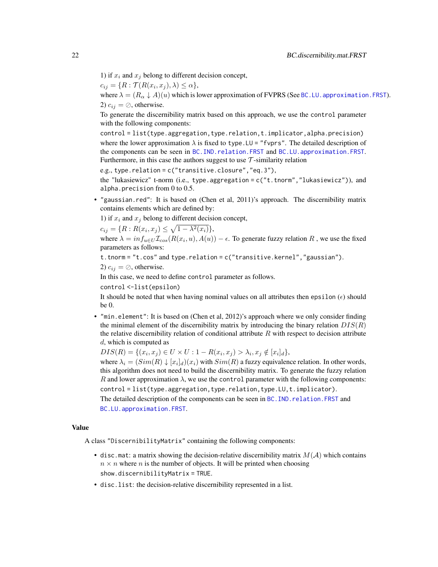1) if  $x_i$  and  $x_j$  belong to different decision concept,

 $c_{ij} = \{R : \mathcal{T}(R(x_i, x_j), \lambda) \leq \alpha\},\$ 

where  $\lambda = (R_{\alpha} \downarrow A)(u)$  which is lower approximation of FVPRS (See BC.LU. approximation. FRST). 2)  $c_{ij} = \emptyset$ , otherwise.

To generate the discernibility matrix based on this approach, we use the control parameter with the following components:

control = list(type.aggregation,type.relation,t.implicator,alpha.precision) where the lower approximation  $\lambda$  is fixed to type. LU = "fvprs". The detailed description of the components can be seen in [BC.IND.relation.FRST](#page-25-1) and [BC.LU.approximation.FRST](#page-32-1). Furthermore, in this case the authors suggest to use  $\mathcal T$ -similarity relation

e.g., type.relation = c("transitive.closure","eq.3"),

the "lukasiewicz" t-norm (i.e., type.aggregation = c("t.tnorm","lukasiewicz")), and alpha.precision from 0 to 0.5.

• "gaussian.red": It is based on (Chen et al, 2011)'s approach. The discernibility matrix contains elements which are defined by:

1) if  $x_i$  and  $x_j$  belong to different decision concept,

 $c_{ij} = \{R: R(x_i, x_j) \leq \sqrt{1 - \lambda^2(x_i)}\},\$ 

where  $\lambda = inf_{u \in U} \mathcal{I}_{cos}(R(x_i, u), A(u)) - \epsilon$ . To generate fuzzy relation R, we use the fixed parameters as follows:

t.tnorm = "t.cos" and type.relation = c("transitive.kernel","gaussian").

2)  $c_{ij} = \oslash$ , otherwise.

In this case, we need to define control parameter as follows.

control <-list(epsilon)

It should be noted that when having nominal values on all attributes then epsilon  $(\epsilon)$  should be 0.

• "min.element": It is based on (Chen et al, 2012)'s approach where we only consider finding the minimal element of the discernibility matrix by introducing the binary relation  $DIS(R)$ the relative discernibility relation of conditional attribute  $R$  with respect to decision attribute d, which is computed as

 $DIS(R) = \{(x_i, x_j) \in U \times U : 1 - R(x_i, x_j) > \lambda_i, x_j \notin [x_i]_d\},\$ 

where  $\lambda_i = (Sim(R) \downarrow [x_i]_d)(x_i)$  with  $Sim(R)$  a fuzzy equivalence relation. In other words, this algorithm does not need to build the discernibility matrix. To generate the fuzzy relation R and lower approximation  $\lambda$ , we use the control parameter with the following components:

control = list(type.aggregation,type.relation,type.LU,t.implicator).

The detailed description of the components can be seen in BC. IND. relation. FRST and [BC.LU.approximation.FRST](#page-32-1).

# Value

A class "DiscernibilityMatrix" containing the following components:

- disc.mat: a matrix showing the decision-relative discernibility matrix  $M(A)$  which contains  $n \times n$  where *n* is the number of objects. It will be printed when choosing show.discernibilityMatrix = TRUE.
- disc.list: the decision-relative discernibility represented in a list.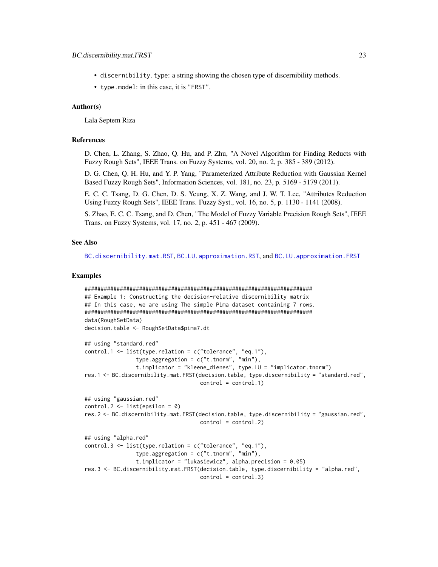- discernibility.type: a string showing the chosen type of discernibility methods.
- type.model: in this case, it is "FRST".

# Author(s)

Lala Septem Riza

# References

D. Chen, L. Zhang, S. Zhao, Q. Hu, and P. Zhu, "A Novel Algorithm for Finding Reducts with Fuzzy Rough Sets", IEEE Trans. on Fuzzy Systems, vol. 20, no. 2, p. 385 - 389 (2012).

D. G. Chen, Q. H. Hu, and Y. P. Yang, "Parameterized Attribute Reduction with Gaussian Kernel Based Fuzzy Rough Sets", Information Sciences, vol. 181, no. 23, p. 5169 - 5179 (2011).

E. C. C. Tsang, D. G. Chen, D. S. Yeung, X. Z. Wang, and J. W. T. Lee, "Attributes Reduction Using Fuzzy Rough Sets", IEEE Trans. Fuzzy Syst., vol. 16, no. 5, p. 1130 - 1141 (2008).

S. Zhao, E. C. C. Tsang, and D. Chen, "The Model of Fuzzy Variable Precision Rough Sets", IEEE Trans. on Fuzzy Systems, vol. 17, no. 2, p. 451 - 467 (2009).

# See Also

[BC.discernibility.mat.RST](#page-23-1), [BC.LU.approximation.RST](#page-39-1), and [BC.LU.approximation.FRST](#page-32-1)

# Examples

```
#######################################################################
## Example 1: Constructing the decision-relative discernibility matrix
## In this case, we are using The simple Pima dataset containing 7 rows.
#######################################################################
data(RoughSetData)
decision.table <- RoughSetData$pima7.dt
## using "standard.red"
control.1 <- list(type.relation = c("tolerance", "eq.1"),
                type.aggregation = c("t.tnorm", "min"),
                t.implicator = "kleene_dienes", type.LU = "implicator.tnorm")
res.1 <- BC.discernibility.mat.FRST(decision.table, type.discernibility = "standard.red",
                                    control = control.1)## using "gaussian.red"
control.2 \leq 1ist(epsilon = 0)
res.2 <- BC.discernibility.mat.FRST(decision.table, type.discernibility = "gaussian.red",
                                    control = control.2)
## using "alpha.red"
control.3 <- list(type.relation = c("tolerance", "eq.1"),type.aggregation = c("t.tnorm", "min"),
                t.implicator = "lukasiewicz", alpha.precision = 0.05)
res.3 <- BC.discernibility.mat.FRST(decision.table, type.discernibility = "alpha.red",
                                    control = control.3)
```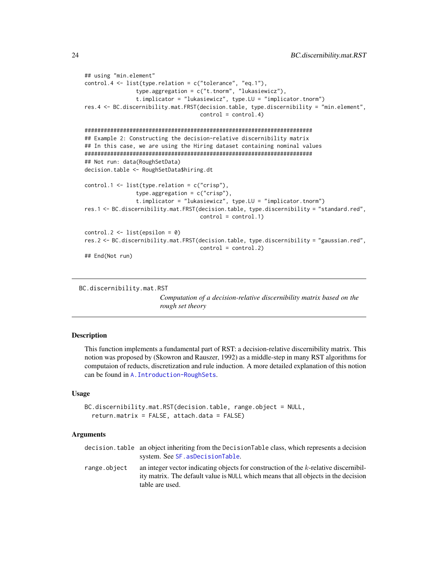```
## using "min.element"
control.4 <- list(type.relation = c("tolerance", "eq.1"),
                type.aggregation = c("t.tnorm", "lukasiewicz"),
                t.implicator = "lukasiewicz", type.LU = "implicator.tnorm")
res.4 <- BC.discernibility.mat.FRST(decision.table, type.discernibility = "min.element",
                                    control = control.4)#######################################################################
## Example 2: Constructing the decision-relative discernibility matrix
## In this case, we are using the Hiring dataset containing nominal values
#######################################################################
## Not run: data(RoughSetData)
decision.table <- RoughSetData$hiring.dt
control.1 <- list(type.relation = c("crisp"),
                type.aggregation = c("crisp"),
                t.implicator = "lukasiewicz", type.LU = "implicator.tnorm")
res.1 <- BC.discernibility.mat.FRST(decision.table, type.discernibility = "standard.red",
                                    control = control.1)control.2 \leftarrow list(epsilon = 0)res.2 <- BC.discernibility.mat.FRST(decision.table, type.discernibility = "gaussian.red",
                                    control = control.2)
## End(Not run)
```

```
BC.discernibility.mat.RST
```
*Computation of a decision-relative discernibility matrix based on the rough set theory*

#### Description

This function implements a fundamental part of RST: a decision-relative discernibility matrix. This notion was proposed by (Skowron and Rauszer, 1992) as a middle-step in many RST algorithms for computaion of reducts, discretization and rule induction. A more detailed explanation of this notion can be found in [A.Introduction-RoughSets](#page-12-1).

# Usage

```
BC.discernibility.mat.RST(decision.table, range.object = NULL,
  return.matrix = FALSE, attach.data = FALSE)
```
#### Arguments

|              | decision, table an object inheriting from the DecisionTable class, which represents a decision                                                                             |
|--------------|----------------------------------------------------------------------------------------------------------------------------------------------------------------------------|
|              | system. See SF. asDecisionTable.                                                                                                                                           |
| range.object | an integer vector indicating objects for construction of the k-relative discernibil-<br>ity matrix. The default value is NULL which means that all objects in the decision |
|              | table are used.                                                                                                                                                            |

<span id="page-23-0"></span>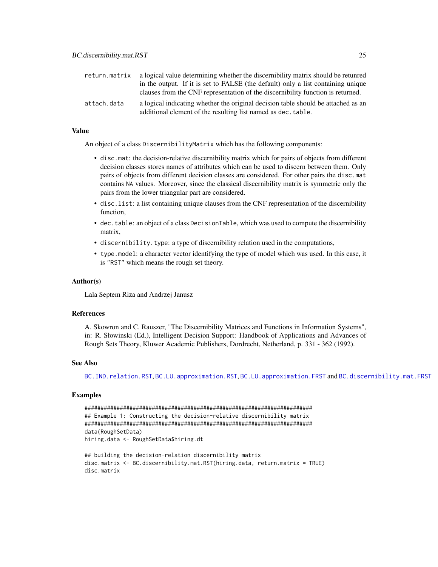| return.matrix | a logical value determining whether the discernibility matrix should be retunred                                                                   |
|---------------|----------------------------------------------------------------------------------------------------------------------------------------------------|
|               | in the output. If it is set to FALSE (the default) only a list containing unique                                                                   |
|               | clauses from the CNF representation of the discernibility function is returned.                                                                    |
| attach.data   | a logical indicating whether the original decision table should be attached as an<br>additional element of the resulting list named as dec. table. |

# Value

An object of a class DiscernibilityMatrix which has the following components:

- disc.mat: the decision-relative discernibility matrix which for pairs of objects from different decision classes stores names of attributes which can be used to discern between them. Only pairs of objects from different decision classes are considered. For other pairs the disc.mat contains NA values. Moreover, since the classical discernibility matrix is symmetric only the pairs from the lower triangular part are considered.
- disc.list: a list containing unique clauses from the CNF representation of the discernibility function,
- dec.table: an object of a class DecisionTable, which was used to compute the discernibility matrix,
- discernibility.type: a type of discernibility relation used in the computations,
- type.model: a character vector identifying the type of model which was used. In this case, it is "RST" which means the rough set theory.

#### Author(s)

Lala Septem Riza and Andrzej Janusz

#### References

A. Skowron and C. Rauszer, "The Discernibility Matrices and Functions in Information Systems", in: R. Słowinski (Ed.), Intelligent Decision Support: Handbook of Applications and Advances of Rough Sets Theory, Kluwer Academic Publishers, Dordrecht, Netherland, p. 331 - 362 (1992).

# See Also

[BC.IND.relation.RST](#page-30-1), [BC.LU.approximation.RST](#page-39-1), [BC.LU.approximation.FRST](#page-32-1) and [BC.discernibility.mat.FRST](#page-19-1)

#### Examples

```
#######################################################################
## Example 1: Constructing the decision-relative discernibility matrix
#######################################################################
data(RoughSetData)
hiring.data <- RoughSetData$hiring.dt
```

```
## building the decision-relation discernibility matrix
disc.matrix <- BC.discernibility.mat.RST(hiring.data, return.matrix = TRUE)
disc.matrix
```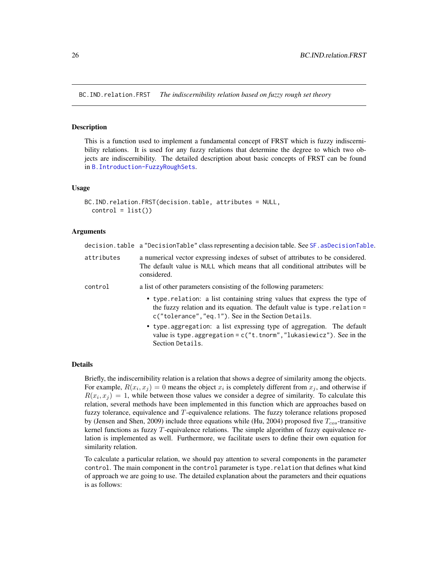<span id="page-25-1"></span><span id="page-25-0"></span>BC.IND.relation.FRST *The indiscernibility relation based on fuzzy rough set theory*

#### Description

This is a function used to implement a fundamental concept of FRST which is fuzzy indiscernibility relations. It is used for any fuzzy relations that determine the degree to which two objects are indiscernibility. The detailed description about basic concepts of FRST can be found in [B.Introduction-FuzzyRoughSets](#page-16-1).

# Usage

```
BC.IND.relation.FRST(decision.table, attributes = NULL,
  control = list()
```
Section Details.

## Arguments

|            | decision.table a "DecisionTable" class representing a decision table. See SF. asDecisionTable.                                                                                                                  |
|------------|-----------------------------------------------------------------------------------------------------------------------------------------------------------------------------------------------------------------|
| attributes | a numerical vector expressing indexes of subset of attributes to be considered.<br>The default value is NULL which means that all conditional attributes will be<br>considered.                                 |
| control    | a list of other parameters consisting of the following parameters:                                                                                                                                              |
|            | • type. relation: a list containing string values that express the type of<br>the fuzzy relation and its equation. The default value is type. relation =<br>c("tolerance", "eq.1"). See in the Section Details. |
|            | • type aggregation: a list expressing type of aggregation. The default<br>value is type. aggregation = $c("t.tnorm", "lukasiewicz").$ See in the                                                                |

#### Details

Briefly, the indiscernibility relation is a relation that shows a degree of similarity among the objects. For example,  $R(x_i, x_j) = 0$  means the object  $x_i$  is completely different from  $x_j$ , and otherwise if  $R(x_i, x_j) = 1$ , while between those values we consider a degree of similarity. To calculate this relation, several methods have been implemented in this function which are approaches based on fuzzy tolerance, equivalence and  $T$ -equivalence relations. The fuzzy tolerance relations proposed by (Jensen and Shen, 2009) include three equations while (Hu, 2004) proposed five  $T_{cos}$ -transitive kernel functions as fuzzy T-equivalence relations. The simple algorithm of fuzzy equivalence relation is implemented as well. Furthermore, we facilitate users to define their own equation for similarity relation.

To calculate a particular relation, we should pay attention to several components in the parameter control. The main component in the control parameter is type. relation that defines what kind of approach we are going to use. The detailed explanation about the parameters and their equations is as follows: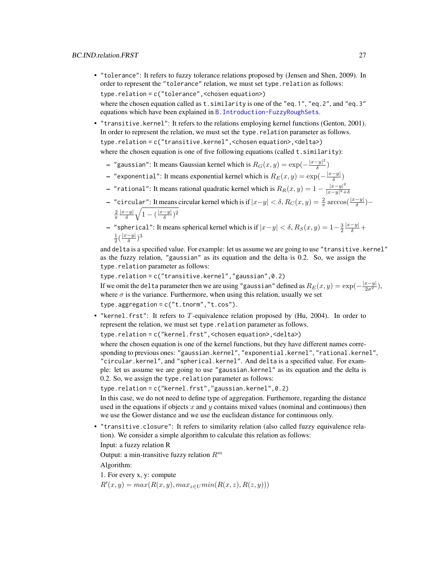• "tolerance": It refers to fuzzy tolerance relations proposed by (Jensen and Shen, 2009). In order to represent the "tolerance" relation, we must set type.relation as follows: type.relation = c("tolerance",<chosen equation>) where the chosen equation called as t. similarity is one of the "eq.1", "eq.2", and "eq.3"

equations which have been explained in [B.Introduction-FuzzyRoughSets](#page-16-1).

- "transitive.kernel": It refers to the relations employing kernel functions (Genton, 2001). In order to represent the relation, we must set the type. relation parameter as follows. type.relation = c("transitive.kernel",<chosen equation>,<delta>) where the chosen equation is one of five following equations (called t. similarity):
	- "gaussian": It means Gaussian kernel which is  $R_G(x,y) = \exp(-\frac{|x-y|^2}{\delta})$  $\frac{-y_{\|}}{\delta})$
	- "exponential": It means exponential kernel which is  $R_E(x,y) = \exp(-\frac{|x-y|}{\delta})$  $\frac{-y_1}{\delta})$
	- "rational": It means rational quadratic kernel which is  $R_R(x,y) = 1 \frac{|x-y|^2}{|x-y|^2+1}$  $|x-y|^2+\delta$
	- "circular": It means circular kernel which is if  $|x-y| < δ$ ,  $R_C(x,y) = \frac{2}{\pi} \arccos(\frac{|x-y|}{δ})$   $\frac{2}{\pi}$  $|x-y|$  $\frac{-y|}{\delta}\sqrt{1-(\frac{|x-y|}{\delta}}$  $\frac{-y|}{\delta}$ )<sup>2</sup>
	- "spherical": It means spherical kernel which is if  $|x-y| < δ$ ,  $R_S(x, y) = 1-\frac{3}{2}$  $\frac{|x-y|}{\delta} +$  $rac{1}{2}(\frac{|x-y|}{\delta})$  $\frac{-y|}{\delta})^3$

and delta is a specified value. For example: let us assume we are going to use "transitive.kernel" as the fuzzy relation, "gaussian" as its equation and the delta is 0.2. So, we assign the type.relation parameter as follows:

type.relation = c("transitive.kernel","gaussian",0.2) If we omit the delta parameter then we are using "gaussian" defined as  $R_E(x,y) = \exp(-\frac{|x-y|}{2\sigma^2})$ , where  $\sigma$  is the variance. Furthermore, when using this relation, usually we set type.aggregation =  $c("t.tnorm", "t.cos")$ .

• "kernel.frst": It refers to T-equivalence relation proposed by (Hu, 2004). In order to represent the relation, we must set type.relation parameter as follows.

type.relation = c("kernel.frst",<chosen equation>,<delta>)

where the chosen equation is one of the kernel functions, but they have different names corresponding to previous ones: "gaussian.kernel", "exponential.kernel", "rational.kernel", "circular.kernel", and "spherical.kernel". And delta is a specified value. For example: let us assume we are going to use "gaussian.kernel" as its equation and the delta is 0.2. So, we assign the type.relation parameter as follows:

type.relation = c("kernel.frst","gaussian.kernel",0.2)

In this case, we do not need to define type of aggregation. Furthemore, regarding the distance used in the equations if objects  $x$  and  $y$  contains mixed values (nominal and continuous) then we use the Gower distance and we use the euclidean distance for continuous only.

• "transitive.closure": It refers to similarity relation (also called fuzzy equivalence relation). We consider a simple algorithm to calculate this relation as follows:

Input: a fuzzy relation R

Output: a min-transitive fuzzy relation  $R^m$ 

Algorithm:

1. For every x, y: compute

 $R'(x, y) = max(R(x, y), max_{z \in U} min(R(x, z), R(z, y)))$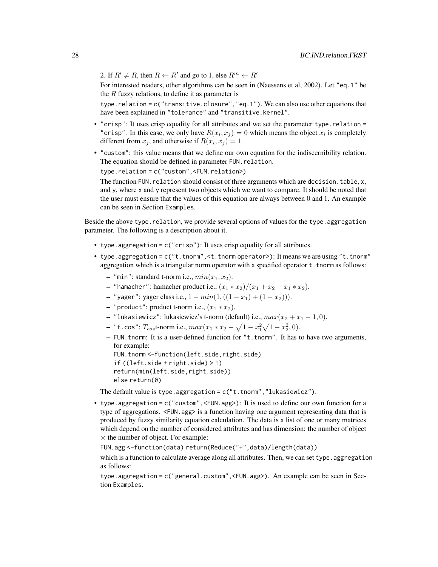2. If  $R' \neq R$ , then  $R \leftarrow R'$  and go to 1, else  $R^m \leftarrow R'$ 

For interested readers, other algorithms can be seen in (Naessens et al, 2002). Let "eq.1" be the  $R$  fuzzy relations, to define it as parameter is

type.relation = c("transitive.closure","eq.1"). We can also use other equations that have been explained in "tolerance" and "transitive.kernel".

- "crisp": It uses crisp equality for all attributes and we set the parameter type.relation = "crisp". In this case, we only have  $R(x_i, x_j) = 0$  which means the object  $x_i$  is completely different from  $x_j$ , and otherwise if  $R(x_i, x_j) = 1$ .
- "custom": this value means that we define our own equation for the indiscernibility relation. The equation should be defined in parameter FUN.relation.

type.relation = c("custom",<FUN.relation>)

The function FUN. relation should consist of three arguments which are decision. table, x, and y, where x and y represent two objects which we want to compare. It should be noted that the user must ensure that the values of this equation are always between 0 and 1. An example can be seen in Section Examples.

Beside the above type. relation, we provide several options of values for the type. aggregation parameter. The following is a description about it.

- type.aggregation = c("crisp"): It uses crisp equality for all attributes.
- type.aggregation = c("t.tnorm",<t.tnorm operator>): It means we are using "t.tnorm" aggregation which is a triangular norm operator with a specified operator t. tnorm as follows:
	- "min": standard t-norm i.e.,  $min(x_1, x_2)$ .
	- "hamacher": hamacher product i.e.,  $(x_1 * x_2)/(x_1 + x_2 x_1 * x_2)$ .
	- "yager": yager class i.e.,  $1 min(1, ((1 − x<sub>1</sub>) + (1 x<sub>2</sub>))).$
	- "product": product t-norm i.e.,  $(x_1 * x_2)$ .
	- "lukasiewicz": lukasiewicz's t-norm (default) i.e.,  $max(x_2 + x_1 1, 0)$ .
	- "t.cos":  $T_{cos}$ t-norm i.e.,  $max(x_1 * x_2 \sqrt{1-x_1^2}\sqrt{1-x_2^2}, 0)$ .
	- FUN.tnorm: It is a user-defined function for "t.tnorm". It has to have two arguments, for example:

```
FUN.tnorm <- function(left.side,right.side)
if ((left.side + right.side) > 1)
return(min(left.side,right.side))
else return(0)
```
The default value is type.aggregation =  $c("t.tnorm", "lukasiewicz").$ 

• type.aggregation = c("custom",<FUN.agg>): It is used to define our own function for a type of aggregations. <FUN.agg> is a function having one argument representing data that is produced by fuzzy similarity equation calculation. The data is a list of one or many matrices which depend on the number of considered attributes and has dimension: the number of object  $\times$  the number of object. For example:

FUN.agg <-function(data) return(Reduce("+",data)/length(data))

which is a function to calculate average along all attributes. Then, we can set type. aggregation as follows:

type.aggregation = c("general.custom",<FUN.agg>). An example can be seen in Section Examples.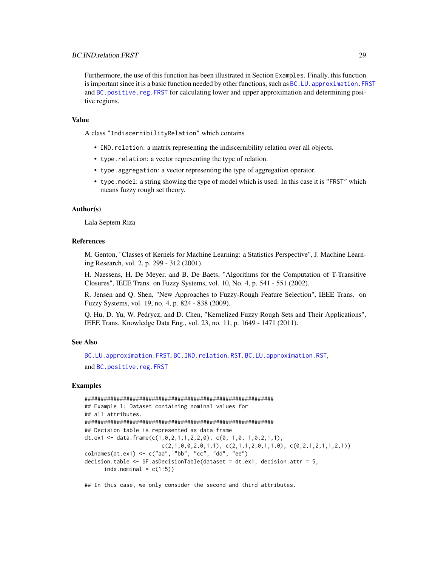Furthermore, the use of this function has been illustrated in Section Examples. Finally, this function is important since it is a basic function needed by other functions, such as BC.LU. approximation. FRST and [BC.positive.reg.FRST](#page-42-1) for calculating lower and upper approximation and determining positive regions.

#### Value

A class "IndiscernibilityRelation" which contains

- IND.relation: a matrix representing the indiscernibility relation over all objects.
- type.relation: a vector representing the type of relation.
- type.aggregation: a vector representing the type of aggregation operator.
- type.model: a string showing the type of model which is used. In this case it is "FRST" which means fuzzy rough set theory.

# Author(s)

Lala Septem Riza

# References

M. Genton, "Classes of Kernels for Machine Learning: a Statistics Perspective", J. Machine Learning Research, vol. 2, p. 299 - 312 (2001).

H. Naessens, H. De Meyer, and B. De Baets, "Algorithms for the Computation of T-Transitive Closures", IEEE Trans. on Fuzzy Systems, vol. 10, No. 4, p. 541 - 551 (2002).

R. Jensen and Q. Shen, "New Approaches to Fuzzy-Rough Feature Selection", IEEE Trans. on Fuzzy Systems, vol. 19, no. 4, p. 824 - 838 (2009).

Q. Hu, D. Yu, W. Pedrycz, and D. Chen, "Kernelized Fuzzy Rough Sets and Their Applications", IEEE Trans. Knowledge Data Eng., vol. 23, no. 11, p. 1649 - 1471 (2011).

# See Also

[BC.LU.approximation.FRST](#page-32-1), [BC.IND.relation.RST](#page-30-1), [BC.LU.approximation.RST](#page-39-1), and [BC.positive.reg.FRST](#page-42-1)

# Examples

```
###########################################################
## Example 1: Dataset containing nominal values for
## all attributes.
###########################################################
## Decision table is represented as data frame
dt.ex1 <- data.frame(c(1, 0, 2, 1, 1, 2, 2, 0), c(0, 1, 0, 1, 0, 2, 1, 1),
                        c(2,1,0,0,2,0,1,1), c(2,1,1,2,0,1,1,0), c(0,2,1,2,1,1,2,1))colnames(dt.ex1) <- c("aa", "bb", "cc", "dd", "ee")
decision.table <- SF.asDecisionTable(dataset = dt.ex1, decision.attr = 5,
      indx.nominal = c(1:5)
```
## In this case, we only consider the second and third attributes.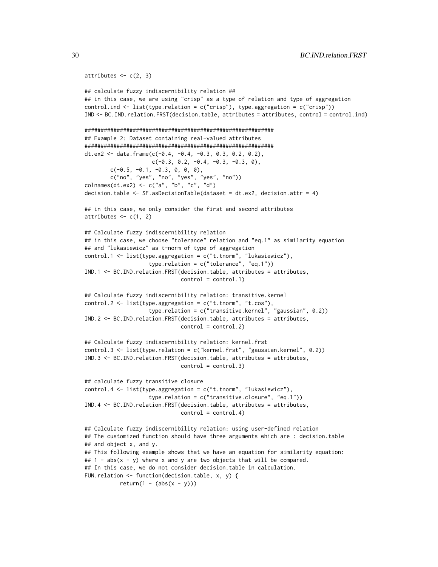```
attributes \leq c(2, 3)
```

```
## calculate fuzzy indiscernibility relation ##
## in this case, we are using "crisp" as a type of relation and type of aggregation
control.ind <- list(type.relation = c("crisp"), type.aggregation = c("crisp"))
IND <- BC.IND.relation.FRST(decision.table, attributes = attributes, control = control.ind)
###########################################################
## Example 2: Dataset containing real-valued attributes
###########################################################
dt.ex2 <- data.frame(c(-0.4, -0.4, -0.3, 0.3, 0.2, 0.2),
                    c(-0.3, 0.2, -0.4, -0.3, -0.3, 0),c(-0.5, -0.1, -0.3, 0, 0, 0),
       c("no", "yes", "no", "yes", "yes", "no"))
colnames(dt.ex2) <- c("a", "b", "c", "d")
decision.table \leq SF.asDecisionTable(dataset = dt.ex2, decision.attr = 4)
## in this case, we only consider the first and second attributes
attributes \leq c(1, 2)## Calculate fuzzy indiscernibility relation
## in this case, we choose "tolerance" relation and "eq.1" as similarity equation
## and "lukasiewicz" as t-norm of type of aggregation
control.1 <- list(type.aggregation = c("t.tnorm", "lukasiewicz"),
                    type.relation = c("tolerance", "eq.1"))
IND.1 <- BC.IND.relation.FRST(decision.table, attributes = attributes,
                              control = control.1)## Calculate fuzzy indiscernibility relation: transitive.kernel
control.2 <- list(type.aggregation = c("t.tnorm", "t.cos"),
                    type.relation = c("transitive.kernel", "gaussian", 0.2))
IND.2 <- BC.IND.relation.FRST(decision.table, attributes = attributes,
                             control = control.2)
## Calculate fuzzy indiscernibility relation: kernel.frst
control.3 <- list(type.relation = c("kernel.frst", "gaussian.kernel", 0.2))
IND.3 <- BC.IND.relation.FRST(decision.table, attributes = attributes,
                             control = control.3)## calculate fuzzy transitive closure
control.4 <- list(type.aggregation = c("t.tnorm", "lukasiewicz"),
                    type.relation = c("transitive.closure", "eq.1"))
IND.4 <- BC.IND.relation.FRST(decision.table, attributes = attributes,
                              control = control.4)## Calculate fuzzy indiscernibility relation: using user-defined relation
## The customized function should have three arguments which are : decision.table
## and object x, and y.
## This following example shows that we have an equation for similarity equation:
## 1 - abs(x - y) where x and y are two objects that will be compared.
## In this case, we do not consider decision.table in calculation.
FUN.relation <- function(decision.table, x, y) {
          return(1 - (abs(x - y)))
```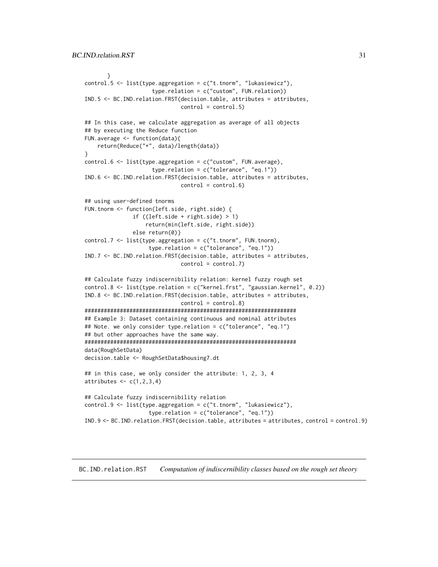```
}
control.5 <- list(type.aggregation = c("t.tnorm", "lukasiewicz"),
                     type.relation = c("custom", FUN.relation))
IND.5 <- BC.IND.relation.FRST(decision.table, attributes = attributes,
                              control = control.5)## In this case, we calculate aggregation as average of all objects
## by executing the Reduce function
FUN.average <- function(data){
    return(Reduce("+", data)/length(data))
}
control.6 <- list(type.aggregation = c("custom", FUN.average),
                     type.relation = c("tolerance", "eq.1"))
IND.6 <- BC.IND.relation.FRST(decision.table, attributes = attributes,
                              control = control.6)## using user-defined tnorms
FUN.tnorm <- function(left.side, right.side) {
               if ((left.size + right.size) > 1)return(min(left.side, right.side))
               else return(0)}
control.7 <- list(type.aggregation = c("t.tnorm", FUN.tnorm),
                    type.relation = c("tolerance", "eq.1"))
IND.7 <- BC.IND.relation.FRST(decision.table, attributes = attributes,
                              control = control.7)## Calculate fuzzy indiscernibility relation: kernel fuzzy rough set
control.8 <- list(type.relation = c("kernel.frst", "gaussian.kernel", 0.2))
IND.8 <- BC.IND.relation.FRST(decision.table, attributes = attributes,
                              control = control.8)##################################################################
## Example 3: Dataset containing continuous and nominal attributes
## Note. we only consider type.relation = c("tolerance", "eq.1")
## but other approaches have the same way.
##################################################################
data(RoughSetData)
decision.table <- RoughSetData$housing7.dt
## in this case, we only consider the attribute: 1, 2, 3, 4
attributes \leq c(1,2,3,4)## Calculate fuzzy indiscernibility relation
control.9 <- list(type.aggregation = c("t.tnorm", "lukasiewicz"),
                    type.relation = c("tolerance", "eq.1"))
IND.9 <- BC.IND.relation.FRST(decision.table, attributes = attributes, control = control.9)
```
#### <span id="page-30-1"></span>BC.IND.relation.RST *Computation of indiscernibility classes based on the rough set theory*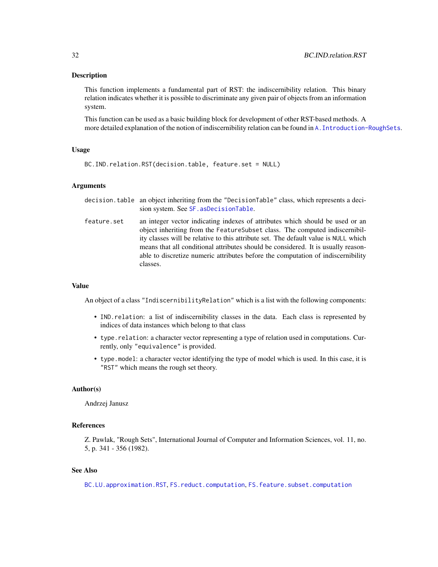# Description

This function implements a fundamental part of RST: the indiscernibility relation. This binary relation indicates whether it is possible to discriminate any given pair of objects from an information system.

This function can be used as a basic building block for development of other RST-based methods. A more detailed explanation of the notion of indiscernibility relation can be found in [A.Introduction-RoughSets](#page-12-1).

#### Usage

```
BC.IND.relation.RST(decision.table, feature.set = NULL)
```
# Arguments

|             | decision. table an object inheriting from the "DecisionTable" class, which represents a deci-<br>sion system. See SF. as Decision Table.                                                                                                                                                                                                                                                                                                  |
|-------------|-------------------------------------------------------------------------------------------------------------------------------------------------------------------------------------------------------------------------------------------------------------------------------------------------------------------------------------------------------------------------------------------------------------------------------------------|
| feature.set | an integer vector indicating indexes of attributes which should be used or an<br>object inheriting from the Feature Subset class. The computed indiscernibil-<br>ity classes will be relative to this attribute set. The default value is NULL which<br>means that all conditional attributes should be considered. It is usually reason-<br>able to discretize numeric attributes before the computation of indiscernibility<br>classes. |

# Value

An object of a class "IndiscernibilityRelation" which is a list with the following components:

- IND.relation: a list of indiscernibility classes in the data. Each class is represented by indices of data instances which belong to that class
- type.relation: a character vector representing a type of relation used in computations. Currently, only "equivalence" is provided.
- type.model: a character vector identifying the type of model which is used. In this case, it is "RST" which means the rough set theory.

#### Author(s)

Andrzej Janusz

# References

Z. Pawlak, "Rough Sets", International Journal of Computer and Information Sciences, vol. 11, no. 5, p. 341 - 356 (1982).

# See Also

[BC.LU.approximation.RST](#page-39-1), [FS.reduct.computation](#page-81-1), [FS.feature.subset.computation](#page-63-1)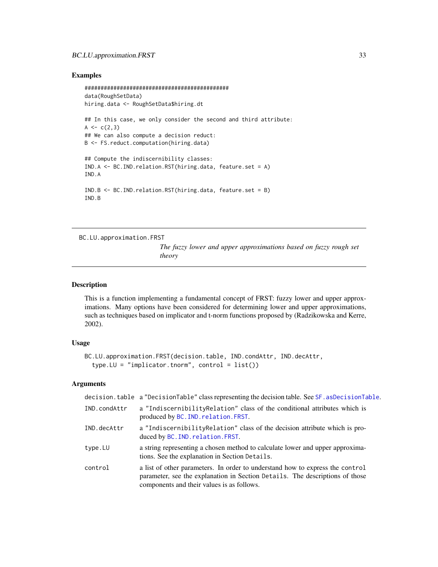# <span id="page-32-0"></span>BC.LU.approximation.FRST 33

# Examples

```
#############################################
data(RoughSetData)
hiring.data <- RoughSetData$hiring.dt
## In this case, we only consider the second and third attribute:
A \leftarrow c(2,3)## We can also compute a decision reduct:
B <- FS.reduct.computation(hiring.data)
## Compute the indiscernibility classes:
IND.A <- BC.IND.relation.RST(hiring.data, feature.set = A)
IND.A
IND.B <- BC.IND.relation.RST(hiring.data, feature.set = B)
IND.B
```
<span id="page-32-1"></span>BC.LU.approximation.FRST

*The fuzzy lower and upper approximations based on fuzzy rough set theory*

#### Description

This is a function implementing a fundamental concept of FRST: fuzzy lower and upper approximations. Many options have been considered for determining lower and upper approximations, such as techniques based on implicator and t-norm functions proposed by (Radzikowska and Kerre, 2002).

# Usage

```
BC.LU.approximation.FRST(decision.table, IND.condAttr, IND.decAttr,
  type.LU = "implicitOr.tnorm", control = list()
```
# Arguments

|              | decision.table a "DecisionTable" class representing the decision table. See SF. asDecisionTable.                                                                                                            |
|--------------|-------------------------------------------------------------------------------------------------------------------------------------------------------------------------------------------------------------|
| IND.condAttr | a "Indiscernibility Relation" class of the conditional attributes which is<br>produced by BC. IND. relation. FRST.                                                                                          |
| IND.decAttr  | a "Indiscernibility Relation" class of the decision attribute which is pro-<br>duced by BC. IND. relation. FRST.                                                                                            |
| type.LU      | a string representing a chosen method to calculate lower and upper approxima-<br>tions. See the explanation in Section Details.                                                                             |
| control      | a list of other parameters. In order to understand how to express the control<br>parameter, see the explanation in Section Details. The descriptions of those<br>components and their values is as follows. |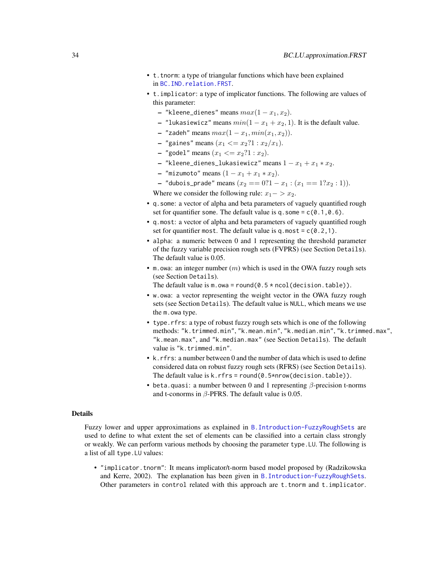- t.tnorm: a type of triangular functions which have been explained in [BC.IND.relation.FRST](#page-25-1).
- t.implicator: a type of implicator functions. The following are values of this parameter:
	- "kleene\_dienes" means  $max(1 x_1, x_2)$ .
	- "lukasiewicz" means  $min(1 x_1 + x_2, 1)$ . It is the default value.
	- "zadeh" means  $max(1 x_1, min(x_1, x_2))$ .
	- "gaines" means  $(x_1 \le x_2$ ?1 :  $x_2/x_1$ ).
	- "godel" means  $(x_1 \le x_2$ ?1 :  $x_2$ ).
	- "kleene\_dienes\_lukasiewicz" means  $1 x_1 + x_1 * x_2$ .
	- "mizumoto" means  $(1 x_1 + x_1 * x_2)$ .
	- "dubois\_prade" means  $(x_2 == 0.1 x_1 : (x_1 == 1.2x_2 : 1)).$

Where we consider the following rule:  $x_1 - > x_2$ .

- q.some: a vector of alpha and beta parameters of vaguely quantified rough set for quantifier some. The default value is q. some =  $c(0.1, 0.6)$ .
- q.most: a vector of alpha and beta parameters of vaguely quantified rough set for quantifier most. The default value is q.most =  $c(0.2,1)$ .
- alpha: a numeric between 0 and 1 representing the threshold parameter of the fuzzy variable precision rough sets (FVPRS) (see Section Details). The default value is 0.05.
- m.owa: an integer number  $(m)$  which is used in the OWA fuzzy rough sets (see Section Details).
	- The default value is  $m.$  owa = round(0.5  $*$  ncol(decision.table)).
- w.owa: a vector representing the weight vector in the OWA fuzzy rough sets (see Section Details). The default value is NULL, which means we use the m.owa type.
- type.rfrs: a type of robust fuzzy rough sets which is one of the following methods: "k.trimmed.min", "k.mean.min", "k.median.min", "k.trimmed.max", "k.mean.max", and "k.median.max" (see Section Details). The default value is "k.trimmed.min".
- k.rfrs: a number between 0 and the number of data which is used to define considered data on robust fuzzy rough sets (RFRS) (see Section Details). The default value is  $k.rfrs = round(0.5*nrow(decision_table)).$
- beta.quasi: a number between 0 and 1 representing  $\beta$ -precision t-norms and t-conorms in  $\beta$ -PFRS. The default value is 0.05.

# Details

Fuzzy lower and upper approximations as explained in [B.Introduction-FuzzyRoughSets](#page-16-1) are used to define to what extent the set of elements can be classified into a certain class strongly or weakly. We can perform various methods by choosing the parameter type.LU. The following is a list of all type.LU values:

• "implicator.tnorm": It means implicator/t-norm based model proposed by (Radzikowska and Kerre, 2002). The explanation has been given in [B.Introduction-FuzzyRoughSets](#page-16-1). Other parameters in control related with this approach are t.tnorm and t.implicator.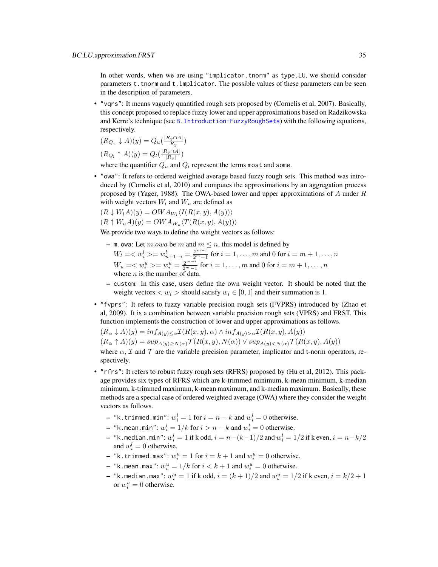In other words, when we are using "implicator.tnorm" as type.LU, we should consider parameters t.tnorm and t.implicator. The possible values of these parameters can be seen in the description of parameters.

• "vqrs": It means vaguely quantified rough sets proposed by (Cornelis et al, 2007). Basically, this concept proposed to replace fuzzy lower and upper approximations based on Radzikowska and Kerre's technique (see [B.Introduction-FuzzyRoughSets](#page-16-1)) with the following equations, respectively.

$$
(R_{Q_u} \downarrow A)(y) = Q_u(\frac{|R_y \cap A|}{|R_y|})
$$

$$
(R_{Q_l} \uparrow A)(y) = Q_l(\frac{|R_y \cap A|}{|R_y|})
$$

where the quantifier  $Q_u$  and  $Q_l$  represent the terms most and some.

• "owa": It refers to ordered weighted average based fuzzy rough sets. This method was introduced by (Cornelis et al, 2010) and computes the approximations by an aggregation process proposed by (Yager, 1988). The OWA-based lower and upper approximations of  $A$  under  $R$ with weight vectors  $W_l$  and  $W_u$  are defined as

$$
(R \downarrow W_l A)(y) = OWA_{W_l} \langle I(R(x, y), A(y)) \rangle
$$

$$
(R \uparrow W_u A)(y) = OWA_{W_u} \langle T(R(x, y), A(y)) \rangle
$$

We provide two ways to define the weight vectors as follows:

- m.owa: Let  $m.owa$  be  $m$  and  $m \leq n$ , this model is defined by  $W_l = \langle w_i^l \rangle = w_{n+1-i}^l = \frac{2^{m-i}}{2^m-1}$  for  $i = 1, \ldots, m$  and 0 for  $i = m+1, \ldots, n$  $W_u = \langle w_i^u \rangle = w_i^u = \frac{2^{m-i}}{2^m-1}$  for  $i = 1, \dots, m$  and 0 for  $i = m + 1, \dots, n$ where  $n$  is the number of data.
- custom: In this case, users define the own weight vector. It should be noted that the weight vectors  $\langle w_i \rangle$  should satisfy  $w_i \in [0, 1]$  and their summation is 1.
- "fvprs": It refers to fuzzy variable precision rough sets (FVPRS) introduced by (Zhao et al, 2009). It is a combination between variable precision rough sets (VPRS) and FRST. This function implements the construction of lower and upper approximations as follows.

$$
(R_{\alpha} \downarrow A)(y) = \inf_{A(y) \leq \alpha} \mathcal{I}(R(x, y), \alpha) \wedge \inf_{A(y) > \alpha} \mathcal{I}(R(x, y), A(y))
$$

 $(R_{\alpha} \uparrow A)(y) = \sup_{A(y) \geq N(\alpha)} \mathcal{T}(R(x, y), N(\alpha)) \vee \sup_{A(y) < N(\alpha)} \mathcal{T}(R(x, y), A(y))$ 

where  $\alpha$ ,  $\mathcal I$  and  $\mathcal T$  are the variable precision parameter, implicator and t-norm operators, respectively.

- "rfrs": It refers to robust fuzzy rough sets (RFRS) proposed by (Hu et al, 2012). This package provides six types of RFRS which are k-trimmed minimum, k-mean minimum, k-median minimum, k-trimmed maximum, k-mean maximum, and k-median maximum. Basically, these methods are a special case of ordered weighted average (OWA) where they consider the weight vectors as follows.
	- "k.trimmed.min":  $w_i^l = 1$  for  $i = n k$  and  $w_i^l = 0$  otherwise.
	- "k.mean.min":  $w_i^l = 1/k$  for  $i > n k$  and  $w_i^l = 0$  otherwise.
	- "k.median.min":  $w_i^l = 1$  if k odd,  $i = n (k-1)/2$  and  $w_i^l = 1/2$  if k even,  $i = n k/2$ and  $w_i^l = 0$  otherwise.
	- "k.trimmed.max":  $w_i^u = 1$  for  $i = k + 1$  and  $w_i^u = 0$  otherwise.
	- "k.mean.max":  $w_i^u = 1/k$  for  $i < k+1$  and  $w_i^u = 0$  otherwise.
	- $-$  "k.median.max":  $w_i^u = 1$  if k odd,  $i = (k+1)/2$  and  $w_i^u = 1/2$  if k even,  $i = k/2 + 1$ or  $w_i^u = 0$  otherwise.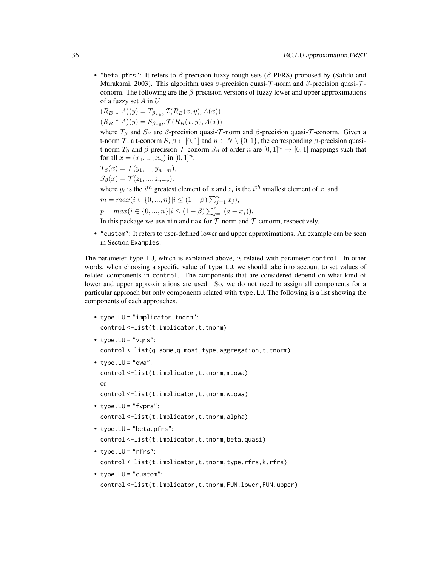• "beta.pfrs": It refers to β-precision fuzzy rough sets (β-PFRS) proposed by (Salido and Murakami, 2003). This algorithm uses β-precision quasi- $\tau$ -norm and β-precision quasi- $\tau$ conorm. The following are the  $\beta$ -precision versions of fuzzy lower and upper approximations of a fuzzy set  $A$  in  $U$ 

$$
(R_B \downarrow A)(y) = T_{\beta_{x \in U}} \mathcal{I}(R_B(x, y), A(x))
$$
  
\n
$$
(R_B \uparrow A)(y) = S_{\beta_{x \in U}} \mathcal{T}(R_B(x, y), A(x))
$$

where  $T_\beta$  and  $S_\beta$  are  $\beta$ -precision quasi- $\mathcal T$ -norm and  $\beta$ -precision quasi- $\mathcal T$ -conorm. Given a t-norm T, a t-conorm  $S, \beta \in [0, 1]$  and  $n \in N \setminus \{0, 1\}$ , the corresponding  $\beta$ -precision quasit-norm  $T_\beta$  and  $\beta$ -precision- $\mathcal T$ -conorm  $S_\beta$  of order n are  $[0,1]^n \to [0,1]$  mappings such that for all  $x = (x_1, ..., x_n)$  in  $[0, 1]^n$ ,

$$
T_{\beta}(x) = \mathcal{T}(y_1, ..., y_{n-m}),
$$

$$
S_{\beta}(x) = I(z_1, ..., z_{n-p}),
$$

where  $y_i$  is the  $i^{th}$  greatest element of x and  $z_i$  is the  $i^{th}$  smallest element of x, and

$$
m = max(i \in \{0, ..., n\} | i \le (1 - \beta) \sum_{j=1}^{n} x_j),
$$

$$
p = max(i \in \{0, ..., n\} | i \le (1 - \beta) \sum_{j=1}^{n} (a - x_j)).
$$

In this package we use min and max for  $\mathcal T$ -norm and  $\mathcal T$ -conorm, respectively.

• "custom": It refers to user-defined lower and upper approximations. An example can be seen in Section Examples.

The parameter type.LU, which is explained above, is related with parameter control. In other words, when choosing a specific value of type.LU, we should take into account to set values of related components in control. The components that are considered depend on what kind of lower and upper approximations are used. So, we do not need to assign all components for a particular approach but only components related with type.LU. The following is a list showing the components of each approaches.

- type.LU = "implicator.tnorm": control <-list(t.implicator,t.tnorm)  $\bullet$  type. LU = "vgrs": control <-list(q.some,q.most,type.aggregation,t.tnorm) • type.  $LU = "owa":$ control <-list(t.implicator,t.tnorm,m.owa) or control <-list(t.implicator,t.tnorm,w.owa) • type.LU = "fvprs": control <-list(t.implicator,t.tnorm,alpha) • type.LU = "beta.pfrs": control <-list(t.implicator,t.tnorm, beta.quasi)
- type.LU =  $"rfrs":$ control <-list(t.implicator,t.tnorm,type.rfrs,k.rfrs)
- type.LU = "custom": control <-list(t.implicator,t.tnorm,FUN.lower,FUN.upper)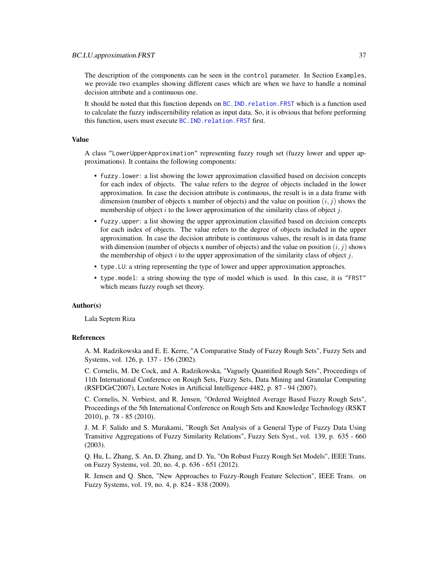The description of the components can be seen in the control parameter. In Section Examples, we provide two examples showing different cases which are when we have to handle a nominal decision attribute and a continuous one.

It should be noted that this function depends on [BC.IND.relation.FRST](#page-25-0) which is a function used to calculate the fuzzy indiscernibility relation as input data. So, it is obvious that before performing this function, users must execute [BC.IND.relation.FRST](#page-25-0) first.

#### Value

A class "LowerUpperApproximation" representing fuzzy rough set (fuzzy lower and upper approximations). It contains the following components:

- fuzzy.lower: a list showing the lower approximation classified based on decision concepts for each index of objects. The value refers to the degree of objects included in the lower approximation. In case the decision attribute is continuous, the result is in a data frame with dimension (number of objects x number of objects) and the value on position  $(i, j)$  shows the membership of object i to the lower approximation of the similarity class of object i.
- fuzzy.upper: a list showing the upper approximation classified based on decision concepts for each index of objects. The value refers to the degree of objects included in the upper approximation. In case the decision attribute is continuous values, the result is in data frame with dimension (number of objects x number of objects) and the value on position  $(i, j)$  shows the membership of object  $i$  to the upper approximation of the similarity class of object  $j$ .
- type.LU: a string representing the type of lower and upper approximation approaches.
- type.model: a string showing the type of model which is used. In this case, it is "FRST" which means fuzzy rough set theory.

#### Author(s)

Lala Septem Riza

#### References

A. M. Radzikowska and E. E. Kerre, "A Comparative Study of Fuzzy Rough Sets", Fuzzy Sets and Systems, vol. 126, p. 137 - 156 (2002).

C. Cornelis, M. De Cock, and A. Radzikowska, "Vaguely Quantified Rough Sets", Proceedings of 11th International Conference on Rough Sets, Fuzzy Sets, Data Mining and Granular Computing (RSFDGrC2007), Lecture Notes in Artificial Intelligence 4482, p. 87 - 94 (2007).

C. Cornelis, N. Verbiest, and R. Jensen, "Ordered Weighted Average Based Fuzzy Rough Sets", Proceedings of the 5th International Conference on Rough Sets and Knowledge Technology (RSKT 2010), p. 78 - 85 (2010).

J. M. F. Salido and S. Murakami, "Rough Set Analysis of a General Type of Fuzzy Data Using Transitive Aggregations of Fuzzy Similarity Relations", Fuzzy Sets Syst., vol. 139, p. 635 - 660 (2003).

Q. Hu, L. Zhang, S. An, D. Zhang, and D. Yu, "On Robust Fuzzy Rough Set Models", IEEE Trans. on Fuzzy Systems, vol. 20, no. 4, p. 636 - 651 (2012).

R. Jensen and Q. Shen, "New Approaches to Fuzzy-Rough Feature Selection", IEEE Trans. on Fuzzy Systems, vol. 19, no. 4, p. 824 - 838 (2009).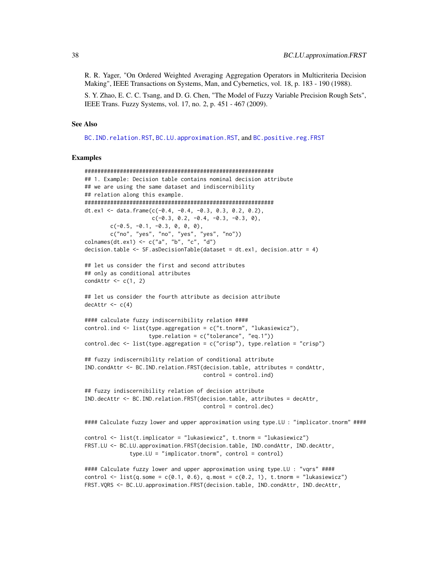R. R. Yager, "On Ordered Weighted Averaging Aggregation Operators in Multicriteria Decision Making", IEEE Transactions on Systems, Man, and Cybernetics, vol. 18, p. 183 - 190 (1988).

S. Y. Zhao, E. C. C. Tsang, and D. G. Chen, "The Model of Fuzzy Variable Precision Rough Sets", IEEE Trans. Fuzzy Systems, vol. 17, no. 2, p. 451 - 467 (2009).

#### See Also

[BC.IND.relation.RST](#page-30-0), [BC.LU.approximation.RST](#page-39-0), and [BC.positive.reg.FRST](#page-42-0)

```
###########################################################
## 1. Example: Decision table contains nominal decision attribute
## we are using the same dataset and indiscernibility
## relation along this example.
###########################################################
dt.ex1 <- data.frame(c(-0.4, -0.4, -0.3, 0.3, 0.2, 0.2),
                     c(-0.3, 0.2, -0.4, -0.3, -0.3, 0),c(-0.5, -0.1, -0.3, 0, 0, 0),
        c("no", "yes", "no", "yes", "yes", "no"))
colnames(dt.ex1) <- c("a", "b", "c", "d")
decision.table <- SF.asDecisionTable(dataset = dt.ex1, decision.attr = 4)
## let us consider the first and second attributes
## only as conditional attributes
condAttr \leftarrow c(1, 2)## let us consider the fourth attribute as decision attribute
decAttr < -c(4)#### calculate fuzzy indiscernibility relation ####
control.ind \leq list(type.aggregation = c("t.tnorm", "lukasiewicz"),type.relation = c("tolerance", "eq.1"))
control.dec \leq list(type.aggregation = c("crisp"), type.relation = "crisp")
## fuzzy indiscernibility relation of conditional attribute
IND.condAttr <- BC.IND.relation.FRST(decision.table, attributes = condAttr,
                                     control = control.ind)## fuzzy indiscernibility relation of decision attribute
IND.decAttr <- BC.IND.relation.FRST(decision.table, attributes = decAttr,
                                     control = control.dec)
#### Calculate fuzzy lower and upper approximation using type.LU : "implicator.tnorm" ####
control <- list(t.implicator = "lukasiewicz", t.tnorm = "lukasiewicz")
FRST.LU <- BC.LU.approximation.FRST(decision.table, IND.condAttr, IND.decAttr,
              type.LU = "implicator.tnorm", control = control)
#### Calculate fuzzy lower and upper approximation using type.LU : "vqrs" ####
control \le list(q.some = c(0.1, 0.6), q.most = c(0.2, 1), t.tnorm = "lukasiewicz")
FRST.VQRS <- BC.LU.approximation.FRST(decision.table, IND.condAttr, IND.decAttr,
```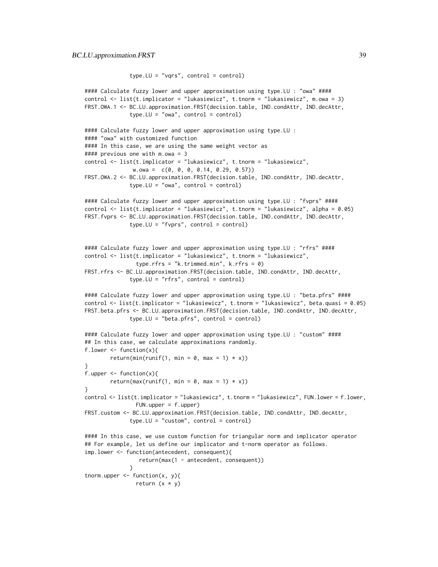```
type.LU = "vqrs", control = control)
```

```
#### Calculate fuzzy lower and upper approximation using type.LU : "owa" ####
control \le list(t.implicator = "lukasiewicz", t.tnorm = "lukasiewicz", m.owa = 3)
FRST.OWA.1 <- BC.LU.approximation.FRST(decision.table, IND.condAttr, IND.decAttr,
              type.LU = "owa", control = control)#### Calculate fuzzy lower and upper approximation using type.LU :
#### "owa" with customized function
#### In this case, we are using the same weight vector as
#### previous one with m.owa = 3
control <- list(t.implicator = "lukasiewicz", t.tnorm = "lukasiewicz",
               w.owa = c(0, 0, 0, 0.14, 0.29, 0.57))
FRST.OWA.2 <- BC.LU.approximation.FRST(decision.table, IND.condAttr, IND.decAttr,
              type.LU = "owa", control = control)#### Calculate fuzzy lower and upper approximation using type.LU : "fvprs" ####
control <- list(t.implicator = "lukasiewicz", t.tnorm = "lukasiewicz", alpha = 0.05)
FRST.fvprs <- BC.LU.approximation.FRST(decision.table, IND.condAttr, IND.decAttr,
              type.LU = "fvprs", control = control)
#### Calculate fuzzy lower and upper approximation using type.LU : "rfrs" ####
control <- list(t.implicator = "lukasiewicz", t.tnorm = "lukasiewicz",
                type.rfrs = "k.trimmed.min", k.rfrs = 0)
FRST.rfrs <- BC.LU.approximation.FRST(decision.table, IND.condAttr, IND.decAttr,
              type.LU = "rfrs", control = control)#### Calculate fuzzy lower and upper approximation using type.LU : "beta.pfrs" ####
control <- list(t.implicator = "lukasiewicz", t.tnorm = "lukasiewicz", beta.quasi = 0.05)
FRST.beta.pfrs <- BC.LU.approximation.FRST(decision.table, IND.condAttr, IND.decAttr,
              type.LU = "beta.pfrs", control = control)#### Calculate fuzzy lower and upper approximation using type.LU : "custom" ####
## In this case, we calculate approximations randomly.
f.lower \leq function(x){
       return(min(runif(1, min = 0, max = 1) * x))
}
f.upper <- function(x){
        return(max(runif(1, min = 0, max = 1) * x))
}
control <- list(t.implicator = "lukasiewicz", t.tnorm = "lukasiewicz", FUN.lower = f.lower,
                FUN.upper = f.upper)
FRST.custom <- BC.LU.approximation.FRST(decision.table, IND.condAttr, IND.decAttr,
              type.LU = "custom", control = control)#### In this case, we use custom function for triangular norm and implicator operator
## For example, let us define our implicator and t-norm operator as follows.
imp.lower <- function(antecedent, consequent){
                 return(max(1 - antecedent, consequent))
             }
tnorm.upper \leq function(x, y){
                return (x * y)
```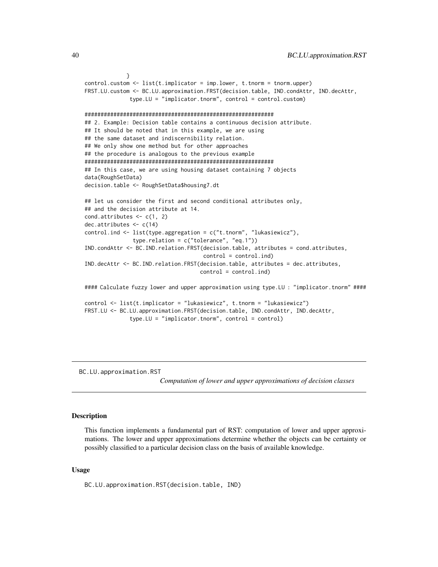```
}
control.custom <- list(t.implicator = imp.lower, t.tnorm = tnorm.upper)
FRST.LU.custom <- BC.LU.approximation.FRST(decision.table, IND.condAttr, IND.decAttr,
              type.LU = "implicitator.tnorm", control = control.custom)###########################################################
## 2. Example: Decision table contains a continuous decision attribute.
## It should be noted that in this example, we are using
## the same dataset and indiscernibility relation.
## We only show one method but for other approaches
## the procedure is analogous to the previous example
###########################################################
## In this case, we are using housing dataset containing 7 objects
data(RoughSetData)
decision.table <- RoughSetData$housing7.dt
## let us consider the first and second conditional attributes only,
## and the decision attribute at 14.
cond.attributes \leq c(1, 2)dec.attributes <- c(14)
control.ind <- list(type.aggregation = c("t.tnorm", "lukasiewicz"),
               type.relation = c("tolerance", "eq.1"))
IND.condAttr <- BC.IND.relation.FRST(decision.table, attributes = cond.attributes,
                                     control = control.ind)
IND.decAttr <- BC.IND.relation.FRST(decision.table, attributes = dec.attributes,
                                    control = control.ind)
#### Calculate fuzzy lower and upper approximation using type.LU : "implicator.tnorm" ####
control <- list(t.implicator = "lukasiewicz", t.tnorm = "lukasiewicz")
FRST.LU <- BC.LU.approximation.FRST(decision.table, IND.condAttr, IND.decAttr,
              type.LU = "implicator.tnorm", control = control)
```
<span id="page-39-0"></span>BC.LU.approximation.RST

*Computation of lower and upper approximations of decision classes*

# Description

This function implements a fundamental part of RST: computation of lower and upper approximations. The lower and upper approximations determine whether the objects can be certainty or possibly classified to a particular decision class on the basis of available knowledge.

#### Usage

BC.LU.approximation.RST(decision.table, IND)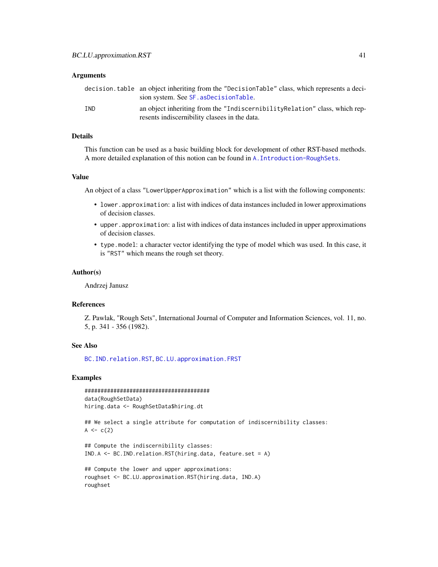## **Arguments**

|     | decision.table an object inheriting from the "DecisionTable" class, which represents a deci-<br>sion system. See SF. asDecisionTable. |
|-----|---------------------------------------------------------------------------------------------------------------------------------------|
| IND | an object inheriting from the "Indiscernibility Relation" class, which rep-<br>resents indiscernibility clasees in the data.          |

#### Details

This function can be used as a basic building block for development of other RST-based methods. A more detailed explanation of this notion can be found in [A.Introduction-RoughSets](#page-12-0).

# Value

An object of a class "LowerUpperApproximation" which is a list with the following components:

- lower.approximation: a list with indices of data instances included in lower approximations of decision classes.
- upper.approximation: a list with indices of data instances included in upper approximations of decision classes.
- type.model: a character vector identifying the type of model which was used. In this case, it is "RST" which means the rough set theory.

#### Author(s)

Andrzej Janusz

## References

Z. Pawlak, "Rough Sets", International Journal of Computer and Information Sciences, vol. 11, no. 5, p. 341 - 356 (1982).

## See Also

[BC.IND.relation.RST](#page-30-0), [BC.LU.approximation.FRST](#page-32-0)

```
#######################################
data(RoughSetData)
hiring.data <- RoughSetData$hiring.dt
```

```
## We select a single attribute for computation of indiscernibility classes:
A \leq -c(2)
```

```
## Compute the indiscernibility classes:
IND.A <- BC.IND.relation.RST(hiring.data, feature.set = A)
```

```
## Compute the lower and upper approximations:
roughset <- BC.LU.approximation.RST(hiring.data, IND.A)
roughset
```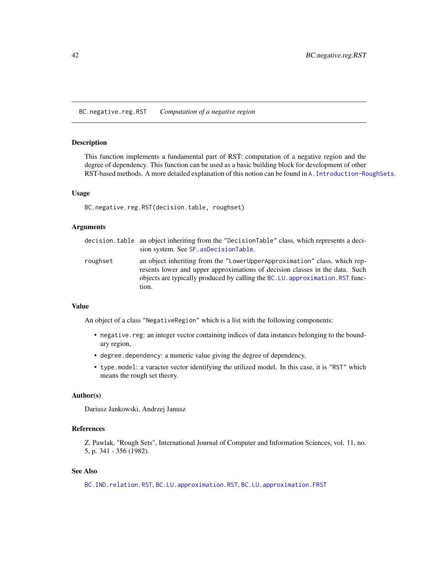BC.negative.reg.RST *Computation of a negative region*

# Description

This function implements a fundamental part of RST: computation of a negative region and the degree of dependency. This function can be used as a basic building block for development of other RST-based methods. A more detailed explanation of this notion can be found in [A.Introduction-RoughSets](#page-12-0).

#### Usage

```
BC.negative.reg.RST(decision.table, roughset)
```
# Arguments

- decision.table an object inheriting from the "DecisionTable" class, which represents a decision system. See [SF.asDecisionTable](#page-113-0).
- roughset an object inheriting from the "LowerUpperApproximation" class, which represents lower and upper approximations of decision classes in the data. Such objects are typically produced by calling the [BC.LU.approximation.RST](#page-39-0) function.

# Value

An object of a class "NegativeRegion" which is a list with the following components:

- negative.reg: an integer vector containing indices of data instances belonging to the boundary region,
- degree.dependency: a numeric value giving the degree of dependency,
- type.model: a varacter vector identifying the utilized model. In this case, it is "RST" which means the rough set theory.

#### Author(s)

Dariusz Jankowski, Andrzej Janusz

# References

Z. Pawlak, "Rough Sets", International Journal of Computer and Information Sciences, vol. 11, no. 5, p. 341 - 356 (1982).

# See Also

[BC.IND.relation.RST](#page-30-0), [BC.LU.approximation.RST](#page-39-0), [BC.LU.approximation.FRST](#page-32-0)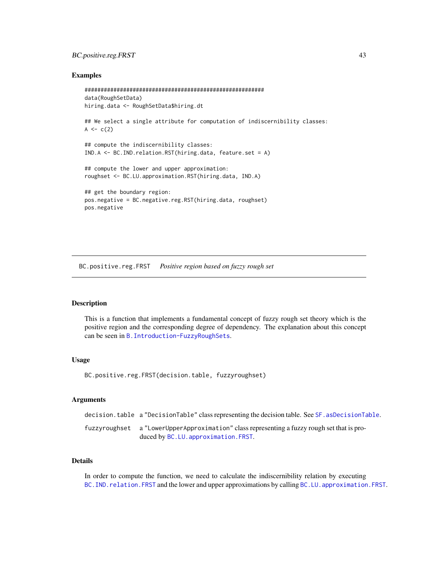# BC.positive.reg.FRST 43

## Examples

```
########################################################
data(RoughSetData)
hiring.data <- RoughSetData$hiring.dt
## We select a single attribute for computation of indiscernibility classes:
A \leftarrow c(2)## compute the indiscernibility classes:
IND.A <- BC.IND.relation.RST(hiring.data, feature.set = A)
## compute the lower and upper approximation:
roughset <- BC.LU.approximation.RST(hiring.data, IND.A)
## get the boundary region:
pos.negative = BC.negative.reg.RST(hiring.data, roughset)
pos.negative
```
<span id="page-42-0"></span>BC.positive.reg.FRST *Positive region based on fuzzy rough set*

# Description

This is a function that implements a fundamental concept of fuzzy rough set theory which is the positive region and the corresponding degree of dependency. The explanation about this concept can be seen in [B.Introduction-FuzzyRoughSets](#page-16-0).

#### Usage

BC.positive.reg.FRST(decision.table, fuzzyroughset)

## **Arguments**

decision.table a "DecisionTable" class representing the decision table. See [SF.asDecisionTable](#page-113-0).

fuzzyroughset a "LowerUpperApproximation" class representing a fuzzy rough set that is produced by [BC.LU.approximation.FRST](#page-32-0).

# Details

In order to compute the function, we need to calculate the indiscernibility relation by executing BC. IND. relation. FRST and the lower and upper approximations by calling BC. LU. approximation. FRST.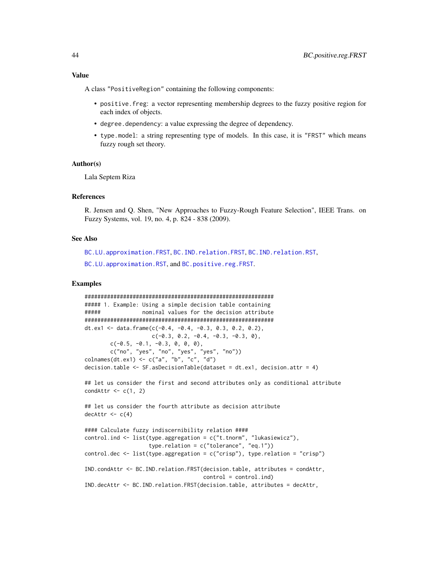A class "PositiveRegion" containing the following components:

- positive.freg: a vector representing membership degrees to the fuzzy positive region for each index of objects.
- degree.dependency: a value expressing the degree of dependency.
- type.model: a string representing type of models. In this case, it is "FRST" which means fuzzy rough set theory.

#### Author(s)

Lala Septem Riza

# References

R. Jensen and Q. Shen, "New Approaches to Fuzzy-Rough Feature Selection", IEEE Trans. on Fuzzy Systems, vol. 19, no. 4, p. 824 - 838 (2009).

### See Also

[BC.LU.approximation.FRST](#page-32-0), [BC.IND.relation.FRST](#page-25-0), [BC.IND.relation.RST](#page-30-0), [BC.LU.approximation.RST](#page-39-0), and [BC.positive.reg.FRST](#page-42-0).

```
###########################################################
##### 1. Example: Using a simple decision table containing
##### nominal values for the decision attribute
###########################################################
dt.ex1 <- data.frame(c(-0.4, -0.4, -0.3, 0.3, 0.2, 0.2),
                    c(-0.3, 0.2, -0.4, -0.3, -0.3, 0),c(-0.5, -0.1, -0.3, 0, 0, 0),
       c("no", "yes", "no", "yes", "yes", "no"))
colnames(dt.ex1) <- c("a", "b", "c", "d")decision.table <- SF.asDecisionTable(dataset = dt.ex1, decision.attr = 4)
## let us consider the first and second attributes only as conditional attribute
condAttr \leftarrow c(1, 2)## let us consider the fourth attribute as decision attribute
dechtr < -c(4)#### Calculate fuzzy indiscernibility relation ####
control.ind <- list(type.aggregation = c("t.tnorm", "lukasiewicz"),
                    type.relation = c("tolerance", "eq.1"))
control.dec \leq list(type.aggregation = c("crisp"), type.relation = "crisp")
IND.condAttr <- BC.IND.relation.FRST(decision.table, attributes = condAttr,
                                    control = control.ind)
IND.decAttr <- BC.IND.relation.FRST(decision.table, attributes = decAttr,
```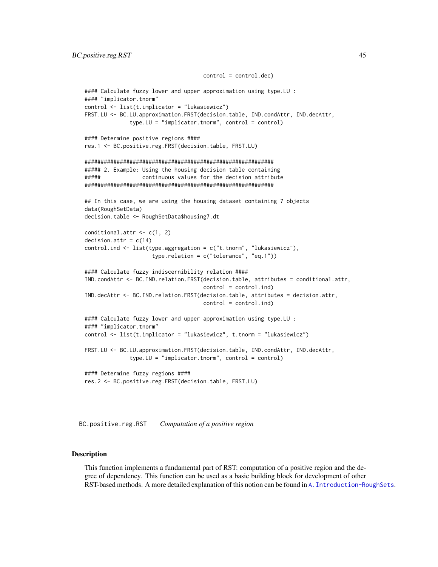```
control = control.dec)
#### Calculate fuzzy lower and upper approximation using type.LU :
#### "implicator.tnorm"
control <- list(t.implicator = "lukasiewicz")
FRST.LU <- BC.LU.approximation.FRST(decision.table, IND.condAttr, IND.decAttr,
              type.LU = "implicator.tnorm", control = control)
#### Determine positive regions ####
res.1 <- BC.positive.reg.FRST(decision.table, FRST.LU)
###########################################################
##### 2. Example: Using the housing decision table containing
##### continuous values for the decision attribute
###########################################################
## In this case, we are using the housing dataset containing 7 objects
data(RoughSetData)
decision.table <- RoughSetData$housing7.dt
conditional.attr \leq c(1, 2)
decision.attr = c(14)control.ind <- list(type.aggregation = c("t.tnorm", "lukasiewicz"),
                     type.relation = c("tolerance", "eq.1"))
#### Calculate fuzzy indiscernibility relation ####
IND.condAttr <- BC.IND.relation.FRST(decision.table, attributes = conditional.attr,
                                     control = control.ind)
IND.decAttr <- BC.IND.relation.FRST(decision.table, attributes = decision.attr,
                                    control = control.ind)
#### Calculate fuzzy lower and upper approximation using type.LU :
#### "implicator.tnorm"
control <- list(t.implicator = "lukasiewicz", t.tnorm = "lukasiewicz")
FRST.LU <- BC.LU.approximation.FRST(decision.table, IND.condAttr, IND.decAttr,
              type.LU = "implicator.tnorm", control = control)
#### Determine fuzzy regions ####
res.2 <- BC.positive.reg.FRST(decision.table, FRST.LU)
```
BC.positive.reg.RST *Computation of a positive region*

#### Description

This function implements a fundamental part of RST: computation of a positive region and the degree of dependency. This function can be used as a basic building block for development of other RST-based methods. A more detailed explanation of this notion can be found in [A.Introduction-RoughSets](#page-12-0).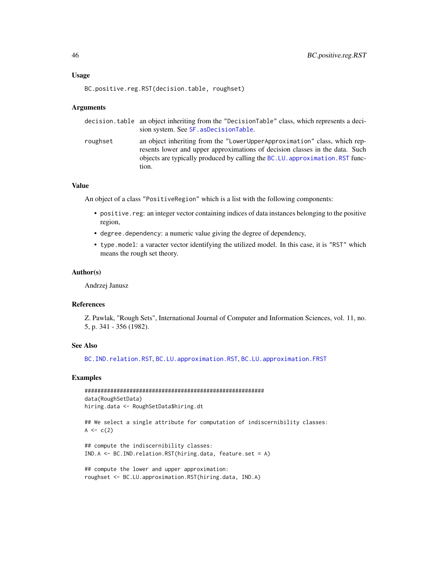# Usage

```
BC.positive.reg.RST(decision.table, roughset)
```
#### Arguments

|          | decision.table an object inheriting from the "DecisionTable" class, which represents a deci-<br>sion system. See SF. as Decision Table.                                                                                                             |
|----------|-----------------------------------------------------------------------------------------------------------------------------------------------------------------------------------------------------------------------------------------------------|
| roughset | an object inheriting from the "LowerUpperApproximation" class, which rep-<br>resents lower and upper approximations of decision classes in the data. Such<br>objects are typically produced by calling the BC.LU. approximation. RST func-<br>tion. |

# Value

An object of a class "PositiveRegion" which is a list with the following components:

- positive.reg: an integer vector containing indices of data instances belonging to the positive region,
- degree.dependency: a numeric value giving the degree of dependency,
- type.model: a varacter vector identifying the utilized model. In this case, it is "RST" which means the rough set theory.

#### Author(s)

Andrzej Janusz

# References

Z. Pawlak, "Rough Sets", International Journal of Computer and Information Sciences, vol. 11, no. 5, p. 341 - 356 (1982).

## See Also

[BC.IND.relation.RST](#page-30-0), [BC.LU.approximation.RST](#page-39-0), [BC.LU.approximation.FRST](#page-32-0)

```
########################################################
data(RoughSetData)
hiring.data <- RoughSetData$hiring.dt
```

```
## We select a single attribute for computation of indiscernibility classes:
A \leq -c(2)
```

```
## compute the indiscernibility classes:
IND.A <- BC.IND.relation.RST(hiring.data, feature.set = A)
```

```
## compute the lower and upper approximation:
roughset <- BC.LU.approximation.RST(hiring.data, IND.A)
```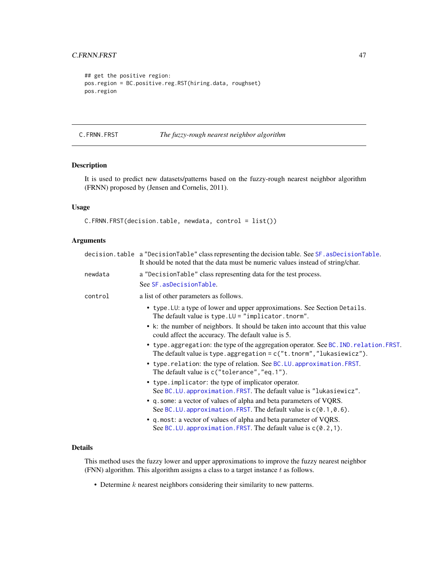```
## get the positive region:
pos.region = BC.positive.reg.RST(hiring.data, roughset)
pos.region
```
<span id="page-46-0"></span>C.FRNN.FRST *The fuzzy-rough nearest neighbor algorithm*

# Description

It is used to predict new datasets/patterns based on the fuzzy-rough nearest neighbor algorithm (FRNN) proposed by (Jensen and Cornelis, 2011).

# Usage

```
C.FRNN.FRST(decision.table, newdata, control = list())
```
# Arguments

|         | decision.table a "DecisionTable" class representing the decision table. See SF. asDecisionTable.<br>It should be noted that the data must be numeric values instead of string/char. |
|---------|-------------------------------------------------------------------------------------------------------------------------------------------------------------------------------------|
| newdata | a "DecisionTable" class representing data for the test process.                                                                                                                     |
|         | See SF. asDecisionTable.                                                                                                                                                            |
| control | a list of other parameters as follows.                                                                                                                                              |
|         | • type. LU: a type of lower and upper approximations. See Section Details.                                                                                                          |
|         | • k: the number of neighbors. It should be taken into account that this value<br>could affect the accuracy. The default value is 5.                                                 |
|         | • type.aggregation: the type of the aggregation operator. See BC. IND. relation. FRST.<br>The default value is type. aggregation = $c("t.tnorm", "lukasiewicz").$                   |
|         | • type.relation: the type of relation. See BC.LU. approximation. FRST.<br>The default value is $c$ ("tolerance", "eq. 1").                                                          |
|         | • type.implicator: the type of implicator operator.<br>See BC.LU. approximation. FRST. The default value is "lukasiewicz".                                                          |
|         | • q. some: a vector of values of alpha and beta parameters of VQRS.<br>See BC.LU. approximation. FRST. The default value is $c(0.1, 0.6)$ .                                         |
|         | • q.most: a vector of values of alpha and beta parameter of VQRS.<br>See BC. LU. approximation. FRST. The default value is $c(0.2, 1)$ .                                            |

#### Details

This method uses the fuzzy lower and upper approximations to improve the fuzzy nearest neighbor (FNN) algorithm. This algorithm assigns a class to a target instance  $t$  as follows.

• Determine k nearest neighbors considering their similarity to new patterns.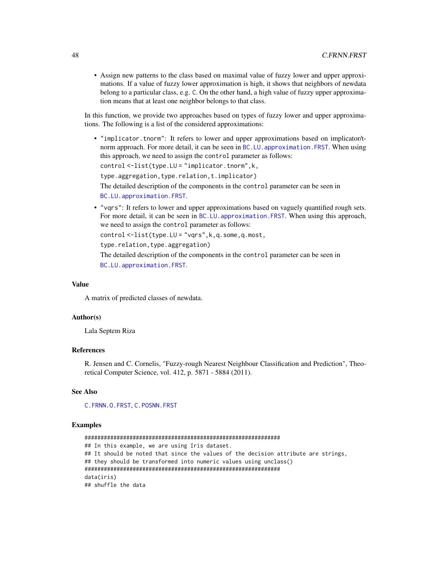• Assign new patterns to the class based on maximal value of fuzzy lower and upper approximations. If a value of fuzzy lower approximation is high, it shows that neighbors of newdata belong to a particular class, e.g. C. On the other hand, a high value of fuzzy upper approximation means that at least one neighbor belongs to that class.

In this function, we provide two approaches based on types of fuzzy lower and upper approximations. The following is a list of the considered approximations:

• "implicator.tnorm": It refers to lower and upper approximations based on implicator/tnorm approach. For more detail, it can be seen in BC.LU. approximation. FRST. When using this approach, we need to assign the control parameter as follows:

```
control <-list(type.LU = "implicator.tnorm",k,
```

```
type.aggregation,type.relation,t.implicator)
```
The detailed description of the components in the control parameter can be seen in [BC.LU.approximation.FRST](#page-32-0).

• "vqrs": It refers to lower and upper approximations based on vaguely quantified rough sets. For more detail, it can be seen in BC.LU. approximation. FRST. When using this approach, we need to assign the control parameter as follows:

control <-list(type.LU = "vqrs",k,q.some,q.most,

type.relation,type.aggregation)

The detailed description of the components in the control parameter can be seen in [BC.LU.approximation.FRST](#page-32-0).

# Value

A matrix of predicted classes of newdata.

#### Author(s)

Lala Septem Riza

# References

R. Jensen and C. Cornelis, "Fuzzy-rough Nearest Neighbour Classification and Prediction", Theoretical Computer Science, vol. 412, p. 5871 - 5884 (2011).

## See Also

[C.FRNN.O.FRST](#page-48-0), [C.POSNN.FRST](#page-50-0)

#### Examples

############################################################# ## In this example, we are using Iris dataset. ## It should be noted that since the values of the decision attribute are strings, ## they should be transformed into numeric values using unclass() ############################################################# data(iris) ## shuffle the data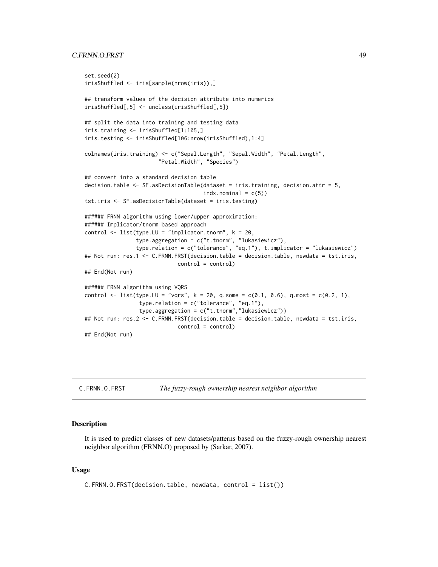# C.FRNN.O.FRST 49

```
set.seed(2)
irisShuffled <- iris[sample(nrow(iris)),]
## transform values of the decision attribute into numerics
irisShuffled[,5] <- unclass(irisShuffled[,5])
## split the data into training and testing data
iris.training <- irisShuffled[1:105,]
iris.testing <- irisShuffled[106:nrow(irisShuffled),1:4]
colnames(iris.training) <- c("Sepal.Length", "Sepal.Width", "Petal.Length",
                       "Petal.Width", "Species")
## convert into a standard decision table
decision.table <- SF.asDecisionTable(dataset = iris.training, decision.attr = 5,
                                     indx.nominal = c(5)tst.iris <- SF.asDecisionTable(dataset = iris.testing)
###### FRNN algorithm using lower/upper approximation:
###### Implicator/tnorm based approach
control \le list(type.LU = "implicator.tnorm", k = 20,
                type.aggregation = c("t.tnorm", "lukasiewicz"),
                type.relation = c("tolerance", "eq.1"), t.implicator = "lukasiewicz")
## Not run: res.1 <- C.FRNN.FRST(decision.table = decision.table, newdata = tst.iris,
                            control = control)
## End(Not run)
###### FRNN algorithm using VQRS
control <- list(type.LU = "vqrs", k = 20, q.some = c(0.1, 0.6), q.most = c(0.2, 1),
                 type.relation = c("tolerance", "eq.1"),
                 type.aggregation = c("t.tnorm","lukasiewicz"))
## Not run: res.2 <- C.FRNN.FRST(decision.table = decision.table, newdata = tst.iris,
                            control = control)
## End(Not run)
```
<span id="page-48-0"></span>

| C.FRNN.O.FRST | The fuzzy-rough ownership nearest neighbor algorithm |
|---------------|------------------------------------------------------|
|               |                                                      |

#### Description

It is used to predict classes of new datasets/patterns based on the fuzzy-rough ownership nearest neighbor algorithm (FRNN.O) proposed by (Sarkar, 2007).

#### Usage

```
C.FRNN.O.FRST(decision.table, newdata, control = list())
```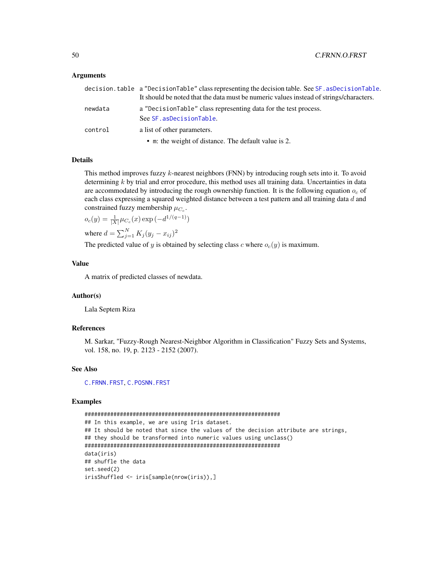# Arguments

|         | decision.table a "DecisionTable" class representing the decision table. See SF. asDecisionTable. |
|---------|--------------------------------------------------------------------------------------------------|
|         | It should be noted that the data must be numeric values instead of strings/characters.           |
| newdata | a "DecisionTable" class representing data for the test process.                                  |
|         | See SF. asDecisionTable.                                                                         |
| control | a list of other parameters.                                                                      |
|         | • m: the weight of distance. The default value is 2.                                             |

#### Details

This method improves fuzzy k-nearest neighbors (FNN) by introducing rough sets into it. To avoid determining  $k$  by trial and error procedure, this method uses all training data. Uncertainties in data are accommodated by introducing the rough ownership function. It is the following equation  $o_c$  of each class expressing a squared weighted distance between a test pattern and all training data d and constrained fuzzy membership  $\mu_{C_c}$ .

 $o_c(y) = \frac{1}{|X|} \mu_{C_c}(x) \exp(-d^{1/(q-1)})$ 

where  $d = \sum_{j=1}^{N} K_j (y_j - x_{ij})^2$ 

The predicted value of y is obtained by selecting class c where  $o_c(y)$  is maximum.

# Value

A matrix of predicted classes of newdata.

## Author(s)

Lala Septem Riza

#### References

M. Sarkar, "Fuzzy-Rough Nearest-Neighbor Algorithm in Classification" Fuzzy Sets and Systems, vol. 158, no. 19, p. 2123 - 2152 (2007).

#### See Also

[C.FRNN.FRST](#page-46-0), [C.POSNN.FRST](#page-50-0)

```
#############################################################
## In this example, we are using Iris dataset.
## It should be noted that since the values of the decision attribute are strings,
## they should be transformed into numeric values using unclass()
#############################################################
data(iris)
## shuffle the data
set.seed(2)
irisShuffled <- iris[sample(nrow(iris)),]
```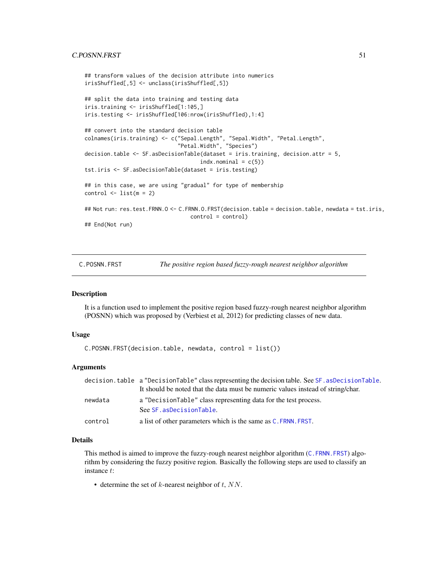# C.POSNN.FRST 51

```
## transform values of the decision attribute into numerics
irisShuffled[,5] <- unclass(irisShuffled[,5])
## split the data into training and testing data
iris.training <- irisShuffled[1:105,]
iris.testing <- irisShuffled[106:nrow(irisShuffled),1:4]
## convert into the standard decision table
colnames(iris.training) <- c("Sepal.Length", "Sepal.Width", "Petal.Length",
                             "Petal.Width", "Species")
decision.table <- SF.asDecisionTable(dataset = iris.training, decision.attr = 5,
                                    indx.nominal = c(5)tst.iris <- SF.asDecisionTable(dataset = iris.testing)
## in this case, we are using "gradual" for type of membership
control \leftarrow list(m = 2)## Not run: res.test.FRNN.O <- C.FRNN.O.FRST(decision.table = decision.table, newdata = tst.iris,
                                 control = control)
## End(Not run)
```
C.POSNN.FRST *The positive region based fuzzy-rough nearest neighbor algorithm*

## Description

It is a function used to implement the positive region based fuzzy-rough nearest neighbor algorithm (POSNN) which was proposed by (Verbiest et al, 2012) for predicting classes of new data.

# Usage

C.POSNN.FRST(decision.table, newdata, control = list())

# Arguments

|         | decision.table a "DecisionTable" class representing the decision table. See SF. asDecisionTable. |
|---------|--------------------------------------------------------------------------------------------------|
|         | It should be noted that the data must be numeric values instead of string/char.                  |
| newdata | a "DecisionTable" class representing data for the test process.                                  |
|         | See SF.asDecisionTable.                                                                          |
| control | a list of other parameters which is the same as $C$ . FRNN, FRST.                                |

# Details

This method is aimed to improve the fuzzy-rough nearest neighbor algorithm ([C.FRNN.FRST](#page-46-0)) algorithm by considering the fuzzy positive region. Basically the following steps are used to classify an instance t:

• determine the set of  $k$ -nearest neighbor of  $t$ ,  $NN$ .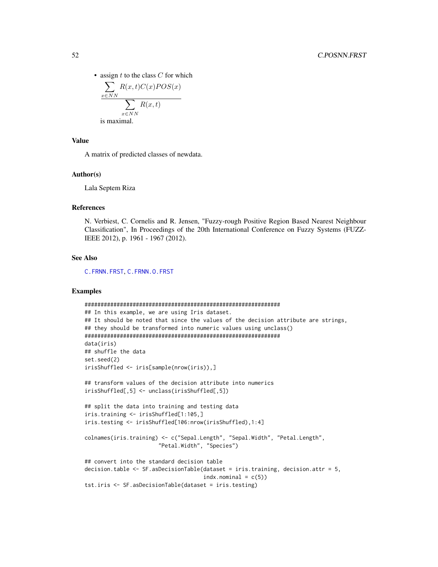• assign  $t$  to the class  $C$  for which

$$
\frac{\sum_{x \in NN} R(x, t)C(x)POS(x)}{\sum_{x \in NN} R(x, t)}
$$
  
is maximal.

#### Value

A matrix of predicted classes of newdata.

#### Author(s)

Lala Septem Riza

# References

N. Verbiest, C. Cornelis and R. Jensen, "Fuzzy-rough Positive Region Based Nearest Neighbour Classification", In Proceedings of the 20th International Conference on Fuzzy Systems (FUZZ-IEEE 2012), p. 1961 - 1967 (2012).

# See Also

[C.FRNN.FRST](#page-46-0), [C.FRNN.O.FRST](#page-48-0)

```
#############################################################
## In this example, we are using Iris dataset.
## It should be noted that since the values of the decision attribute are strings,
## they should be transformed into numeric values using unclass()
#############################################################
data(iris)
## shuffle the data
set.seed(2)
irisShuffled <- iris[sample(nrow(iris)),]
## transform values of the decision attribute into numerics
irisShuffled[,5] <- unclass(irisShuffled[,5])
## split the data into training and testing data
iris.training <- irisShuffled[1:105,]
iris.testing <- irisShuffled[106:nrow(irisShuffled),1:4]
colnames(iris.training) <- c("Sepal.Length", "Sepal.Width", "Petal.Length",
                       "Petal.Width", "Species")
## convert into the standard decision table
decision.table <- SF.asDecisionTable(dataset = iris.training, decision.attr = 5,
                                     indx.nominal = c(5)tst.iris <- SF.asDecisionTable(dataset = iris.testing)
```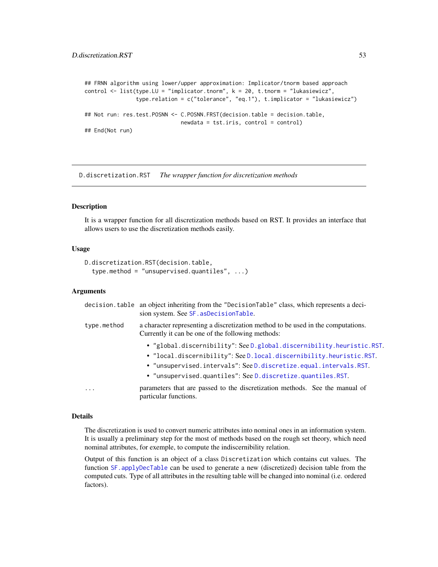```
## FRNN algorithm using lower/upper approximation: Implicator/tnorm based approach
control <- list(type.LU = "implicator.tnorm", k = 20, t.tnorm = "lukasiewicz",
                type.relation = c("tolerance", "eq.1"), t.implicator = "lukasiewicz")
## Not run: res.test.POSNN <- C.POSNN.FRST(decision.table = decision.table,
                             newdata = tst.iris, control = control)
## End(Not run)
```
<span id="page-52-0"></span>D.discretization.RST *The wrapper function for discretization methods*

#### Description

It is a wrapper function for all discretization methods based on RST. It provides an interface that allows users to use the discretization methods easily.

# Usage

```
D.discretization.RST(decision.table,
  type.method = "unsupervised.quantiles", ...)
```
#### **Arguments**

|             | decision. table an object inheriting from the "DecisionTable" class, which represents a deci-<br>sion system. See SF. asDecisionTable. |
|-------------|----------------------------------------------------------------------------------------------------------------------------------------|
| type.method | a character representing a discretization method to be used in the computations.<br>Currently it can be one of the following methods:  |
|             | • "global.discernibility": See D.global.discernibility.heuristic.RST.                                                                  |
|             | • "local.discernibility": See D.local.discernibility.heuristic.RST.                                                                    |
|             | • "unsupervised.intervals": See D.discretize.equal.intervals.RST.                                                                      |
|             | • "unsupervised.quantiles": See D.discretize.quantiles.RST.                                                                            |
| .           | parameters that are passed to the discretization methods. See the manual of<br>particular functions.                                   |

#### Details

The discretization is used to convert numeric attributes into nominal ones in an information system. It is usually a preliminary step for the most of methods based on the rough set theory, which need nominal attributes, for exemple, to compute the indiscernibility relation.

Output of this function is an object of a class Discretization which contains cut values. The function [SF.applyDecTable](#page-111-0) can be used to generate a new (discretized) decision table from the computed cuts. Type of all attributes in the resulting table will be changed into nominal (i.e. ordered factors).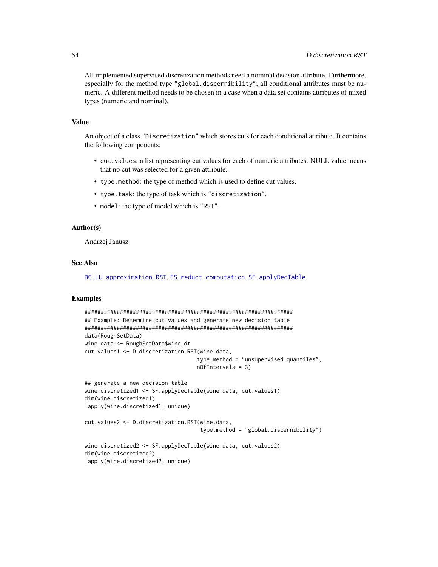All implemented supervised discretization methods need a nominal decision attribute. Furthermore, especially for the method type "global.discernibility", all conditional attributes must be numeric. A different method needs to be chosen in a case when a data set contains attributes of mixed types (numeric and nominal).

# Value

An object of a class "Discretization" which stores cuts for each conditional attribute. It contains the following components:

- cut.values: a list representing cut values for each of numeric attributes. NULL value means that no cut was selected for a given attribute.
- type.method: the type of method which is used to define cut values.
- type.task: the type of task which is "discretization".
- model: the type of model which is "RST".

## Author(s)

Andrzej Janusz

## See Also

[BC.LU.approximation.RST](#page-39-0), [FS.reduct.computation](#page-81-0), [SF.applyDecTable](#page-111-0).

```
#################################################################
## Example: Determine cut values and generate new decision table
#################################################################
data(RoughSetData)
wine.data <- RoughSetData$wine.dt
cut.values1 <- D.discretization.RST(wine.data,
                                   type.method = "unsupervised.quantiles",
                                   nOfIntervals = 3)
```

```
## generate a new decision table
wine.discretized1 <- SF.applyDecTable(wine.data, cut.values1)
dim(wine.discretized1)
lapply(wine.discretized1, unique)
```

```
cut.values2 <- D.discretization.RST(wine.data,
                                    type.method = "global.discernibility")
```

```
wine.discretized2 <- SF.applyDecTable(wine.data, cut.values2)
dim(wine.discretized2)
lapply(wine.discretized2, unique)
```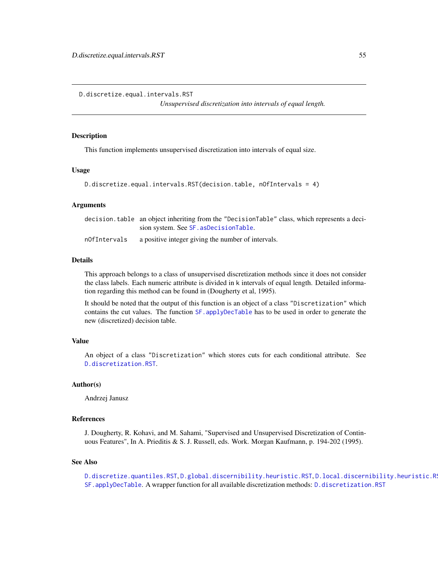<span id="page-54-0"></span>D.discretize.equal.intervals.RST

*Unsupervised discretization into intervals of equal length.*

## Description

This function implements unsupervised discretization into intervals of equal size.

## Usage

```
D.discretize.equal.intervals.RST(decision.table, nOfIntervals = 4)
```
## Arguments

|              | decision.table an object inheriting from the "DecisionTable" class, which represents a deci- |
|--------------|----------------------------------------------------------------------------------------------|
|              | sion system. See SF. asDecisionTable.                                                        |
| nOfIntervals | a positive integer giving the number of intervals.                                           |

# Details

This approach belongs to a class of unsupervised discretization methods since it does not consider the class labels. Each numeric attribute is divided in k intervals of equal length. Detailed information regarding this method can be found in (Dougherty et al, 1995).

It should be noted that the output of this function is an object of a class "Discretization" which contains the cut values. The function [SF.applyDecTable](#page-111-0) has to be used in order to generate the new (discretized) decision table.

# Value

An object of a class "Discretization" which stores cuts for each conditional attribute. See [D.discretization.RST](#page-52-0).

## Author(s)

Andrzej Janusz

#### References

J. Dougherty, R. Kohavi, and M. Sahami, "Supervised and Unsupervised Discretization of Continuous Features", In A. Prieditis & S. J. Russell, eds. Work. Morgan Kaufmann, p. 194-202 (1995).

#### See Also

[D.discretize.quantiles.RST](#page-55-0), [D.global.discernibility.heuristic.RST](#page-56-0), D.local.discernibility.heuristic.R [SF.applyDecTable](#page-111-0). A wrapper function for all available discretization methods: [D.discretization.RST](#page-52-0)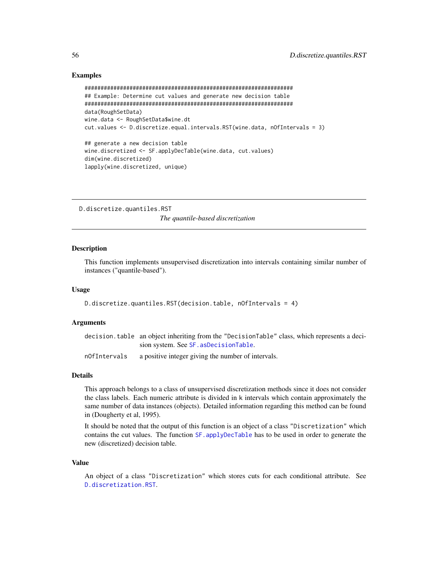# Examples

```
#################################################################
## Example: Determine cut values and generate new decision table
#################################################################
data(RoughSetData)
wine.data <- RoughSetData$wine.dt
cut.values <- D.discretize.equal.intervals.RST(wine.data, nOfIntervals = 3)
## generate a new decision table
wine.discretized <- SF.applyDecTable(wine.data, cut.values)
dim(wine.discretized)
lapply(wine.discretized, unique)
```
<span id="page-55-0"></span>D.discretize.quantiles.RST *The quantile-based discretization*

# **Description**

This function implements unsupervised discretization into intervals containing similar number of instances ("quantile-based").

#### Usage

```
D.discretize.quantiles.RST(decision.table, nOfIntervals = 4)
```
# Arguments

decision.table an object inheriting from the "DecisionTable" class, which represents a decision system. See [SF.asDecisionTable](#page-113-0).

nOfIntervals a positive integer giving the number of intervals.

#### Details

This approach belongs to a class of unsupervised discretization methods since it does not consider the class labels. Each numeric attribute is divided in k intervals which contain approximately the same number of data instances (objects). Detailed information regarding this method can be found in (Dougherty et al, 1995).

It should be noted that the output of this function is an object of a class "Discretization" which contains the cut values. The function SF. applyDecTable has to be used in order to generate the new (discretized) decision table.

#### Value

An object of a class "Discretization" which stores cuts for each conditional attribute. See [D.discretization.RST](#page-52-0).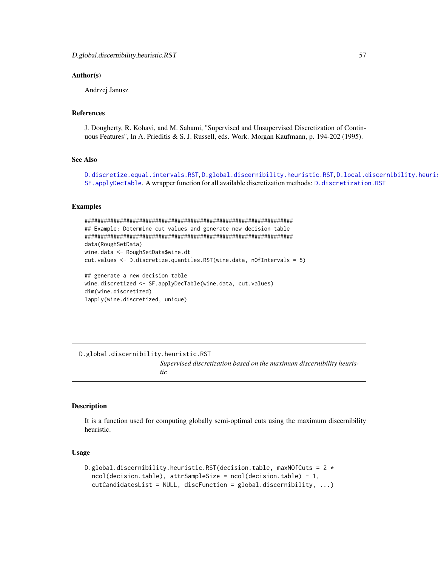## Author(s)

Andrzej Janusz

## References

J. Dougherty, R. Kohavi, and M. Sahami, "Supervised and Unsupervised Discretization of Continuous Features", In A. Prieditis & S. J. Russell, eds. Work. Morgan Kaufmann, p. 194-202 (1995).

# See Also

[D.discretize.equal.intervals.RST](#page-54-0), [D.global.discernibility.heuristic.RST](#page-56-0), [D.local.discernibility.heuristic.RST](#page-58-0), [SF.applyDecTable](#page-111-0). A wrapper function for all available discretization methods: [D.discretization.RST](#page-52-0)

# Examples

```
#################################################################
## Example: Determine cut values and generate new decision table
#################################################################
data(RoughSetData)
wine.data <- RoughSetData$wine.dt
cut.values <- D.discretize.quantiles.RST(wine.data, nOfIntervals = 5)
## generate a new decision table
wine.discretized <- SF.applyDecTable(wine.data, cut.values)
dim(wine.discretized)
lapply(wine.discretized, unique)
```
<span id="page-56-0"></span>D.global.discernibility.heuristic.RST *Supervised discretization based on the maximum discernibility heuristic*

#### **Description**

It is a function used for computing globally semi-optimal cuts using the maximum discernibility heuristic.

## Usage

```
D.global.discernibility.heuristic.RST(decision.table, maxNOfCuts = 2 *ncol(decision.table), attrSampleSize = ncol(decision.table) - 1,
  cutCandidatesList = NULL, discFunction = global.discernibility, ...)
```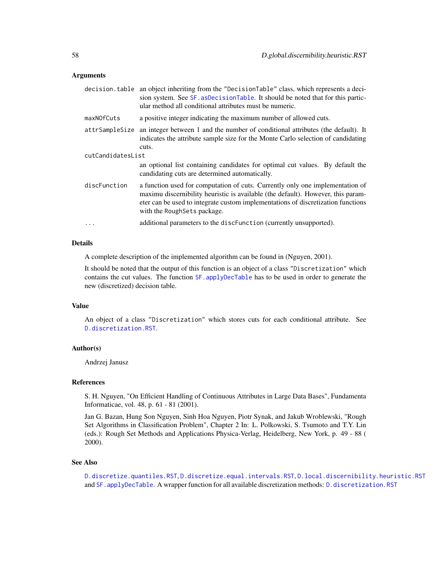## Arguments

| decision.table    | an object inheriting from the "DecisionTable" class, which represents a deci-<br>sion system. See SF. asDecisionTable. It should be noted that for this partic-<br>ular method all conditional attributes must be numeric.                                                            |  |
|-------------------|---------------------------------------------------------------------------------------------------------------------------------------------------------------------------------------------------------------------------------------------------------------------------------------|--|
| maxNOfCuts        | a positive integer indicating the maximum number of allowed cuts.                                                                                                                                                                                                                     |  |
| attrSampleSize    | an integer between 1 and the number of conditional attributes (the default). It<br>indicates the attribute sample size for the Monte Carlo selection of candidating<br>cuts.                                                                                                          |  |
| cutCandidatesList |                                                                                                                                                                                                                                                                                       |  |
|                   | an optional list containing candidates for optimal cut values. By default the<br>candidating cuts are determined automatically.                                                                                                                                                       |  |
| discFunction      | a function used for computation of cuts. Currently only one implementation of<br>maximu discernibility heuristic is available (the default). However, this param-<br>eter can be used to integrate custom implementations of discretization functions<br>with the Rough Sets package. |  |
| $\ddots$ .        | additional parameters to the discFunction (currently unsupported).                                                                                                                                                                                                                    |  |

# Details

A complete description of the implemented algorithm can be found in (Nguyen, 2001).

It should be noted that the output of this function is an object of a class "Discretization" which contains the cut values. The function [SF.applyDecTable](#page-111-0) has to be used in order to generate the new (discretized) decision table.

#### Value

An object of a class "Discretization" which stores cuts for each conditional attribute. See [D.discretization.RST](#page-52-0).

# Author(s)

Andrzej Janusz

# References

S. H. Nguyen, "On Efficient Handling of Continuous Attributes in Large Data Bases", Fundamenta Informaticae, vol. 48, p. 61 - 81 (2001).

Jan G. Bazan, Hung Son Nguyen, Sinh Hoa Nguyen, Piotr Synak, and Jakub Wroblewski, "Rough Set Algorithms in Classification Problem", Chapter 2 In: L. Polkowski, S. Tsumoto and T.Y. Lin (eds.): Rough Set Methods and Applications Physica-Verlag, Heidelberg, New York, p. 49 - 88 ( 2000).

## See Also

```
D.discretize.quantiles.RST, D.discretize.equal.intervals.RST, D.local.discernibility.heuristic.RST
and SF.applyDecTable. A wrapper function for all available discretization methods: D.discretization.RST
```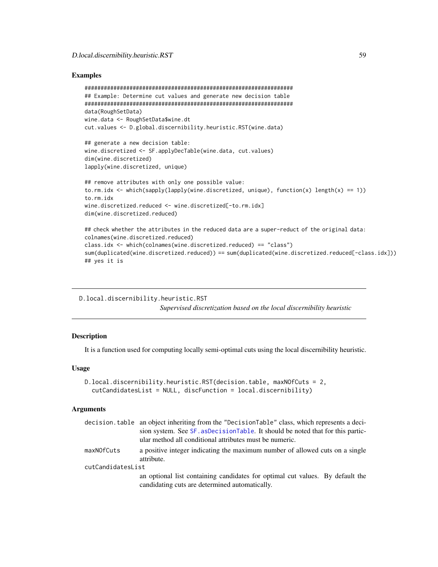# Examples

```
#################################################################
## Example: Determine cut values and generate new decision table
#################################################################
data(RoughSetData)
wine.data <- RoughSetData$wine.dt
cut.values <- D.global.discernibility.heuristic.RST(wine.data)
## generate a new decision table:
wine.discretized <- SF.applyDecTable(wine.data, cut.values)
dim(wine.discretized)
lapply(wine.discretized, unique)
## remove attributes with only one possible value:
to.rm.idx <- which(sapply(lapply(wine.discretized, unique), function(x) length(x) == 1))
to.rm.idx
wine.discretized.reduced <- wine.discretized[-to.rm.idx]
dim(wine.discretized.reduced)
## check whether the attributes in the reduced data are a super-reduct of the original data:
colnames(wine.discretized.reduced)
class.idx <- which(colnames(wine.discretized.reduced) == "class")
sum(duplicated(wine.discretized.reduced)) == sum(duplicated(wine.discretized.reduced[-class.idx]))
## yes it is
```
<span id="page-58-0"></span>D.local.discernibility.heuristic.RST *Supervised discretization based on the local discernibility heuristic*

# Description

It is a function used for computing locally semi-optimal cuts using the local discernibility heuristic.

#### Usage

```
D.local.discernibility.heuristic.RST(decision.table, maxNOfCuts = 2,
  cutCandidatesList = NULL, discFunction = local.discernibility)
```
# Arguments

|                   | decision.table an object inheriting from the "DecisionTable" class, which represents a deci-                                    |  |
|-------------------|---------------------------------------------------------------------------------------------------------------------------------|--|
|                   | sion system. See SF. asDecisionTable. It should be noted that for this partic-                                                  |  |
|                   | ular method all conditional attributes must be numeric.                                                                         |  |
| maxNOfCuts        | a positive integer indicating the maximum number of allowed cuts on a single<br>attribute.                                      |  |
| cutCandidatesList |                                                                                                                                 |  |
|                   | an optional list containing candidates for optimal cut values. By default the<br>candidating cuts are determined automatically. |  |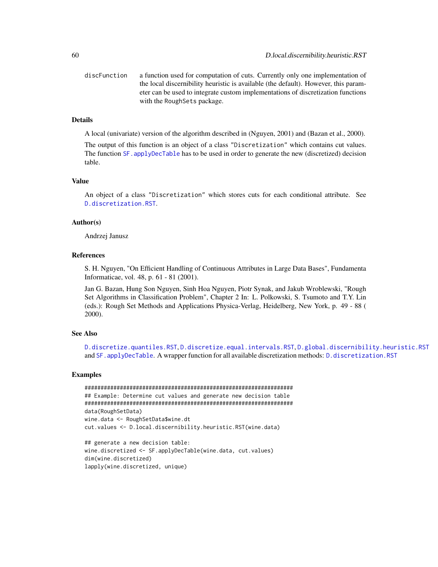discFunction a function used for computation of cuts. Currently only one implementation of the local discernibility heuristic is available (the default). However, this parameter can be used to integrate custom implementations of discretization functions with the RoughSets package.

# **Details**

A local (univariate) version of the algorithm described in (Nguyen, 2001) and (Bazan et al., 2000).

The output of this function is an object of a class "Discretization" which contains cut values. The function SF. applyDecTable has to be used in order to generate the new (discretized) decision table.

#### Value

An object of a class "Discretization" which stores cuts for each conditional attribute. See [D.discretization.RST](#page-52-0).

#### Author(s)

Andrzej Janusz

# References

S. H. Nguyen, "On Efficient Handling of Continuous Attributes in Large Data Bases", Fundamenta Informaticae, vol. 48, p. 61 - 81 (2001).

Jan G. Bazan, Hung Son Nguyen, Sinh Hoa Nguyen, Piotr Synak, and Jakub Wroblewski, "Rough Set Algorithms in Classification Problem", Chapter 2 In: L. Polkowski, S. Tsumoto and T.Y. Lin (eds.): Rough Set Methods and Applications Physica-Verlag, Heidelberg, New York, p. 49 - 88 ( 2000).

# See Also

[D.discretize.quantiles.RST](#page-55-0), [D.discretize.equal.intervals.RST](#page-54-0), [D.global.discernibility.heuristic.RST](#page-56-0) and [SF.applyDecTable](#page-111-0). A wrapper function for all available discretization methods: [D.discretization.RST](#page-52-0)

```
#################################################################
## Example: Determine cut values and generate new decision table
#################################################################
data(RoughSetData)
wine.data <- RoughSetData$wine.dt
cut.values <- D.local.discernibility.heuristic.RST(wine.data)
```

```
## generate a new decision table:
wine.discretized <- SF.applyDecTable(wine.data, cut.values)
dim(wine.discretized)
lapply(wine.discretized, unique)
```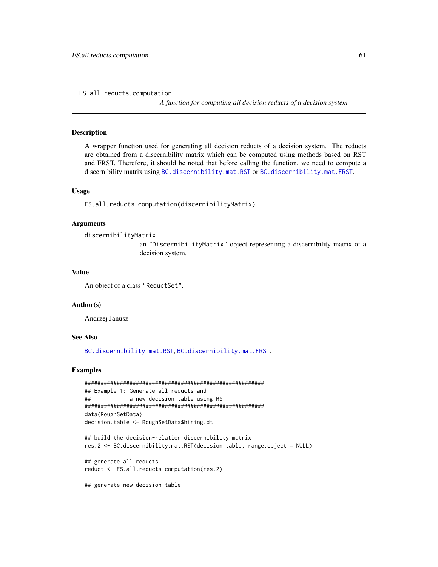```
FS.all.reducts.computation
```
*A function for computing all decision reducts of a decision system*

# Description

A wrapper function used for generating all decision reducts of a decision system. The reducts are obtained from a discernibility matrix which can be computed using methods based on RST and FRST. Therefore, it should be noted that before calling the function, we need to compute a discernibility matrix using [BC.discernibility.mat.RST](#page-23-0) or [BC.discernibility.mat.FRST](#page-19-0).

#### Usage

FS.all.reducts.computation(discernibilityMatrix)

#### Arguments

```
discernibilityMatrix
```
an "DiscernibilityMatrix" object representing a discernibility matrix of a decision system.

## Value

An object of a class "ReductSet".

# Author(s)

Andrzej Janusz

# See Also

[BC.discernibility.mat.RST](#page-23-0), [BC.discernibility.mat.FRST](#page-19-0).

#### Examples

```
########################################################
## Example 1: Generate all reducts and
## a new decision table using RST
########################################################
data(RoughSetData)
decision.table <- RoughSetData$hiring.dt
## build the decision-relation discernibility matrix
res.2 <- BC.discernibility.mat.RST(decision.table, range.object = NULL)
```
## generate all reducts reduct <- FS.all.reducts.computation(res.2)

## generate new decision table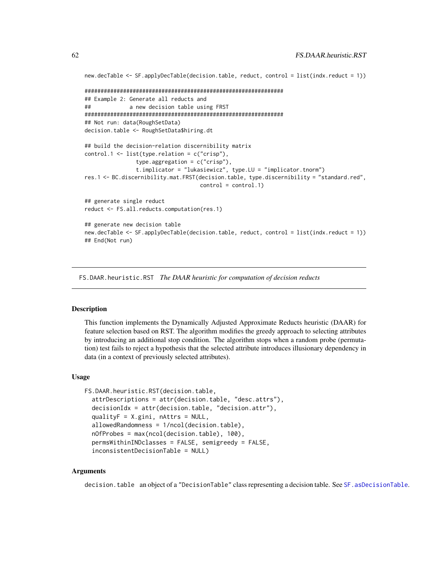```
new.decTable <- SF.applyDecTable(decision.table, reduct, control = list(indx.reduct = 1))
##############################################################
## Example 2: Generate all reducts and
## a new decision table using FRST
##############################################################
## Not run: data(RoughSetData)
decision.table <- RoughSetData$hiring.dt
## build the decision-relation discernibility matrix
control.1 <- list(type.relation = c("crisp"),
                type.aggregation = c("crisp"),
                t.implicator = "lukasiewicz", type.LU = "implicator.tnorm")
res.1 <- BC.discernibility.mat.FRST(decision.table, type.discernibility = "standard.red",
                                   control = control.1)## generate single reduct
reduct <- FS.all.reducts.computation(res.1)
## generate new decision table
new.decTable <- SF.applyDecTable(decision.table, reduct, control = list(indx.reduct = 1))
## End(Not run)
```
<span id="page-61-0"></span>FS.DAAR.heuristic.RST *The DAAR heuristic for computation of decision reducts*

#### Description

This function implements the Dynamically Adjusted Approximate Reducts heuristic (DAAR) for feature selection based on RST. The algorithm modifies the greedy approach to selecting attributes by introducing an additional stop condition. The algorithm stops when a random probe (permutation) test fails to reject a hypothesis that the selected attribute introduces illusionary dependency in data (in a context of previously selected attributes).

# Usage

```
FS.DAAR.heuristic.RST(decision.table,
  attrDescriptions = attr(decision.table, "desc.attrs"),
  decisionIdx = attr(decision.table, "decision.attr"),
  qualityF = X.gini, nAttrs = NULL,
  allowedRandomness = 1/ncol(decision.table),
  nOfProbes = max(ncol(decision.table), 100),
  permsWithinINDclasses = FALSE, semigreedy = FALSE,
  inconsistentDecisionTable = NULL)
```
# Arguments

decision.table an object of a "DecisionTable" class representing a decision table. See SF. asDecisionTable.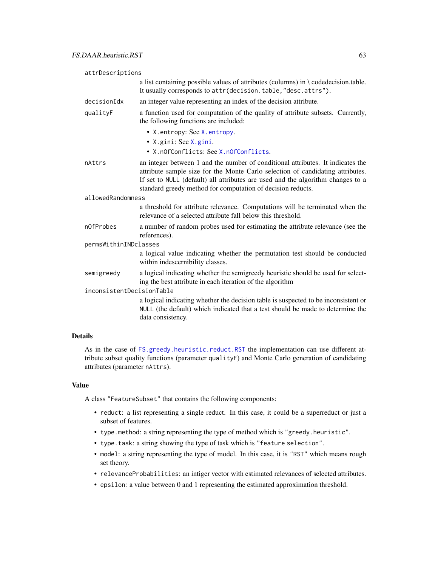| attrDescriptions          |                                                                                                                                                                                                                                                                                                                     |  |
|---------------------------|---------------------------------------------------------------------------------------------------------------------------------------------------------------------------------------------------------------------------------------------------------------------------------------------------------------------|--|
|                           | a list containing possible values of attributes (columns) in $\setminus$ codedecision.table.<br>It usually corresponds to attr(decision.table,"desc.attrs").                                                                                                                                                        |  |
| decisionIdx               | an integer value representing an index of the decision attribute.                                                                                                                                                                                                                                                   |  |
| qualityF                  | a function used for computation of the quality of attribute subsets. Currently,<br>the following functions are included:                                                                                                                                                                                            |  |
|                           | • X. entropy: See X. entropy.<br>$\bullet$ X.gini: See X.gini.<br>• X.nOfConflicts: See X.nOfConflicts.                                                                                                                                                                                                             |  |
| nAttrs                    | an integer between 1 and the number of conditional attributes. It indicates the<br>attribute sample size for the Monte Carlo selection of candidating attributes.<br>If set to NULL (default) all attributes are used and the algorithm changes to a<br>standard greedy method for computation of decision reducts. |  |
| allowedRandomness         |                                                                                                                                                                                                                                                                                                                     |  |
|                           | a threshold for attribute relevance. Computations will be terminated when the<br>relevance of a selected attribute fall below this threshold.                                                                                                                                                                       |  |
| n0fProbes                 | a number of random probes used for estimating the attribute relevance (see the<br>references).                                                                                                                                                                                                                      |  |
| permsWithinINDclasses     |                                                                                                                                                                                                                                                                                                                     |  |
|                           | a logical value indicating whether the permutation test should be conducted<br>within indescernibility classes.                                                                                                                                                                                                     |  |
| semigreedy                | a logical indicating whether the semigreedy heuristic should be used for select-<br>ing the best attribute in each iteration of the algorithm                                                                                                                                                                       |  |
| inconsistentDecisionTable |                                                                                                                                                                                                                                                                                                                     |  |
|                           | a logical indicating whether the decision table is suspected to be inconsistent or<br>NULL (the default) which indicated that a test should be made to determine the<br>data consistency.                                                                                                                           |  |

# Details

As in the case of [FS.greedy.heuristic.reduct.RST](#page-65-0) the implementation can use different attribute subset quality functions (parameter qualityF) and Monte Carlo generation of candidating attributes (parameter nAttrs).

# Value

A class "FeatureSubset" that contains the following components:

- reduct: a list representing a single reduct. In this case, it could be a superreduct or just a subset of features.
- type.method: a string representing the type of method which is "greedy.heuristic".
- type.task: a string showing the type of task which is "feature selection".
- model: a string representing the type of model. In this case, it is "RST" which means rough set theory.
- relevanceProbabilities: an intiger vector with estimated relevances of selected attributes.
- epsilon: a value between 0 and 1 representing the estimated approximation threshold.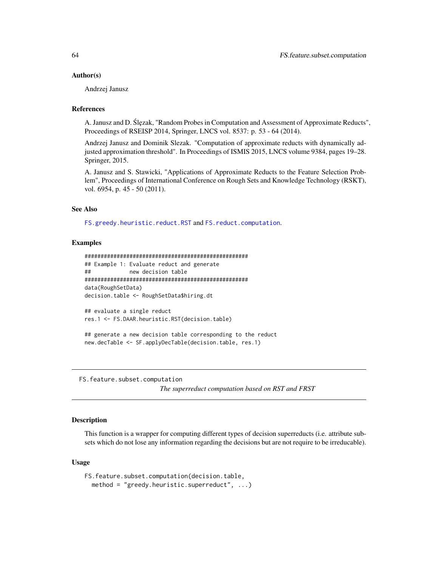#### Author(s)

Andrzej Janusz

# **References**

A. Janusz and D. Ślęzak, "Random Probes in Computation and Assessment of Approximate Reducts", Proceedings of RSEISP 2014, Springer, LNCS vol. 8537: p. 53 - 64 (2014).

Andrzej Janusz and Dominik Slezak. "Computation of approximate reducts with dynamically adjusted approximation threshold". In Proceedings of ISMIS 2015, LNCS volume 9384, pages 19–28. Springer, 2015.

A. Janusz and S. Stawicki, "Applications of Approximate Reducts to the Feature Selection Problem", Proceedings of International Conference on Rough Sets and Knowledge Technology (RSKT), vol. 6954, p. 45 - 50 (2011).

## See Also

[FS.greedy.heuristic.reduct.RST](#page-65-0) and [FS.reduct.computation](#page-81-0).

# Examples

```
###################################################
## Example 1: Evaluate reduct and generate
## new decision table
###################################################
data(RoughSetData)
decision.table <- RoughSetData$hiring.dt
```
## evaluate a single reduct res.1 <- FS.DAAR.heuristic.RST(decision.table)

## generate a new decision table corresponding to the reduct new.decTable <- SF.applyDecTable(decision.table, res.1)

<span id="page-63-0"></span>FS.feature.subset.computation

*The superreduct computation based on RST and FRST*

# Description

This function is a wrapper for computing different types of decision superreducts (i.e. attribute subsets which do not lose any information regarding the decisions but are not require to be irreducable).

#### Usage

```
FS.feature.subset.computation(decision.table,
 method = "greedy.heuristic.superreduct", ...)
```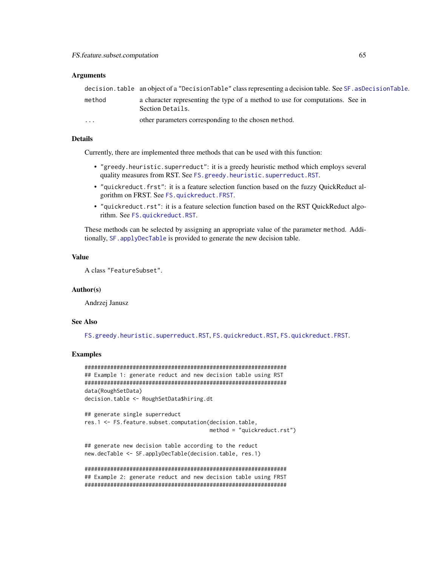#### **Arguments**

|                         | decision.table an object of a "DecisionTable" class representing a decision table. See SF. asDecisionTable. |
|-------------------------|-------------------------------------------------------------------------------------------------------------|
| method                  | a character representing the type of a method to use for computations. See in<br>Section Details.           |
| $\cdot$ $\cdot$ $\cdot$ | other parameters corresponding to the chosen method.                                                        |

# Details

Currently, there are implemented three methods that can be used with this function:

- "greedy.heuristic.superreduct": it is a greedy heuristic method which employs several quality measures from RST. See [FS.greedy.heuristic.superreduct.RST](#page-67-0).
- "quickreduct.frst": it is a feature selection function based on the fuzzy QuickReduct algorithm on FRST. See [FS.quickreduct.FRST](#page-74-0).
- "quickreduct.rst": it is a feature selection function based on the RST QuickReduct algorithm. See [FS.quickreduct.RST](#page-79-0).

These methods can be selected by assigning an appropriate value of the parameter method. Additionally, SF. applyDecTable is provided to generate the new decision table.

#### Value

A class "FeatureSubset".

#### Author(s)

Andrzej Janusz

#### See Also

[FS.greedy.heuristic.superreduct.RST](#page-67-0), [FS.quickreduct.RST](#page-79-0), [FS.quickreduct.FRST](#page-74-0).

# Examples

```
###############################################################
## Example 1: generate reduct and new decision table using RST
###############################################################
data(RoughSetData)
decision.table <- RoughSetData$hiring.dt
## generate single superreduct
res.1 <- FS.feature.subset.computation(decision.table,
                                       method = "quickreduct.rst")
## generate new decision table according to the reduct
```

```
new.decTable <- SF.applyDecTable(decision.table, res.1)
```
############################################################### ## Example 2: generate reduct and new decision table using FRST ###############################################################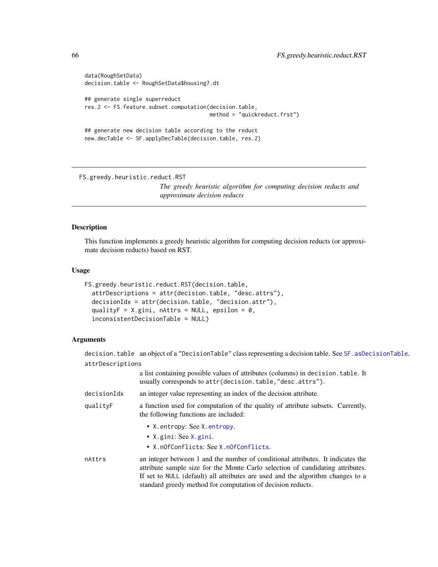```
data(RoughSetData)
decision.table <- RoughSetData$housing7.dt
## generate single superreduct
res.2 <- FS.feature.subset.computation(decision.table,
                                       method = "quickreduct.frst")
## generate new decision table according to the reduct
new.decTable <- SF.applyDecTable(decision.table, res.2)
```
<span id="page-65-0"></span>FS.greedy.heuristic.reduct.RST

*The greedy heuristic algorithm for computing decision reducts and approximate decision reducts*

#### Description

This function implements a greedy heuristic algorithm for computing decision reducts (or approximate decision reducts) based on RST.

#### Usage

```
FS.greedy.heuristic.reduct.RST(decision.table,
  attrDescriptions = attr(decision.table, "desc.attrs"),
  decisionIdx = attr(decision.table, "decision.attr"),
  qualityF = X.gini, nAttrs = NULL, epsilon = 0,
  inconsistentDecisionTable = NULL)
```
## Arguments

decision.table an object of a "DecisionTable" class representing a decision table. See [SF.asDecisionTable](#page-113-0). attrDescriptions

|             | a list containing possible values of attributes (columns) in decision. table. It<br>usually corresponds to attr(decision.table,"desc.attrs").                                                                                                                                                                       |
|-------------|---------------------------------------------------------------------------------------------------------------------------------------------------------------------------------------------------------------------------------------------------------------------------------------------------------------------|
| decisionIdx | an integer value representing an index of the decision attribute.                                                                                                                                                                                                                                                   |
| qualityF    | a function used for computation of the quality of attribute subsets. Currently,<br>the following functions are included:                                                                                                                                                                                            |
|             | • X. entropy: See X. entropy.<br>• X. gini: See $X$ . gini.<br>• X.nOfConflicts: See X.nOfConflicts.                                                                                                                                                                                                                |
| nAttrs      | an integer between 1 and the number of conditional attributes. It indicates the<br>attribute sample size for the Monte Carlo selection of candidating attributes.<br>If set to NULL (default) all attributes are used and the algorithm changes to a<br>standard greedy method for computation of decision reducts. |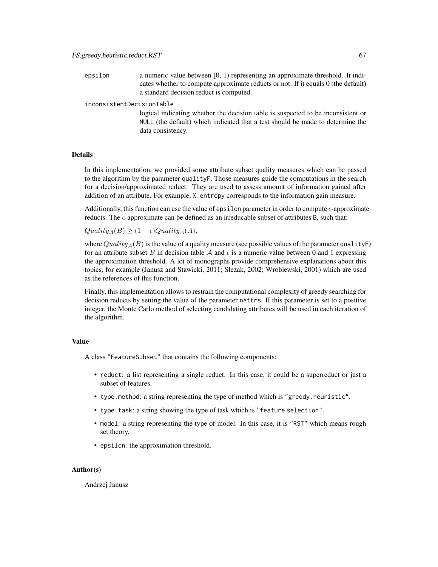| epsilon | a numeric value between $[0, 1)$ representing an approximate threshold. It indi-  |
|---------|-----------------------------------------------------------------------------------|
|         | cates whether to compute approximate reducts or not. If it equals 0 (the default) |
|         | a standard decision reduct is computed.                                           |

inconsistentDecisionTable

logical indicating whether the decision table is suspected to be inconsistent or NULL (the default) which indicated that a test should be made to determine the data consistency.

#### Details

In this implementation, we provided some attribute subset quality measures which can be passed to the algorithm by the parameter qualityF. Those measures guide the computations in the search for a decision/approximated reduct. They are used to assess amount of information gained after addition of an attribute. For example, X.entropy corresponds to the information gain measure.

Additionally, this function can use the value of epsilon parameter in order to compute  $\epsilon$ -approximate reducts. The  $\epsilon$ -approximate can be defined as an irreducable subset of attributes B, such that:

 $Quality_{\mathcal{A}}(B) \geq (1 - \epsilon) Quality_{\mathcal{A}}(A),$ 

where  $Quality_{\mathcal{A}}(B)$  is the value of a quality measure (see possible values of the parameter qualityF) for an attribute subset B in decision table A and  $\epsilon$  is a numeric value between 0 and 1 expressing the approximation threshold. A lot of monographs provide comprehensive explanations about this topics, for example (Janusz and Stawicki, 2011; Slezak, 2002; Wroblewski, 2001) which are used as the references of this function.

Finally, this implementation allows to restrain the computational complexity of greedy searching for decision reducts by setting the value of the parameter nAttrs. If this parameter is set to a positive integer, the Monte Carlo method of selecting candidating attributes will be used in each iteration of the algorithm.

#### Value

A class "FeatureSubset" that contains the following components:

- reduct: a list representing a single reduct. In this case, it could be a superreduct or just a subset of features.
- type.method: a string representing the type of method which is "greedy.heuristic".
- type.task: a string showing the type of task which is "feature selection".
- model: a string representing the type of model. In this case, it is "RST" which means rough set theory.
- epsilon: the approximation threshold.

## Author(s)

Andrzej Janusz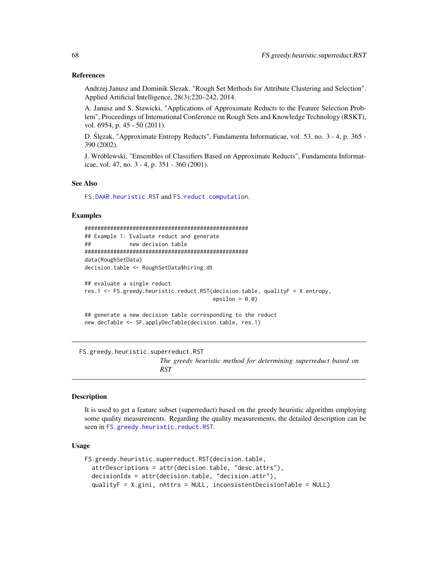## References

Andrzej Janusz and Dominik Slezak. "Rough Set Methods for Attribute Clustering and Selection". Applied Artificial Intelligence, 28(3):220–242, 2014.

A. Janusz and S. Stawicki, "Applications of Approximate Reducts to the Feature Selection Problem", Proceedings of International Conference on Rough Sets and Knowledge Technology (RSKT), vol. 6954, p. 45 - 50 (2011).

D. Slęzak, "Approximate Entropy Reducts", Fundamenta Informaticae, vol. 53, no. 3 - 4, p. 365 -390 (2002).

J. Wróblewski, "Ensembles of Classifiers Based on Approximate Reducts", Fundamenta Informaticae, vol. 47, no. 3 - 4, p. 351 - 360 (2001).

# See Also

[FS.DAAR.heuristic.RST](#page-61-0) and [FS.reduct.computation](#page-81-0).

#### Examples

```
###################################################
## Example 1: Evaluate reduct and generate
## new decision table
###################################################
data(RoughSetData)
decision.table <- RoughSetData$hiring.dt
## evaluate a single reduct
```

```
res.1 <- FS.greedy.heuristic.reduct.RST(decision.table, qualityF = X.entropy,
                                        epsilon = 0.0)
```

```
## generate a new decision table corresponding to the reduct
new.decTable <- SF.applyDecTable(decision.table, res.1)
```
<span id="page-67-0"></span>FS.greedy.heuristic.superreduct.RST

*The greedy heuristic method for determining superreduct based on RST*

#### Description

It is used to get a feature subset (superreduct) based on the greedy heuristic algorithm employing some quality measurements. Regarding the quality measurements, the detailed description can be seen in [FS.greedy.heuristic.reduct.RST](#page-65-0).

## Usage

```
FS.greedy.heuristic.superreduct.RST(decision.table,
  attrDescriptions = attr(decision.table, "desc.attrs"),
  decisionIdx = attr(decision.table, "decision.attr"),
  qualityF = X.gini, nAttrs = NULL, inconsistentDecisionTable = NULL)
```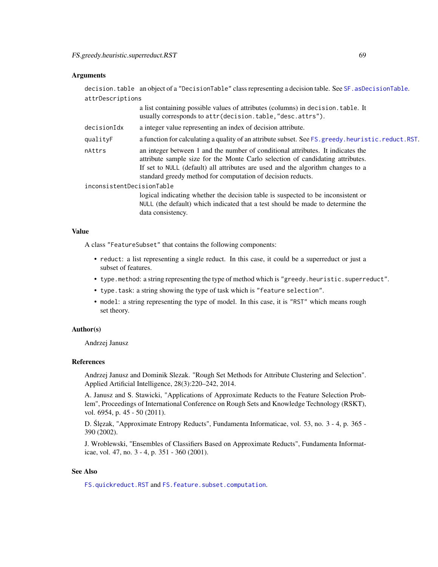## **Arguments**

decision.table an object of a "DecisionTable" class representing a decision table. See SF. asDecisionTable. attrDescriptions

|                           | a list containing possible values of attributes (columns) in decision. table. It<br>usually corresponds to attr(decision.table,"desc.attrs").                                                                                                                                                                       |
|---------------------------|---------------------------------------------------------------------------------------------------------------------------------------------------------------------------------------------------------------------------------------------------------------------------------------------------------------------|
| decisionIdx               | a integer value representing an index of decision attribute.                                                                                                                                                                                                                                                        |
| qualityF                  | a function for calculating a quality of an attribute subset. See FS. greedy. heuristic. reduct. RST.                                                                                                                                                                                                                |
| nAttrs                    | an integer between 1 and the number of conditional attributes. It indicates the<br>attribute sample size for the Monte Carlo selection of candidating attributes.<br>If set to NULL (default) all attributes are used and the algorithm changes to a<br>standard greedy method for computation of decision reducts. |
| inconsistentDecisionTable |                                                                                                                                                                                                                                                                                                                     |
|                           | logical indicating whether the decision table is suspected to be inconsistent or<br>NULL (the default) which indicated that a test should be made to determine the                                                                                                                                                  |

#### Value

A class "FeatureSubset" that contains the following components:

data consistency.

- reduct: a list representing a single reduct. In this case, it could be a superreduct or just a subset of features.
- type.method: a string representing the type of method which is "greedy.heuristic.superreduct".
- type.task: a string showing the type of task which is "feature selection".
- model: a string representing the type of model. In this case, it is "RST" which means rough set theory.

## Author(s)

Andrzej Janusz

#### References

Andrzej Janusz and Dominik Slezak. "Rough Set Methods for Attribute Clustering and Selection". Applied Artificial Intelligence, 28(3):220–242, 2014.

A. Janusz and S. Stawicki, "Applications of Approximate Reducts to the Feature Selection Problem", Proceedings of International Conference on Rough Sets and Knowledge Technology (RSKT), vol. 6954, p. 45 - 50 (2011).

D. Slęzak, "Approximate Entropy Reducts", Fundamenta Informaticae, vol. 53, no. 3 - 4, p. 365 -390 (2002).

J. Wroblewski, "Ensembles of Classifiers Based on Approximate Reducts", Fundamenta Informaticae, vol. 47, no. 3 - 4, p. 351 - 360 (2001).

# See Also

[FS.quickreduct.RST](#page-79-0) and [FS.feature.subset.computation](#page-63-0).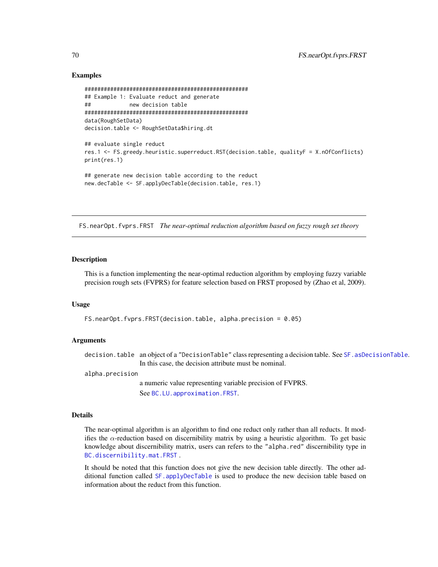# Examples

```
###################################################
## Example 1: Evaluate reduct and generate
## new decision table
###################################################
data(RoughSetData)
decision.table <- RoughSetData$hiring.dt
## evaluate single reduct
res.1 <- FS.greedy.heuristic.superreduct.RST(decision.table, qualityF = X.nOfConflicts)
print(res.1)
## generate new decision table according to the reduct
new.decTable <- SF.applyDecTable(decision.table, res.1)
```
FS.nearOpt.fvprs.FRST *The near-optimal reduction algorithm based on fuzzy rough set theory*

# **Description**

This is a function implementing the near-optimal reduction algorithm by employing fuzzy variable precision rough sets (FVPRS) for feature selection based on FRST proposed by (Zhao et al, 2009).

## Usage

FS.nearOpt.fvprs.FRST(decision.table, alpha.precision = 0.05)

# Arguments

decision.table an object of a "DecisionTable" class representing a decision table. See SF. asDecisionTable. In this case, the decision attribute must be nominal.

alpha.precision

a numeric value representing variable precision of FVPRS. See [BC.LU.approximation.FRST](#page-32-0).

#### Details

The near-optimal algorithm is an algorithm to find one reduct only rather than all reducts. It modifies the  $\alpha$ -reduction based on discernibility matrix by using a heuristic algorithm. To get basic knowledge about discernibility matrix, users can refers to the "alpha.red" discernibility type in [BC.discernibility.mat.FRST](#page-19-0) .

It should be noted that this function does not give the new decision table directly. The other additional function called [SF.applyDecTable](#page-111-0) is used to produce the new decision table based on information about the reduct from this function.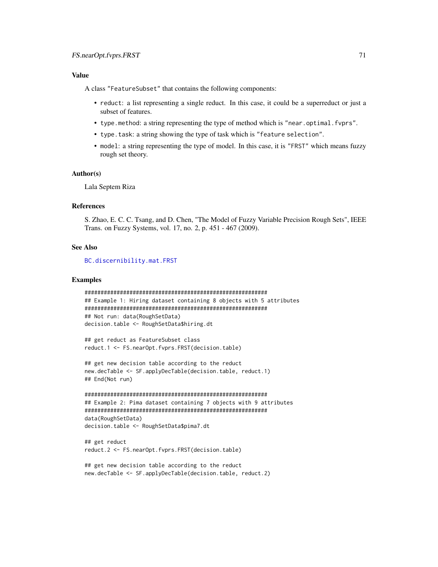# Value

A class "FeatureSubset" that contains the following components:

- reduct: a list representing a single reduct. In this case, it could be a superreduct or just a subset of features.
- type.method: a string representing the type of method which is "near.optimal.fvprs".
- type.task: a string showing the type of task which is "feature selection".
- model: a string representing the type of model. In this case, it is "FRST" which means fuzzy rough set theory.

#### Author(s)

Lala Septem Riza

# References

S. Zhao, E. C. C. Tsang, and D. Chen, "The Model of Fuzzy Variable Precision Rough Sets", IEEE Trans. on Fuzzy Systems, vol. 17, no. 2, p. 451 - 467 (2009).

# See Also

[BC.discernibility.mat.FRST](#page-19-0)

#### Examples

```
#########################################################
## Example 1: Hiring dataset containing 8 objects with 5 attributes
#########################################################
## Not run: data(RoughSetData)
decision.table <- RoughSetData$hiring.dt
```

```
## get reduct as FeatureSubset class
reduct.1 <- FS.nearOpt.fvprs.FRST(decision.table)
```

```
## get new decision table according to the reduct
new.decTable <- SF.applyDecTable(decision.table, reduct.1)
## End(Not run)
```

```
#########################################################
## Example 2: Pima dataset containing 7 objects with 9 attributes
#########################################################
data(RoughSetData)
decision.table <- RoughSetData$pima7.dt
```
## get reduct reduct.2 <- FS.nearOpt.fvprs.FRST(decision.table)

```
## get new decision table according to the reduct
new.decTable <- SF.applyDecTable(decision.table, reduct.2)
```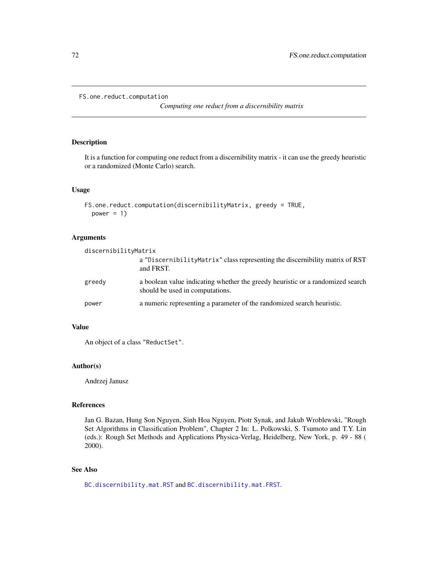```
FS.one.reduct.computation
```
*Computing one reduct from a discernibility matrix*

# Description

It is a function for computing one reduct from a discernibility matrix - it can use the greedy heuristic or a randomized (Monte Carlo) search.

# Usage

```
FS.one.reduct.computation(discernibilityMatrix, greedy = TRUE,
 power = 1)
```
# Arguments

| discernibilityMatrix |                                                                                                                   |
|----------------------|-------------------------------------------------------------------------------------------------------------------|
|                      | a "Discernibility Matrix" class representing the discernibility matrix of RST<br>and FRST.                        |
| greedy               | a boolean value indicating whether the greedy heuristic or a randomized search<br>should be used in computations. |
| power                | a numeric representing a parameter of the randomized search heuristic.                                            |

# Value

An object of a class "ReductSet".

# Author(s)

Andrzej Janusz

# References

Jan G. Bazan, Hung Son Nguyen, Sinh Hoa Nguyen, Piotr Synak, and Jakub Wroblewski, "Rough Set Algorithms in Classification Problem", Chapter 2 In: L. Polkowski, S. Tsumoto and T.Y. Lin (eds.): Rough Set Methods and Applications Physica-Verlag, Heidelberg, New York, p. 49 - 88 ( 2000).

# See Also

[BC.discernibility.mat.RST](#page-23-0) and [BC.discernibility.mat.FRST](#page-19-0).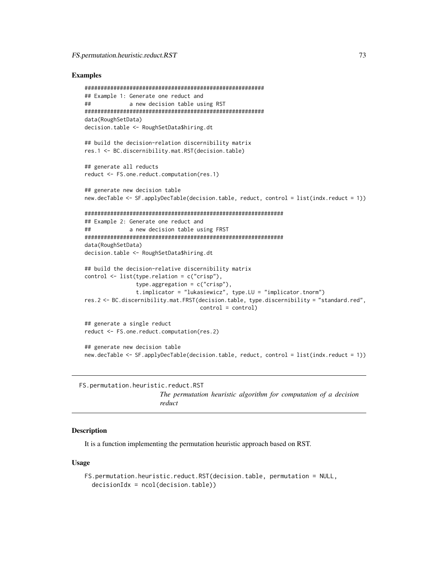## Examples

```
########################################################
## Example 1: Generate one reduct and
## a new decision table using RST
########################################################
data(RoughSetData)
decision.table <- RoughSetData$hiring.dt
## build the decision-relation discernibility matrix
res.1 <- BC.discernibility.mat.RST(decision.table)
## generate all reducts
reduct <- FS.one.reduct.computation(res.1)
## generate new decision table
new.decTable <- SF.applyDecTable(decision.table, reduct, control = list(indx.reduct = 1))
##############################################################
## Example 2: Generate one reduct and
## a new decision table using FRST
##############################################################
data(RoughSetData)
decision.table <- RoughSetData$hiring.dt
## build the decision-relative discernibility matrix
control <- list(type.relation = c("crisp"),
                type.aggregation = c("crisp"),
                t.implicator = "lukasiewicz", type.LU = "implicator.tnorm")
res.2 <- BC.discernibility.mat.FRST(decision.table, type.discernibility = "standard.red",
                                   control = control)
## generate a single reduct
reduct <- FS.one.reduct.computation(res.2)
## generate new decision table
new.decTable <- SF.applyDecTable(decision.table, reduct, control = list(indx.reduct = 1))
```
<span id="page-72-0"></span>FS.permutation.heuristic.reduct.RST

# *The permutation heuristic algorithm for computation of a decision reduct*

#### **Description**

It is a function implementing the permutation heuristic approach based on RST.

#### Usage

```
FS.permutation.heuristic.reduct.RST(decision.table, permutation = NULL,
  decisionIdx = ncol(decision.table))
```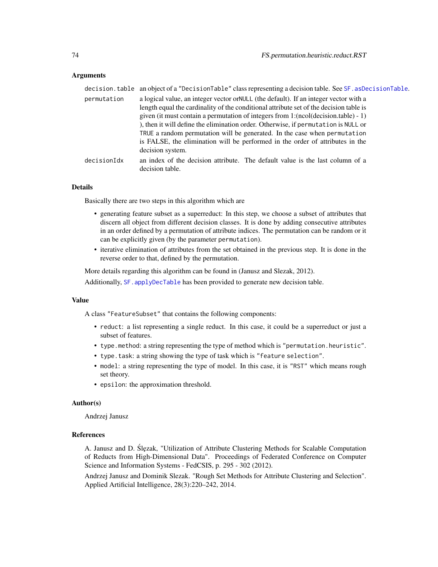## Arguments

|             | decision.table an object of a "DecisionTable" class representing a decision table. See SF. asDecisionTable.                                                                                                                                                                                                                                                                                                                                                                                                                    |
|-------------|--------------------------------------------------------------------------------------------------------------------------------------------------------------------------------------------------------------------------------------------------------------------------------------------------------------------------------------------------------------------------------------------------------------------------------------------------------------------------------------------------------------------------------|
| permutation | a logical value, an integer vector or NULL (the default). If an integer vector with a<br>length equal the cardinality of the conditional attribute set of the decision table is<br>given (it must contain a permutation of integers from 1: $(ncol(decision.table) - 1)$ )<br>), then it will define the elimination order. Otherwise, if permutation is NULL or<br>TRUE a random permutation will be generated. In the case when permutation<br>is FALSE, the elimination will be performed in the order of attributes in the |
|             | decision system.                                                                                                                                                                                                                                                                                                                                                                                                                                                                                                               |
| decisionIdx | an index of the decision attribute. The default value is the last column of a<br>decision table.                                                                                                                                                                                                                                                                                                                                                                                                                               |

## Details

Basically there are two steps in this algorithm which are

- generating feature subset as a superreduct: In this step, we choose a subset of attributes that discern all object from different decision classes. It is done by adding consecutive attributes in an order defined by a permutation of attribute indices. The permutation can be random or it can be explicitly given (by the parameter permutation).
- iterative elimination of attributes from the set obtained in the previous step. It is done in the reverse order to that, defined by the permutation.

More details regarding this algorithm can be found in (Janusz and Slezak, 2012).

Additionally, [SF.applyDecTable](#page-111-0) has been provided to generate new decision table.

## Value

A class "FeatureSubset" that contains the following components:

- reduct: a list representing a single reduct. In this case, it could be a superreduct or just a subset of features.
- type.method: a string representing the type of method which is "permutation.heuristic".
- type.task: a string showing the type of task which is "feature selection".
- model: a string representing the type of model. In this case, it is "RST" which means rough set theory.
- epsilon: the approximation threshold.

#### Author(s)

Andrzej Janusz

#### References

A. Janusz and D. Ślęzak, "Utilization of Attribute Clustering Methods for Scalable Computation of Reducts from High-Dimensional Data". Proceedings of Federated Conference on Computer Science and Information Systems - FedCSIS, p. 295 - 302 (2012).

Andrzej Janusz and Dominik Slezak. "Rough Set Methods for Attribute Clustering and Selection". Applied Artificial Intelligence, 28(3):220–242, 2014.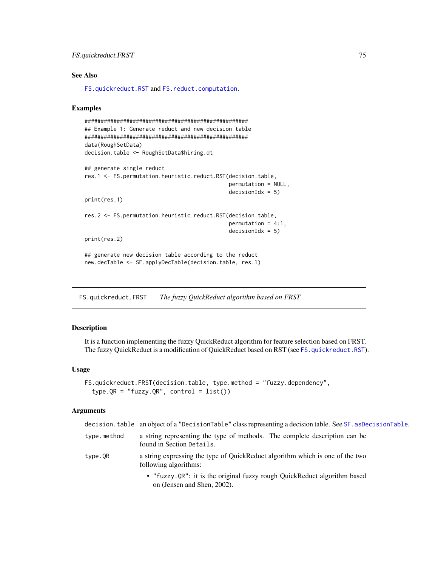# See Also

[FS.quickreduct.RST](#page-79-0) and [FS.reduct.computation](#page-81-0).

## Examples

```
###################################################
## Example 1: Generate reduct and new decision table
###################################################
data(RoughSetData)
decision.table <- RoughSetData$hiring.dt
## generate single reduct
res.1 <- FS.permutation.heuristic.reduct.RST(decision.table,
                                             permutation = NULL,
                                             decisionIdx = 5)print(res.1)
res.2 <- FS.permutation.heuristic.reduct.RST(decision.table,
                                             permutation = 4:1,
                                             decisionIdx = 5)
print(res.2)
## generate new decision table according to the reduct
new.decTable <- SF.applyDecTable(decision.table, res.1)
```
<span id="page-74-0"></span>FS.quickreduct.FRST *The fuzzy QuickReduct algorithm based on FRST*

## Description

It is a function implementing the fuzzy QuickReduct algorithm for feature selection based on FRST. The fuzzy QuickReduct is a modification of QuickReduct based on RST (see [FS.quickreduct.RST](#page-79-0)).

#### Usage

```
FS.quickreduct.FRST(decision.table, type.method = "fuzzy.dependency",
  type.QR = "fuzzy.QR", control = list()
```
#### Arguments

|             | decision.table an object of a "DecisionTable" class representing a decision table. See SF. asDecisionTable. |
|-------------|-------------------------------------------------------------------------------------------------------------|
| type.method | a string representing the type of methods. The complete description can be<br>found in Section Details.     |
| type.OR     | a string expressing the type of QuickReduct algorithm which is one of the two<br>following algorithms:      |
|             | • "fuzzy.QR": it is the original fuzzy rough QuickReduct algorithm based<br>on (Jensen and Shen, 2002).     |
|             |                                                                                                             |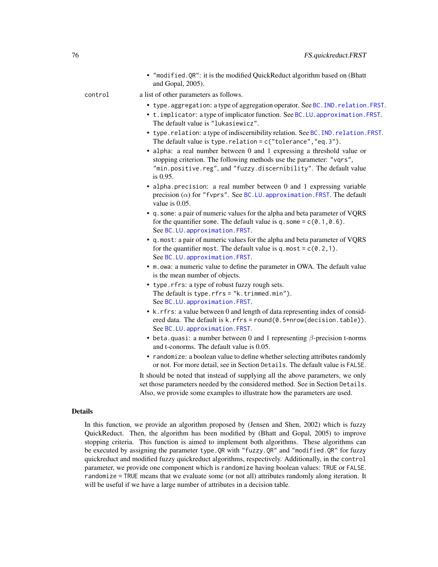• "modified.QR": it is the modified QuickReduct algorithm based on (Bhatt and Gopal, 2005).

control a list of other parameters as follows.

- type.aggregation: a type of aggregation operator. See [BC.IND.relation.FRST](#page-25-0).
- t.implicator: a type of implicator function. See [BC.LU.approximation.FRST](#page-32-0). The default value is "lukasiewicz".
- type.relation: a type of indiscernibility relation. See [BC.IND.relation.FRST](#page-25-0). The default value is type.relation =  $c("tolerance", "eq.3").$
- alpha: a real number between 0 and 1 expressing a threshold value or stopping criterion. The following methods use the parameter: "vqrs", "min.positive.reg", and "fuzzy.discernibility". The default value is 0.95.
- alpha.precision: a real number between 0 and 1 expressing variable precision  $(\alpha)$  for "fvprs". See [BC.LU.approximation.FRST](#page-32-0). The default value is 0.05.
- q.some: a pair of numeric values for the alpha and beta parameter of VQRS for the quantifier some. The default value is q.some =  $c(0.1, 0.6)$ . See [BC.LU.approximation.FRST](#page-32-0).
- q.most: a pair of numeric values for the alpha and beta parameter of VQRS for the quantifier most. The default value is q.most =  $c(0.2,1)$ . See [BC.LU.approximation.FRST](#page-32-0).
- m.owa: a numeric value to define the parameter in OWA. The default value is the mean number of objects.
- type.rfrs: a type of robust fuzzy rough sets. The default is type.rfrs = "k.trimmed.min"). See [BC.LU.approximation.FRST](#page-32-0).
- k.rfrs: a value between 0 and length of data representing index of considered data. The default is k.rfrs = round(0.5\*nrow(decision.table)). See [BC.LU.approximation.FRST](#page-32-0).
- beta.quasi: a number between 0 and 1 representing  $\beta$ -precision t-norms and t-conorms. The default value is 0.05.
- randomize: a boolean value to define whether selecting attributes randomly or not. For more detail, see in Section Details. The default value is FALSE.

It should be noted that instead of supplying all the above parameters, we only set those parameters needed by the considered method. See in Section Details. Also, we provide some examples to illustrate how the parameters are used.

## Details

In this function, we provide an algorithm proposed by (Jensen and Shen, 2002) which is fuzzy QuickReduct. Then, the algorithm has been modified by (Bhatt and Gopal, 2005) to improve stopping criteria. This function is aimed to implement both algorithms. These algorithms can be executed by assigning the parameter type.QR with "fuzzy.QR" and "modified.QR" for fuzzy quickreduct and modified fuzzy quickreduct algorithms, respectively. Additionally, in the control parameter, we provide one component which is randomize having boolean values: TRUE or FALSE. randomize = TRUE means that we evaluate some (or not all) attributes randomly along iteration. It will be useful if we have a large number of attributes in a decision table.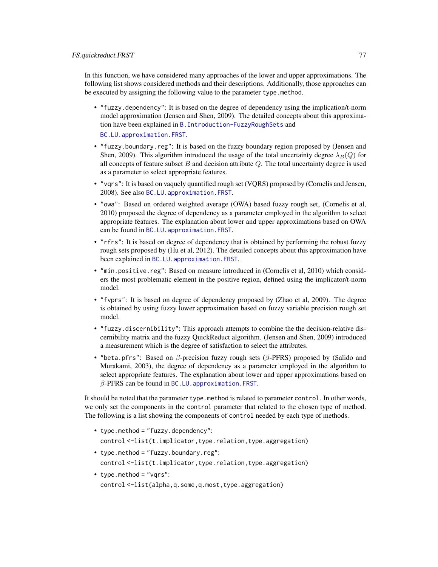In this function, we have considered many approaches of the lower and upper approximations. The following list shows considered methods and their descriptions. Additionally, those approaches can be executed by assigning the following value to the parameter type.method.

- "fuzzy.dependency": It is based on the degree of dependency using the implication/t-norm model approximation (Jensen and Shen, 2009). The detailed concepts about this approximation have been explained in [B.Introduction-FuzzyRoughSets](#page-16-0) and [BC.LU.approximation.FRST](#page-32-0).
- "fuzzy.boundary.reg": It is based on the fuzzy boundary region proposed by (Jensen and Shen, 2009). This algorithm introduced the usage of the total uncertainty degree  $\lambda_B(Q)$  for all concepts of feature subset  $B$  and decision attribute  $Q$ . The total uncertainty degree is used as a parameter to select appropriate features.
- "vqrs": It is based on vaquely quantified rough set (VQRS) proposed by (Cornelis and Jensen, 2008). See also [BC.LU.approximation.FRST](#page-32-0).
- "owa": Based on ordered weighted average (OWA) based fuzzy rough set, (Cornelis et al, 2010) proposed the degree of dependency as a parameter employed in the algorithm to select appropriate features. The explanation about lower and upper approximations based on OWA can be found in [BC.LU.approximation.FRST](#page-32-0).
- "rfrs": It is based on degree of dependency that is obtained by performing the robust fuzzy rough sets proposed by (Hu et al, 2012). The detailed concepts about this approximation have been explained in [BC.LU.approximation.FRST](#page-32-0).
- "min.positive.reg": Based on measure introduced in (Cornelis et al, 2010) which considers the most problematic element in the positive region, defined using the implicator/t-norm model.
- "fvprs": It is based on degree of dependency proposed by (Zhao et al, 2009). The degree is obtained by using fuzzy lower approximation based on fuzzy variable precision rough set model.
- "fuzzy.discernibility": This approach attempts to combine the the decision-relative discernibility matrix and the fuzzy QuickReduct algorithm. (Jensen and Shen, 2009) introduced a measurement which is the degree of satisfaction to select the attributes.
- "beta.pfrs": Based on  $\beta$ -precision fuzzy rough sets ( $\beta$ -PFRS) proposed by (Salido and Murakami, 2003), the degree of dependency as a parameter employed in the algorithm to select appropriate features. The explanation about lower and upper approximations based on  $\beta$ -PFRS can be found in BC.LU. approximation. FRST.

It should be noted that the parameter type.method is related to parameter control. In other words, we only set the components in the control parameter that related to the chosen type of method. The following is a list showing the components of control needed by each type of methods.

- type.method = "fuzzy.dependency": control <-list(t.implicator,type.relation,type.aggregation)
- type.method = "fuzzy.boundary.reg": control <-list(t.implicator,type.relation,type.aggregation)
- type.method = "vqrs": control <-list(alpha,q.some,q.most,type.aggregation)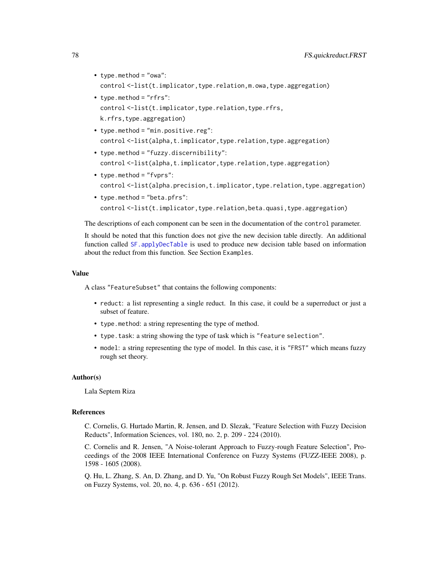- type.method = "owa": control <-list(t.implicator,type.relation,m.owa,type.aggregation)
- type.method = "rfrs": control <-list(t.implicator,type.relation,type.rfrs, k.rfrs,type.aggregation)
- type.method = "min.positive.reg": control <-list(alpha,t.implicator,type.relation,type.aggregation)
- type.method = "fuzzy.discernibility": control <-list(alpha,t.implicator,type.relation,type.aggregation)
- type.method = "fvprs": control <-list(alpha.precision,t.implicator,type.relation,type.aggregation)
- type.method = "beta.pfrs": control <-list(t.implicator,type.relation,beta.quasi,type.aggregation)

The descriptions of each component can be seen in the documentation of the control parameter.

It should be noted that this function does not give the new decision table directly. An additional function called [SF.applyDecTable](#page-111-0) is used to produce new decision table based on information about the reduct from this function. See Section Examples.

## Value

A class "FeatureSubset" that contains the following components:

- reduct: a list representing a single reduct. In this case, it could be a superreduct or just a subset of feature.
- type.method: a string representing the type of method.
- type.task: a string showing the type of task which is "feature selection".
- model: a string representing the type of model. In this case, it is "FRST" which means fuzzy rough set theory.

#### Author(s)

Lala Septem Riza

## References

C. Cornelis, G. Hurtado Martin, R. Jensen, and D. Slezak, "Feature Selection with Fuzzy Decision Reducts", Information Sciences, vol. 180, no. 2, p. 209 - 224 (2010).

C. Cornelis and R. Jensen, "A Noise-tolerant Approach to Fuzzy-rough Feature Selection", Proceedings of the 2008 IEEE International Conference on Fuzzy Systems (FUZZ-IEEE 2008), p. 1598 - 1605 (2008).

Q. Hu, L. Zhang, S. An, D. Zhang, and D. Yu, "On Robust Fuzzy Rough Set Models", IEEE Trans. on Fuzzy Systems, vol. 20, no. 4, p. 636 - 651 (2012).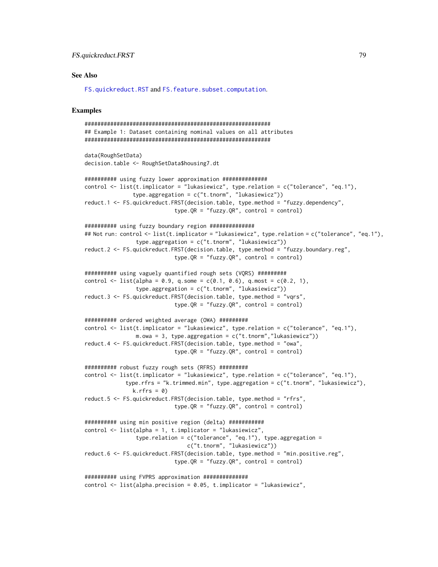# FS.quickreduct.FRST 79

## See Also

[FS.quickreduct.RST](#page-79-0) and [FS.feature.subset.computation](#page-63-0).

## Examples

```
##########################################################
## Example 1: Dataset containing nominal values on all attributes
##########################################################
data(RoughSetData)
decision.table <- RoughSetData$housing7.dt
########## using fuzzy lower approximation ##############
control <- list(t.implicator = "lukasiewicz", type.relation = c("tolerance", "eq.1"),
               type.aggregation = c("t.tnorm", "lukasiewicz"))
reduct.1 <- FS.quickreduct.FRST(decision.table, type.method = "fuzzy.dependency",
                            type.QR = "fuzzy.QR", control = control)
########## using fuzzy boundary region ##############
## Not run: control <- list(t.implicator = "lukasiewicz", type.relation = c("tolerance", "eq.1"),
                type.aggregation = c("t.tnorm", "lukasiewicz"))
reduct.2 <- FS.quickreduct.FRST(decision.table, type.method = "fuzzy.boundary.reg",
                            type.QR = "fuzzy.QR", control = control)########## using vaguely quantified rough sets (VQRS) #########
control \le list(alpha = 0.9, q.some = c(0.1, 0.6), q.most = c(0.2, 1),
                type.aggregation = c("t.tnorm", "lukasiewicz"))
reduct.3 <- FS.quickreduct.FRST(decision.table, type.method = "vqrs",
                            type.QR = "fuzzy.QR", control = control)########## ordered weighted average (OWA) #########
control \leq list(t.implicator = "lukasiewicz", type.relation = c("tolerance", "eq.1"),
                m.owa = 3, type.aggregation = c("t.tnorm","lukasiewicz"))
reduct.4 <- FS.quickreduct.FRST(decision.table, type.method = "owa",
                            type.QR = "fuzzy.QR", control = control)########## robust fuzzy rough sets (RFRS) #########
control <- list(t.implicator = "lukasiewicz", type.relation = c("tolerance", "eq.1"),
             type.rfrs = "k.trimmed.min", type.aggregation = c("t.tnorm", "lukasiewicz"),
               k.rfrs = 0reduct.5 <- FS.quickreduct.FRST(decision.table, type.method = "rfrs",
                            type.QR = "fuzzy.QR", control = control)########## using min positive region (delta) ###########
control <- list(alpha = 1, t.implicator = "lukasiewicz",
                type.relation = c("tolerance", "eq.1"), type.aggregation =
                                c("t.tnorm", "lukasiewicz"))
reduct.6 <- FS.quickreduct.FRST(decision.table, type.method = "min.positive.reg",
                            type.QR = "fuzzy.QR", control = control)########## using FVPRS approximation ##############
control <- list(alpha.precision = 0.05, t.implicator = "lukasiewicz",
```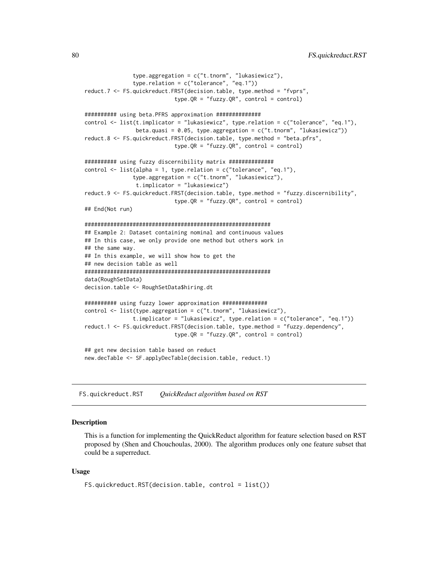```
type.aggregation = c("t.tnorm", "lukasiewicz"),
               type.relation = c("tolerance", "eq.1"))
reduct.7 <- FS.quickreduct.FRST(decision.table, type.method = "fvprs",
                            type.QR = "fuzzy.QR", control = control)########## using beta.PFRS approximation ##############
control <- list(t.implicator = "lukasiewicz", type.relation = c("tolerance", "eq.1"),
                beta.quasi = 0.05, type.aggregation = c("t.tnorm", "lukasiewicz"))
reduct.8 <- FS.quickreduct.FRST(decision.table, type.method = "beta.pfrs",
                            type.QR = "fuzzy.QR", control = control)########## using fuzzy discernibility matrix ##############
control \le list(alpha = 1, type. relation = c("tolerance", "eq.1"),
               type.aggregation = c("t.tnorm", "lukasiewicz"),
                t.implicator = "lukasiewicz")
reduct.9 <- FS.quickreduct.FRST(decision.table, type.method = "fuzzy.discernibility",
                            type.QR = "fuzzy.QR", control = control)
## End(Not run)
##########################################################
## Example 2: Dataset containing nominal and continuous values
## In this case, we only provide one method but others work in
## the same way.
## In this example, we will show how to get the
## new decision table as well
##########################################################
data(RoughSetData)
decision.table <- RoughSetData$hiring.dt
########## using fuzzy lower approximation ##############
control <- list(type.aggregation = c("t.tnorm", "lukasiewicz"),
               t.implicator = "lukasiewicz", type.relation = c("tolerance", "eq.1"))
reduct.1 <- FS.quickreduct.FRST(decision.table, type.method = "fuzzy.dependency",
                            type.QR = "fuzzy.QR", control = control)
## get new decision table based on reduct
new.decTable <- SF.applyDecTable(decision.table, reduct.1)
```
<span id="page-79-0"></span>FS.quickreduct.RST *QuickReduct algorithm based on RST*

#### **Description**

This is a function for implementing the QuickReduct algorithm for feature selection based on RST proposed by (Shen and Chouchoulas, 2000). The algorithm produces only one feature subset that could be a superreduct.

## Usage

```
FS.quickreduct.RST(decision.table, control = list())
```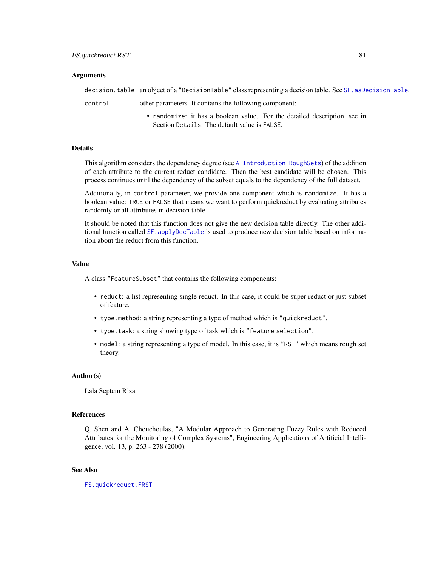## Arguments

|         | decision.table an object of a "DecisionTable" class representing a decision table. See SF. asDecisionTable. |
|---------|-------------------------------------------------------------------------------------------------------------|
| control | other parameters. It contains the following component:                                                      |
|         | • randomize: it has a boolean value. For the detailed description, see in                                   |

#### **Details**

This algorithm considers the dependency degree (see [A.Introduction-RoughSets](#page-12-0)) of the addition of each attribute to the current reduct candidate. Then the best candidate will be chosen. This process continues until the dependency of the subset equals to the dependency of the full dataset.

Section Details. The default value is FALSE.

Additionally, in control parameter, we provide one component which is randomize. It has a boolean value: TRUE or FALSE that means we want to perform quickreduct by evaluating attributes randomly or all attributes in decision table.

It should be noted that this function does not give the new decision table directly. The other additional function called SF. applyDecTable is used to produce new decision table based on information about the reduct from this function.

## Value

A class "FeatureSubset" that contains the following components:

- reduct: a list representing single reduct. In this case, it could be super reduct or just subset of feature.
- type.method: a string representing a type of method which is "quickreduct".
- type.task: a string showing type of task which is "feature selection".
- model: a string representing a type of model. In this case, it is "RST" which means rough set theory.

## Author(s)

Lala Septem Riza

## References

Q. Shen and A. Chouchoulas, "A Modular Approach to Generating Fuzzy Rules with Reduced Attributes for the Monitoring of Complex Systems", Engineering Applications of Artificial Intelligence, vol. 13, p. 263 - 278 (2000).

# See Also

[FS.quickreduct.FRST](#page-74-0)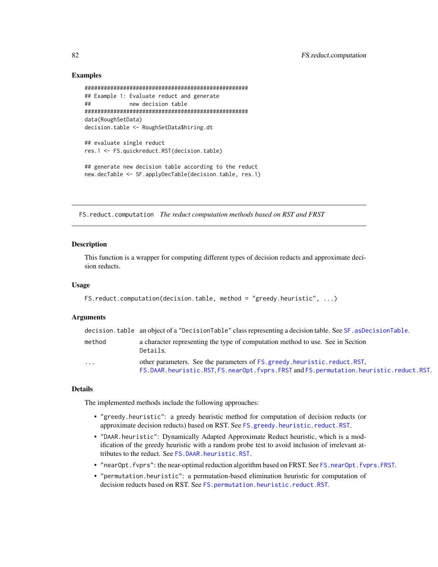## Examples

```
###################################################
## Example 1: Evaluate reduct and generate
## new decision table
###################################################
data(RoughSetData)
decision.table <- RoughSetData$hiring.dt
## evaluate single reduct
res.1 <- FS.quickreduct.RST(decision.table)
## generate new decision table according to the reduct
new.decTable <- SF.applyDecTable(decision.table, res.1)
```
<span id="page-81-0"></span>FS.reduct.computation *The reduct computation methods based on RST and FRST*

# Description

This function is a wrapper for computing different types of decision reducts and approximate decision reducts.

## Usage

```
FS.reduct.computation(decision.table, method = "greedy.heuristic", ...)
```
#### Arguments

|          | decision.table an object of a "DecisionTable" class representing a decision table. See SF. asDecisionTable.                                                     |
|----------|-----------------------------------------------------------------------------------------------------------------------------------------------------------------|
| method   | a character representing the type of computation method to use. See in Section<br>Details.                                                                      |
| $\cdots$ | other parameters. See the parameters of FS greedy heuristic reduct RST,<br>FS.DAAR.heuristic.RST,FS.nearOpt.fvprs.FRST and FS.permutation.heuristic.reduct.RST. |

#### Details

The implemented methods include the following approaches:

- "greedy.heuristic": a greedy heuristic method for computation of decision reducts (or approximate decision reducts) based on RST. See [FS.greedy.heuristic.reduct.RST](#page-65-0).
- "DAAR.heuristic": Dynamically Adapted Approximate Reduct heuristic, which is a modification of the greedy heuristic with a random probe test to avoid inclusion of irrelevant attributes to the reduct. See [FS.DAAR.heuristic.RST](#page-61-0).
- "nearOpt.fvprs": the near-optimal reduction algorithm based on FRST. See [FS.nearOpt.fvprs.FRST](#page-69-0).
- "permutation.heuristic": a permutation-based elimination heuristic for computation of decision reducts based on RST. See [FS.permutation.heuristic.reduct.RST](#page-72-0).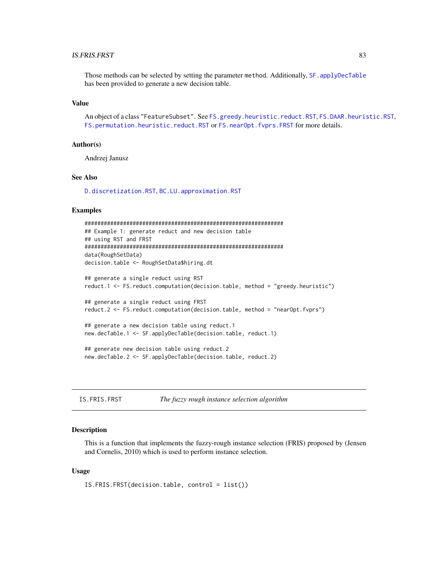# IS.FRIS.FRST 83

Those methods can be selected by setting the parameter method. Additionally, SF. applyDecTable has been provided to generate a new decision table.

## Value

An object of a class "FeatureSubset". See [FS.greedy.heuristic.reduct.RST](#page-65-0), [FS.DAAR.heuristic.RST](#page-61-0), [FS.permutation.heuristic.reduct.RST](#page-72-0) or [FS.nearOpt.fvprs.FRST](#page-69-0) for more details.

## Author(s)

Andrzej Janusz

## See Also

[D.discretization.RST](#page-52-0), [BC.LU.approximation.RST](#page-39-0)

## Examples

```
##############################################################
## Example 1: generate reduct and new decision table
## using RST and FRST
##############################################################
data(RoughSetData)
decision.table <- RoughSetData$hiring.dt
## generate a single reduct using RST
reduct.1 <- FS.reduct.computation(decision.table, method = "greedy.heuristic")
## generate a single reduct using FRST
reduct.2 <- FS.reduct.computation(decision.table, method = "nearOpt.fvprs")
## generate a new decision table using reduct.1
new.decTable.1 <- SF.applyDecTable(decision.table, reduct.1)
## generate new decision table using reduct.2
new.decTable.2 <- SF.applyDecTable(decision.table, reduct.2)
```
<span id="page-82-0"></span>IS.FRIS.FRST *The fuzzy rough instance selection algorithm*

## **Description**

This is a function that implements the fuzzy-rough instance selection (FRIS) proposed by (Jensen and Cornelis, 2010) which is used to perform instance selection.

## Usage

IS.FRIS.FRST(decision.table, control = list())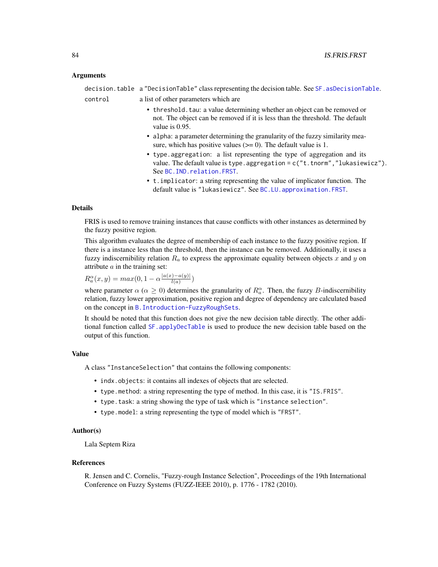## Arguments

|         | decision.table a "DecisionTable" class representing the decision table. See SF. asDecisionTable.                                                                                         |
|---------|------------------------------------------------------------------------------------------------------------------------------------------------------------------------------------------|
| control | a list of other parameters which are                                                                                                                                                     |
|         | • threshold. tau: a value determining whether an object can be removed or<br>not. The object can be removed if it is less than the threshold. The default<br>value is $0.95$ .           |
|         | • alpha: a parameter determining the granularity of the fuzzy similarity mea-<br>sure, which has positive values $(>= 0)$ . The default value is 1.                                      |
|         | • type aggregation: a list representing the type of aggregation and its<br>value. The default value is type.aggregation = $c("t.tnorm", "lukasiewicz").$<br>See BC. IND. relation. FRST. |
|         | • t. implicator: a string representing the value of implicator function. The<br>default value is "lukasiewicz". See BC.LU. approximation. FRST.                                          |

## Details

FRIS is used to remove training instances that cause conflicts with other instances as determined by the fuzzy positive region.

This algorithm evaluates the degree of membership of each instance to the fuzzy positive region. If there is a instance less than the threshold, then the instance can be removed. Additionally, it uses a fuzzy indiscernibility relation  $R_a$  to express the approximate equality between objects x and y on attribute  $a$  in the training set:

$$
R_a^{\alpha}(x, y) = max(0, 1 - \alpha \frac{|a(x) - a(y)|}{l(a)})
$$

where parameter  $\alpha$  ( $\alpha \ge 0$ ) determines the granularity of  $R_a^{\alpha}$ . Then, the fuzzy B-indiscernibility relation, fuzzy lower approximation, positive region and degree of dependency are calculated based on the concept in [B.Introduction-FuzzyRoughSets](#page-16-0).

It should be noted that this function does not give the new decision table directly. The other additional function called [SF.applyDecTable](#page-111-0) is used to produce the new decision table based on the output of this function.

# Value

A class "InstanceSelection" that contains the following components:

- indx.objects: it contains all indexes of objects that are selected.
- type.method: a string representing the type of method. In this case, it is "IS.FRIS".
- type.task: a string showing the type of task which is "instance selection".
- type.model: a string representing the type of model which is "FRST".

## Author(s)

Lala Septem Riza

#### References

R. Jensen and C. Cornelis, "Fuzzy-rough Instance Selection", Proceedings of the 19th International Conference on Fuzzy Systems (FUZZ-IEEE 2010), p. 1776 - 1782 (2010).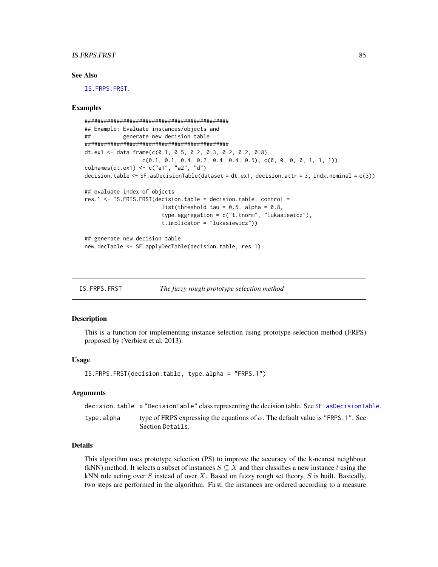## IS.FRPS.FRST 85

## See Also

[IS.FRPS.FRST](#page-84-0).

#### Examples

```
#############################################
## Example: Evaluate instances/objects and
## generate new decision table
#############################################
dt.ex1 <- data.frame(c(0.1, 0.5, 0.2, 0.3, 0.2, 0.2, 0.8),
                 c(0.1, 0.1, 0.4, 0.2, 0.4, 0.4, 0.5), c(0, 0, 0, 0, 1, 1, 1))colnames(dt.ex1) <- c("a1", "a2", "d")
decision.table \leq SF.asDecisionTable(dataset = dt.ex1, decision.attr = 3, indx.nominal = c(3))
## evaluate index of objects
res.1 <- IS.FRIS.FRST(decision.table = decision.table, control =
                        list(threshold.tau = 0.5, alpha = 0.8,
                        type.aggregation = c("t.tnorm", "lukasiewicz"),
                        t.implicator = "lukasiewicz"))
## generate new decision table
new.decTable <- SF.applyDecTable(decision.table, res.1)
```
<span id="page-84-0"></span>IS.FRPS.FRST *The fuzzy rough prototype selection method*

## **Description**

This is a function for implementing instance selection using prototype selection method (FRPS) proposed by (Verbiest et al, 2013).

#### Usage

IS.FRPS.FRST(decision.table, type.alpha = "FRPS.1")

## Arguments

|            | decision, table a "DecisionTable" class representing the decision table. See SF, asDecisionTable.          |
|------------|------------------------------------------------------------------------------------------------------------|
| type.alpha | type of FRPS expressing the equations of $\alpha$ . The default value is "FRPS.1". See<br>Section Details. |

## Details

This algorithm uses prototype selection (PS) to improve the accuracy of the k-nearest neighbour (kNN) method. It selects a subset of instances  $S \subseteq X$  and then classifies a new instance t using the kNN rule acting over  $S$  instead of over  $X$ . Based on fuzzy rough set theory,  $S$  is built. Basically, two steps are performed in the algorithm. First, the instances are ordered according to a measure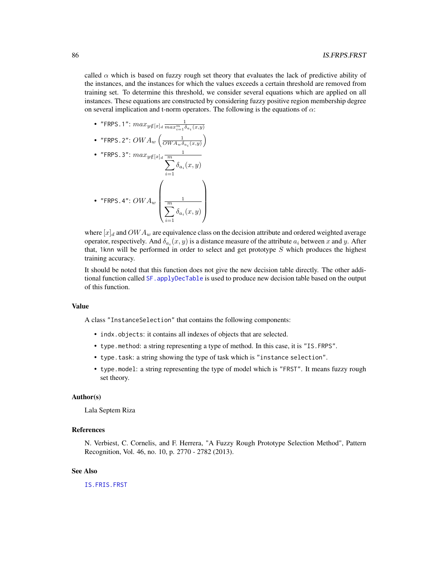called  $\alpha$  which is based on fuzzy rough set theory that evaluates the lack of predictive ability of the instances, and the instances for which the values exceeds a certain threshold are removed from training set. To determine this threshold, we consider several equations which are applied on all instances. These equations are constructed by considering fuzzy positive region membership degree on several implication and t-norm operators. The following is the equations of  $\alpha$ :

- "FRPS.1":  $max_{y \notin [x]_d} \frac{1}{max_{i=1}^m \delta_{a_i}(x,y)}$
- $\bullet$  "FRPS.2":  $OWA_w\left(\frac{1}{OWA_w\delta_{a_i}(x,y)}\right)$

\n- "FRPS.3": 
$$
max_{y \notin [x]_d} \frac{1}{\sum_{i=1}^{m} \delta_{a_i}(x, y)}
$$
\n- "FRPS.4":  $OWA_w$
\n- $$
\left(\frac{1}{\sum_{i=1}^{m} \delta_{a_i}(x, y)}\right)
$$
\n

where  $[x]_d$  and  $OWA_w$  are equivalence class on the decision attribute and ordered weighted average operator, respectively. And  $\delta_{a_i}(x, y)$  is a distance measure of the attribute  $a_i$  between x and y. After that, 1knn will be performed in order to select and get prototype  $S$  which produces the highest training accuracy.

It should be noted that this function does not give the new decision table directly. The other additional function called [SF.applyDecTable](#page-111-0) is used to produce new decision table based on the output of this function.

## Value

A class "InstanceSelection" that contains the following components:

- indx.objects: it contains all indexes of objects that are selected.
- type.method: a string representing a type of method. In this case, it is "IS.FRPS".
- type.task: a string showing the type of task which is "instance selection".
- type.model: a string representing the type of model which is "FRST". It means fuzzy rough set theory.

## Author(s)

Lala Septem Riza

# References

N. Verbiest, C. Cornelis, and F. Herrera, "A Fuzzy Rough Prototype Selection Method", Pattern Recognition, Vol. 46, no. 10, p. 2770 - 2782 (2013).

## See Also

[IS.FRIS.FRST](#page-82-0)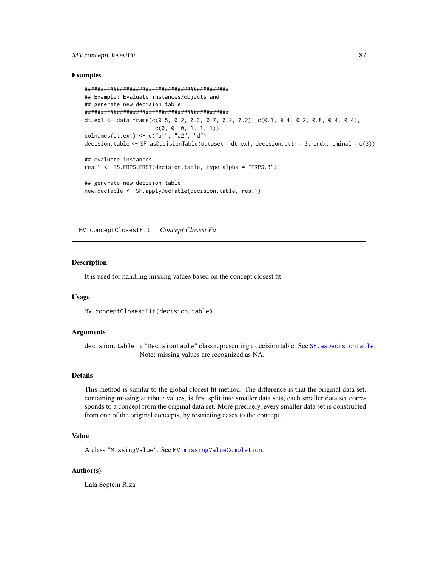# MV.conceptClosestFit 87

## Examples

```
#############################################
## Example: Evaluate instances/objects and
## generate new decision table
#############################################
dt.ex1 <- data.frame(c(0.5, 0.2, 0.3, 0.7, 0.2, 0.2), c(0.1, 0.4, 0.2, 0.8, 0.4, 0.4),
                      c(0, 0, 0, 1, 1, 1))
colnames(dt.ex1) <- c("a1", "a2", "d")
decision.table \leq SF.asDecisionTable(dataset = dt.ex1, decision.attr = 3, indx.nominal = c(3))
## evaluate instances
res.1 <- IS.FRPS.FRST(decision.table, type.alpha = "FRPS.3")
## generate new decision table
new.decTable <- SF.applyDecTable(decision.table, res.1)
```
<span id="page-86-0"></span>MV.conceptClosestFit *Concept Closest Fit*

#### Description

It is used for handling missing values based on the concept closest fit.

#### Usage

```
MV.conceptClosestFit(decision.table)
```
#### Arguments

decision.table a "DecisionTable" class representing a decision table. See [SF.asDecisionTable](#page-113-0). Note: missing values are recognized as NA.

## Details

This method is similar to the global closest fit method. The difference is that the original data set, containing missing attribute values, is first split into smaller data sets, each smaller data set corresponds to a concept from the original data set. More precisely, every smaller data set is constructed from one of the original concepts, by restricting cases to the concept.

## Value

A class "MissingValue". See [MV.missingValueCompletion](#page-89-0).

## Author(s)

Lala Septem Riza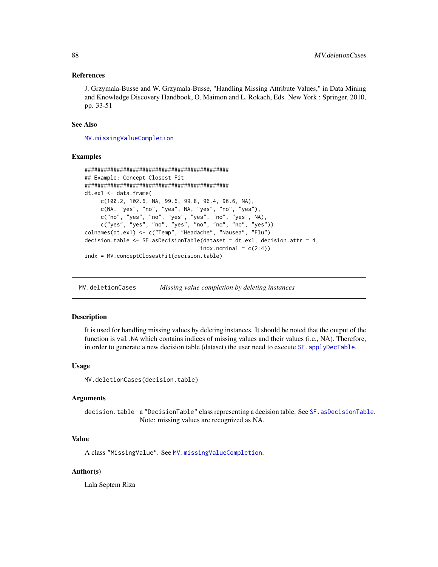## References

J. Grzymala-Busse and W. Grzymala-Busse, "Handling Missing Attribute Values," in Data Mining and Knowledge Discovery Handbook, O. Maimon and L. Rokach, Eds. New York : Springer, 2010, pp. 33-51

## See Also

[MV.missingValueCompletion](#page-89-0)

## Examples

```
#############################################
## Example: Concept Closest Fit
#############################################
dt.ex1 <- data.frame(
     c(100.2, 102.6, NA, 99.6, 99.8, 96.4, 96.6, NA),
     c(NA, "yes", "no", "yes", NA, "yes", "no", "yes"),
     c("no", "yes", "no", "yes", "yes", "no", "yes", NA),
     c("yes", "yes", "no", "yes", "no", "no", "no", "yes"))
colnames(dt.ex1) <- c("Temp", "Headache", "Nausea", "Flu")
decision.table <- SF.asDecisionTable(dataset = dt.ex1, decision.attr = 4,
                                    indx.nominal = c(2:4)indx = MV.conceptClosestFit(decision.table)
```
<span id="page-87-0"></span>MV.deletionCases *Missing value completion by deleting instances*

#### Description

It is used for handling missing values by deleting instances. It should be noted that the output of the function is val.NA which contains indices of missing values and their values (i.e., NA). Therefore, in order to generate a new decision table (dataset) the user need to execute SF. applyDecTable.

## Usage

MV.deletionCases(decision.table)

## Arguments

decision.table a "DecisionTable" class representing a decision table. See [SF.asDecisionTable](#page-113-0). Note: missing values are recognized as NA.

# Value

A class "MissingValue". See [MV.missingValueCompletion](#page-89-0).

## Author(s)

Lala Septem Riza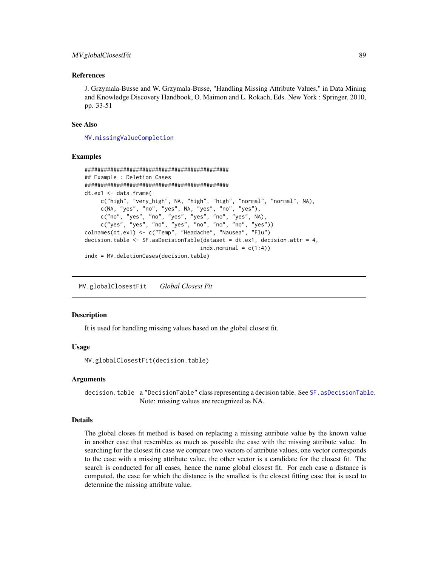## MV.globalClosestFit 89

## References

J. Grzymala-Busse and W. Grzymala-Busse, "Handling Missing Attribute Values," in Data Mining and Knowledge Discovery Handbook, O. Maimon and L. Rokach, Eds. New York : Springer, 2010, pp. 33-51

#### See Also

[MV.missingValueCompletion](#page-89-0)

## Examples

```
#############################################
## Example : Deletion Cases
#############################################
dt.ex1 <- data.frame(
    c("high", "very_high", NA, "high", "high", "normal", "normal", NA),
    c(NA, "yes", "no", "yes", NA, "yes", "no", "yes"),
    c("no", "yes", "no", "yes", "yes", "no", "yes", NA),
    c("yes", "yes", "no", "yes", "no", "no", "no", "yes"))
colnames(dt.ex1) <- c("Temp", "Headache", "Nausea", "Flu")
decision.table <- SF.asDecisionTable(dataset = dt.ex1, decision.attr = 4,
                                    indx.nominal = c(1:4)indx = MV.deletionCases(decision.table)
```
<span id="page-88-0"></span>MV.globalClosestFit *Global Closest Fit*

#### Description

It is used for handling missing values based on the global closest fit.

#### Usage

```
MV.globalClosestFit(decision.table)
```
#### Arguments

decision.table a "DecisionTable" class representing a decision table. See [SF.asDecisionTable](#page-113-0). Note: missing values are recognized as NA.

## Details

The global closes fit method is based on replacing a missing attribute value by the known value in another case that resembles as much as possible the case with the missing attribute value. In searching for the closest fit case we compare two vectors of attribute values, one vector corresponds to the case with a missing attribute value, the other vector is a candidate for the closest fit. The search is conducted for all cases, hence the name global closest fit. For each case a distance is computed, the case for which the distance is the smallest is the closest fitting case that is used to determine the missing attribute value.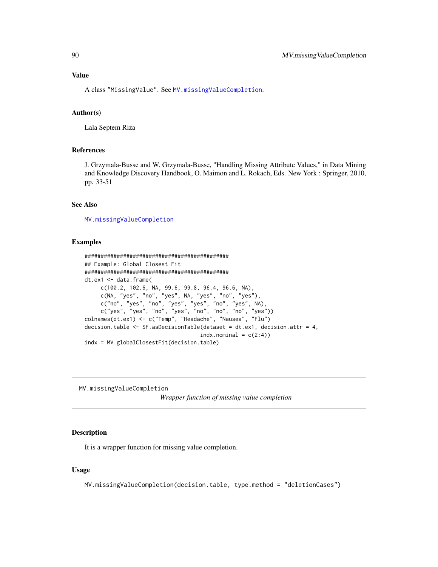# Value

A class "MissingValue". See [MV.missingValueCompletion](#page-89-0).

## Author(s)

Lala Septem Riza

# References

J. Grzymala-Busse and W. Grzymala-Busse, "Handling Missing Attribute Values," in Data Mining and Knowledge Discovery Handbook, O. Maimon and L. Rokach, Eds. New York : Springer, 2010, pp. 33-51

# See Also

[MV.missingValueCompletion](#page-89-0)

## Examples

```
#############################################
## Example: Global Closest Fit
#############################################
dt.ex1 <- data.frame(
    c(100.2, 102.6, NA, 99.6, 99.8, 96.4, 96.6, NA),
    c(NA, "yes", "no", "yes", NA, "yes", "no", "yes"),
    c("no", "yes", "no", "yes", "yes", "no", "yes", NA),
     c("yes", "yes", "no", "yes", "no", "no", "no", "yes"))
colnames(dt.ex1) <- c("Temp", "Headache", "Nausea", "Flu")
decision.table <- SF.asDecisionTable(dataset = dt.ex1, decision.attr = 4,
                                    indx.nominal = c(2:4)indx = MV.globalClosestFit(decision.table)
```
<span id="page-89-0"></span>MV.missingValueCompletion

*Wrapper function of missing value completion*

## Description

It is a wrapper function for missing value completion.

#### Usage

MV.missingValueCompletion(decision.table, type.method = "deletionCases")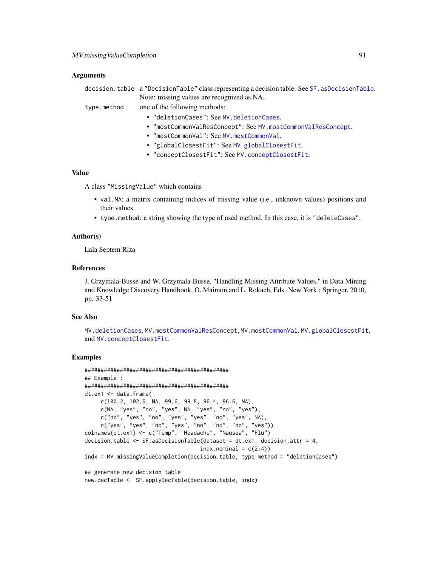## **Arguments**

|             | decision.table a "DecisionTable" class representing a decision table. See SF. asDecisionTable. |
|-------------|------------------------------------------------------------------------------------------------|
|             | Note: missing values are recognized as NA.                                                     |
| type.method | one of the following methods:                                                                  |
|             | • "deletionCases": See MV.deletionCases.                                                       |
|             | • "mostCommonValResConcept": See MV.mostCommonValResConcept.                                   |
|             | • "mostCommonVal": See MV.mostCommonVal.                                                       |
|             | • "globalClosestFit": See MV.globalClosestFit.                                                 |
|             | • "conceptClosestFit": See MV.conceptClosestFit.                                               |

## Value

A class "MissingValue" which contains

- val.NA: a matrix containing indices of missing value (i.e., unknown values) positions and their values.
- type.method: a string showing the type of used method. In this case, it is "deleteCases".

## Author(s)

Lala Septem Riza

#### References

J. Grzymala-Busse and W. Grzymala-Busse, "Handling Missing Attribute Values," in Data Mining and Knowledge Discovery Handbook, O. Maimon and L. Rokach, Eds. New York : Springer, 2010, pp. 33-51

## See Also

[MV.deletionCases](#page-87-0), [MV.mostCommonValResConcept](#page-92-0), [MV.mostCommonVal](#page-91-0), [MV.globalClosestFit](#page-88-0), and [MV.conceptClosestFit](#page-86-0).

## Examples

```
#############################################
## Example :
#############################################
dt.ex1 <- data.frame(
    c(100.2, 102.6, NA, 99.6, 99.8, 96.4, 96.6, NA),
     c(NA, "yes", "no", "yes", NA, "yes", "no", "yes"),
     c("no", "yes", "no", "yes", "yes", "no", "yes", NA),
     c("yes", "yes", "no", "yes", "no", "no", "no", "yes"))
colnames(dt.ex1) <- c("Temp", "Headache", "Nausea", "Flu")
decision.table <- SF.asDecisionTable(dataset = dt.ex1, decision.attr = 4,
                                    indx.nominal = c(2:4)indx = MV.missingValueCompletion(decision.table, type.method = "deletionCases")
## generate new decision table
```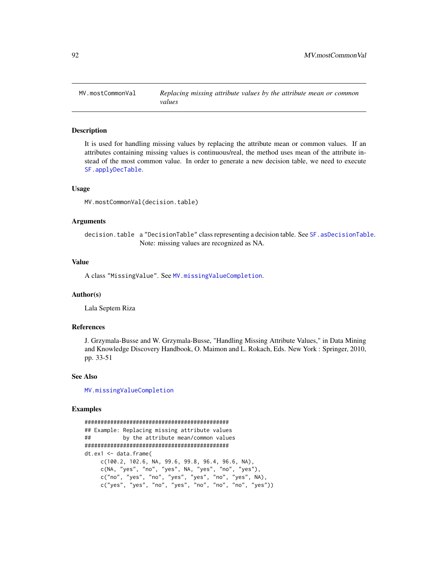<span id="page-91-0"></span>

## Description

It is used for handling missing values by replacing the attribute mean or common values. If an attributes containing missing values is continuous/real, the method uses mean of the attribute instead of the most common value. In order to generate a new decision table, we need to execute [SF.applyDecTable](#page-111-0).

## Usage

MV.mostCommonVal(decision.table)

## Arguments

decision.table a "DecisionTable" class representing a decision table. See [SF.asDecisionTable](#page-113-0). Note: missing values are recognized as NA.

## Value

A class "MissingValue". See [MV.missingValueCompletion](#page-89-0).

## Author(s)

Lala Septem Riza

## References

J. Grzymala-Busse and W. Grzymala-Busse, "Handling Missing Attribute Values," in Data Mining and Knowledge Discovery Handbook, O. Maimon and L. Rokach, Eds. New York : Springer, 2010, pp. 33-51

## See Also

[MV.missingValueCompletion](#page-89-0)

#### Examples

```
#############################################
## Example: Replacing missing attribute values
## by the attribute mean/common values
#############################################
dt.ex1 <- data.frame(
    c(100.2, 102.6, NA, 99.6, 99.8, 96.4, 96.6, NA),
    c(NA, "yes", "no", "yes", NA, "yes", "no", "yes"),
    c("no", "yes", "no", "yes", "yes", "no", "yes", NA),
    c("yes", "yes", "no", "yes", "no", "no", "no", "yes"))
```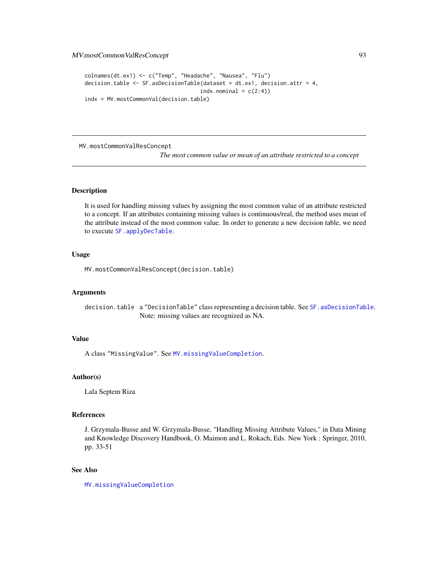# MV.mostCommonValResConcept 93

```
colnames(dt.ex1) <- c("Temp", "Headache", "Nausea", "Flu")
decision.table <- SF.asDecisionTable(dataset = dt.ex1, decision.attr = 4,
                                    indx.nominal = c(2:4)indx = MV.mostCommonVal(decision.table)
```
<span id="page-92-0"></span>MV.mostCommonValResConcept

*The most common value or mean of an attribute restricted to a concept*

#### Description

It is used for handling missing values by assigning the most common value of an attribute restricted to a concept. If an attributes containing missing values is continuous/real, the method uses mean of the attribute instead of the most common value. In order to generate a new decision table, we need to execute [SF.applyDecTable](#page-111-0).

#### Usage

MV.mostCommonValResConcept(decision.table)

#### Arguments

decision.table a "DecisionTable" class representing a decision table. See [SF.asDecisionTable](#page-113-0). Note: missing values are recognized as NA.

# Value

A class "MissingValue". See [MV.missingValueCompletion](#page-89-0).

## Author(s)

Lala Septem Riza

## References

J. Grzymala-Busse and W. Grzymala-Busse, "Handling Missing Attribute Values," in Data Mining and Knowledge Discovery Handbook, O. Maimon and L. Rokach, Eds. New York : Springer, 2010, pp. 33-51

## See Also

[MV.missingValueCompletion](#page-89-0)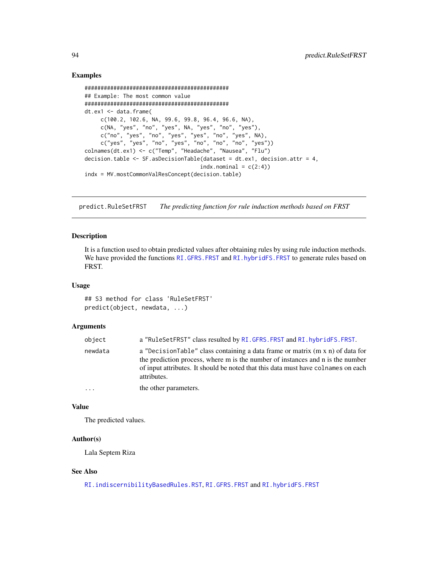## Examples

```
#############################################
## Example: The most common value
#############################################
dt.ex1 <- data.frame(
     c(100.2, 102.6, NA, 99.6, 99.8, 96.4, 96.6, NA),
     c(NA, "yes", "no", "yes", NA, "yes", "no", "yes"),
     c("no", "yes", "no", "yes", "yes", "no", "yes", NA),
     c("yes", "yes", "no", "yes", "no", "no", "no", "yes"))
colnames(dt.ex1) <- c("Temp", "Headache", "Nausea", "Flu")
decision.table <- SF.asDecisionTable(dataset = dt.ex1, decision.attr = 4,
                                    indx.nominal = c(2:4)indx = MV.mostCommonValResConcept(decision.table)
```
<span id="page-93-0"></span>predict.RuleSetFRST *The predicting function for rule induction methods based on FRST*

## Description

It is a function used to obtain predicted values after obtaining rules by using rule induction methods. We have provided the functions [RI.GFRS.FRST](#page-101-0) and [RI.hybridFS.FRST](#page-103-0) to generate rules based on FRST.

## Usage

## S3 method for class 'RuleSetFRST' predict(object, newdata, ...)

# Arguments

| object   | a "RuleSetFRST" class resulted by RI.GFRS.FRST and RI.hybridFS.FRST.                                                                                                                                                                                                |
|----------|---------------------------------------------------------------------------------------------------------------------------------------------------------------------------------------------------------------------------------------------------------------------|
| newdata  | a "DecisionTable" class containing a data frame or matrix (m x n) of data for<br>the prediction process, where m is the number of instances and n is the number<br>of input attributes. It should be noted that this data must have colnames on each<br>attributes. |
| $\cdots$ | the other parameters.                                                                                                                                                                                                                                               |

## Value

The predicted values.

## Author(s)

Lala Septem Riza

## See Also

[RI.indiscernibilityBasedRules.RST](#page-104-0), [RI.GFRS.FRST](#page-101-0) and [RI.hybridFS.FRST](#page-103-0)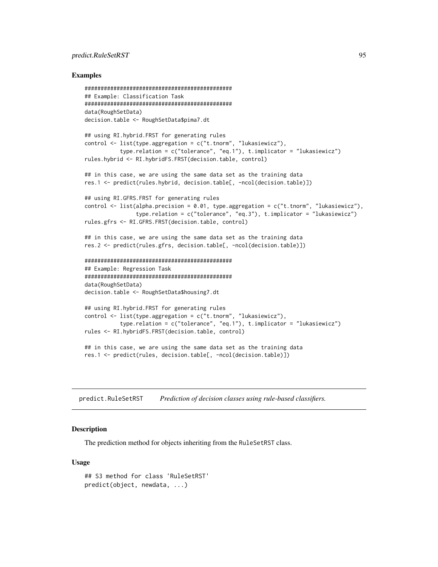# predict.RuleSetRST 95

#### Examples

```
##############################################
## Example: Classification Task
##############################################
data(RoughSetData)
decision.table <- RoughSetData$pima7.dt
## using RI.hybrid.FRST for generating rules
control <- list(type.aggregation = c("t.tnorm", "lukasiewicz"),
           type.relation = c("tolerance", "eq.1"), t.implicator = "lukasiewicz")
rules.hybrid <- RI.hybridFS.FRST(decision.table, control)
## in this case, we are using the same data set as the training data
res.1 <- predict(rules.hybrid, decision.table[, -ncol(decision.table)])
## using RI.GFRS.FRST for generating rules
control \leq list(alpha.precision = 0.01, type.aggregation = c("t.tnorm", "lukasiewicz"),
                type.relation = c("tolerance", "eq.3"), t.implicator = "lukasiewicz")
rules.gfrs <- RI.GFRS.FRST(decision.table, control)
## in this case, we are using the same data set as the training data
res.2 <- predict(rules.gfrs, decision.table[, -ncol(decision.table)])
##############################################
## Example: Regression Task
##############################################
data(RoughSetData)
decision.table <- RoughSetData$housing7.dt
## using RI.hybrid.FRST for generating rules
control <- list(type.aggregation = c("t.tnorm", "lukasiewicz"),
           type.relation = c("tolerance", "eq.1"), t.implicator = "lukasiewicz")
rules <- RI.hybridFS.FRST(decision.table, control)
## in this case, we are using the same data set as the training data
res.1 <- predict(rules, decision.table[, -ncol(decision.table)])
```
<span id="page-94-0"></span>predict.RuleSetRST *Prediction of decision classes using rule-based classifiers.*

#### Description

The prediction method for objects inheriting from the RuleSetRST class.

#### Usage

```
## S3 method for class 'RuleSetRST'
predict(object, newdata, ...)
```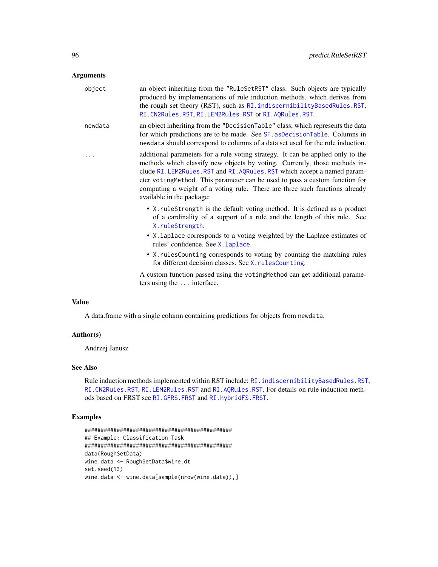## Arguments

| object  | an object inheriting from the "RuleSetRST" class. Such objects are typically<br>produced by implementations of rule induction methods, which derives from<br>the rough set theory (RST), such as RI. indiscernibilityBasedRules.RST,<br>RI. CN2Rules. RST, RI. LEM2Rules. RST or RI. AQRules. RST.                                                                                                                                    |
|---------|---------------------------------------------------------------------------------------------------------------------------------------------------------------------------------------------------------------------------------------------------------------------------------------------------------------------------------------------------------------------------------------------------------------------------------------|
| newdata | an object inheriting from the "DecisionTable" class, which represents the data<br>for which predictions are to be made. See SF. asDecisionTable. Columns in<br>newdata should correspond to columns of a data set used for the rule induction.                                                                                                                                                                                        |
|         | additional parameters for a rule voting strategy. It can be applied only to the<br>methods which classify new objects by voting. Currently, those methods in-<br>clude RI. LEM2Rules. RST and RI. AQRules. RST which accept a named param-<br>eter votingMethod. This parameter can be used to pass a custom function for<br>computing a weight of a voting rule. There are three such functions already<br>available in the package: |
|         | • X. ruleStrength is the default voting method. It is defined as a product<br>of a cardinality of a support of a rule and the length of this rule. See<br>X.ruleStrength.                                                                                                                                                                                                                                                             |
|         | • X. laplace corresponds to a voting weighted by the Laplace estimates of<br>rules' confidence. See X. laplace.                                                                                                                                                                                                                                                                                                                       |
|         | • X. rulesCounting corresponds to voting by counting the matching rules<br>for different decision classes. See X. rulesCounting.                                                                                                                                                                                                                                                                                                      |
|         | A custom function passed using the voting Method can get additional parame-<br>ters using the  interface.                                                                                                                                                                                                                                                                                                                             |
|         |                                                                                                                                                                                                                                                                                                                                                                                                                                       |

## Value

A data.frame with a single column containing predictions for objects from newdata.

# Author(s)

Andrzej Janusz

# See Also

Rule induction methods implemented within RST include: [RI.indiscernibilityBasedRules.RST](#page-104-0), [RI.CN2Rules.RST](#page-100-0), [RI.LEM2Rules.RST](#page-107-0) and [RI.AQRules.RST](#page-98-0). For details on rule induction methods based on FRST see [RI.GFRS.FRST](#page-101-0) and [RI.hybridFS.FRST](#page-103-0).

# Examples

```
##############################################
## Example: Classification Task
##############################################
data(RoughSetData)
wine.data <- RoughSetData$wine.dt
set.seed(13)
wine.data <- wine.data[sample(nrow(wine.data)),]
```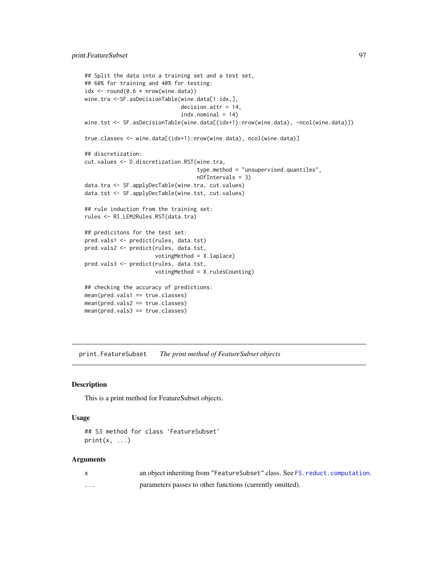```
## Split the data into a training set and a test set,
## 60% for training and 40% for testing:
idx \leftarrow round(0.6 * new(wine.data))wine.tra <-SF.asDecisionTable(wine.data[1:idx,],
                              decision.attr = 14,
                              indx.nominal = 14wine.tst <- SF.asDecisionTable(wine.data[(idx+1):nrow(wine.data), -ncol(wine.data)])
true.classes <- wine.data[(idx+1):nrow(wine.data), ncol(wine.data)]
## discretization:
cut.values <- D.discretization.RST(wine.tra,
                                   type.method = "unsupervised.quantiles",
                                   nOfIntervals = 3)
data.tra <- SF.applyDecTable(wine.tra, cut.values)
data.tst <- SF.applyDecTable(wine.tst, cut.values)
## rule induction from the training set:
rules <- RI.LEM2Rules.RST(data.tra)
## predicitons for the test set:
pred.vals1 <- predict(rules, data.tst)
pred.vals2 <- predict(rules, data.tst,
                      votingMethod = X.laplace)
pred.vals3 <- predict(rules, data.tst,
                      votingMethod = X.rulesCounting)
## checking the accuracy of predictions:
mean(pred.vals1 == true.classes)
mean(pred.vals2 == true.classes)
mean(pred.vals3 == true.classes)
```
print.FeatureSubset *The print method of FeatureSubset objects*

#### Description

This is a print method for FeatureSubset objects.

#### Usage

```
## S3 method for class 'FeatureSubset'
print(x, \ldots)
```
## Arguments

|   | an object inheriting from "Feature Subset" class. See FS. reduct. computation. |
|---|--------------------------------------------------------------------------------|
| . | parameters passes to other functions (currently omitted).                      |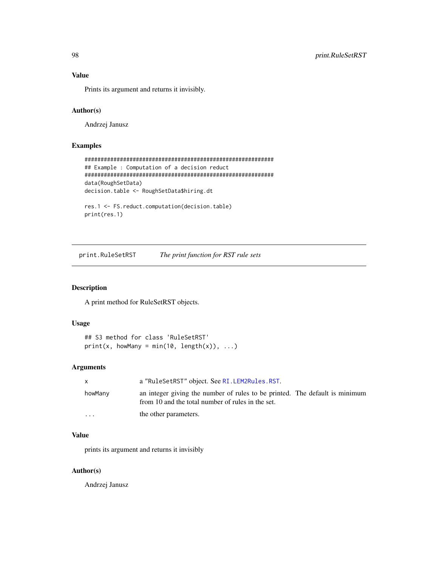# Value

Prints its argument and returns it invisibly.

# Author(s)

Andrzej Janusz

# Examples

```
###########################################################
## Example : Computation of a decision reduct
###########################################################
data(RoughSetData)
decision.table <- RoughSetData$hiring.dt
```

```
res.1 <- FS.reduct.computation(decision.table)
print(res.1)
```
print.RuleSetRST *The print function for RST rule sets*

# Description

A print method for RuleSetRST objects.

# Usage

```
## S3 method for class 'RuleSetRST'
print(x, howMany = min(10, length(x)), ...)
```
# Arguments

| X        | a "RuleSetRST" object. See RI. LEM2Rules. RST.                                                                                   |
|----------|----------------------------------------------------------------------------------------------------------------------------------|
| howMany  | an integer giving the number of rules to be printed. The default is minimum<br>from 10 and the total number of rules in the set. |
| $\cdots$ | the other parameters.                                                                                                            |

# Value

prints its argument and returns it invisibly

#### Author(s)

Andrzej Janusz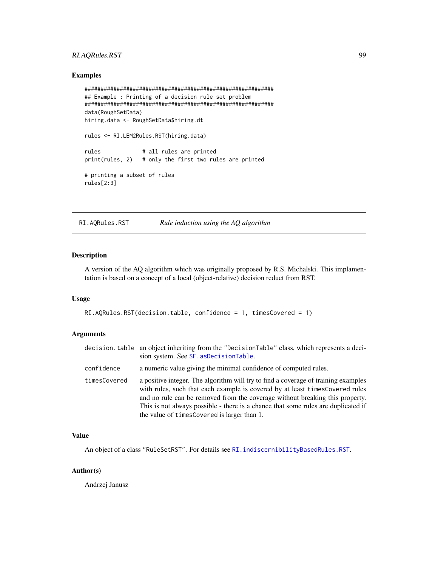# RI.AQRules.RST 99

## Examples

```
###########################################################
## Example : Printing of a decision rule set problem
###########################################################
data(RoughSetData)
hiring.data <- RoughSetData$hiring.dt
rules <- RI.LEM2Rules.RST(hiring.data)
rules # all rules are printed
print(rules, 2) # only the first two rules are printed
# printing a subset of rules
rules[2:3]
```
<span id="page-98-0"></span>

RI.AQRules.RST *Rule induction using the AQ algorithm*

# Description

A version of the AQ algorithm which was originally proposed by R.S. Michalski. This implamentation is based on a concept of a local (object-relative) decision reduct from RST.

## Usage

```
RI.AQRules.RST(decision.table, confidence = 1, timesCovered = 1)
```
## Arguments

|              | decision. table an object inheriting from the "DecisionTable" class, which represents a deci-<br>sion system. See SF. asDecisionTable.                                                                                                                                                                                                                                                  |
|--------------|-----------------------------------------------------------------------------------------------------------------------------------------------------------------------------------------------------------------------------------------------------------------------------------------------------------------------------------------------------------------------------------------|
| confidence   | a numeric value giving the minimal confidence of computed rules.                                                                                                                                                                                                                                                                                                                        |
| timesCovered | a positive integer. The algorithm will try to find a coverage of training examples<br>with rules, such that each example is covered by at least timesCovered rules<br>and no rule can be removed from the coverage without breaking this property.<br>This is not always possible - there is a chance that some rules are duplicated if<br>the value of times Covered is larger than 1. |

## Value

An object of a class "RuleSetRST". For details see [RI.indiscernibilityBasedRules.RST](#page-104-0).

## Author(s)

Andrzej Janusz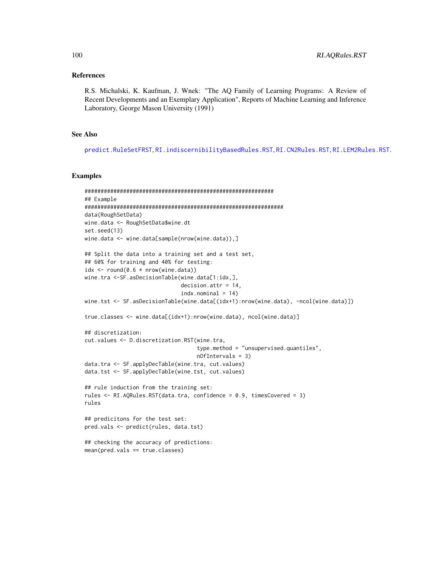## References

R.S. Michalski, K. Kaufman, J. Wnek: "The AQ Family of Learning Programs: A Review of Recent Developments and an Exemplary Application", Reports of Machine Learning and Inference Laboratory, George Mason University (1991)

## See Also

[predict.RuleSetFRST](#page-93-0), [RI.indiscernibilityBasedRules.RST](#page-104-0), [RI.CN2Rules.RST](#page-100-0), [RI.LEM2Rules.RST](#page-107-0).

## Examples

```
###########################################################
## Example
##############################################################
data(RoughSetData)
wine.data <- RoughSetData$wine.dt
set.seed(13)
wine.data <- wine.data[sample(nrow(wine.data)),]
## Split the data into a training set and a test set,
## 60% for training and 40% for testing:
idx \le round(0.6 * nrow(wine.data))
wine.tra <-SF.asDecisionTable(wine.data[1:idx,],
                              decision.attr = 14,
                              indx.nominal = 14wine.tst <- SF.asDecisionTable(wine.data[(idx+1):nrow(wine.data), -ncol(wine.data)])
true.classes <- wine.data[(idx+1):nrow(wine.data), ncol(wine.data)]
## discretization:
cut.values <- D.discretization.RST(wine.tra,
                                   type.method = "unsupervised.quantiles",
                                   nOfIntervals = 3)
data.tra <- SF.applyDecTable(wine.tra, cut.values)
data.tst <- SF.applyDecTable(wine.tst, cut.values)
## rule induction from the training set:
rules <- RI.AQRules.RST(data.tra, confidence = 0.9, timesCovered = 3)
rules
## predicitons for the test set:
pred.vals <- predict(rules, data.tst)
## checking the accuracy of predictions:
mean(pred.vals == true.classes)
```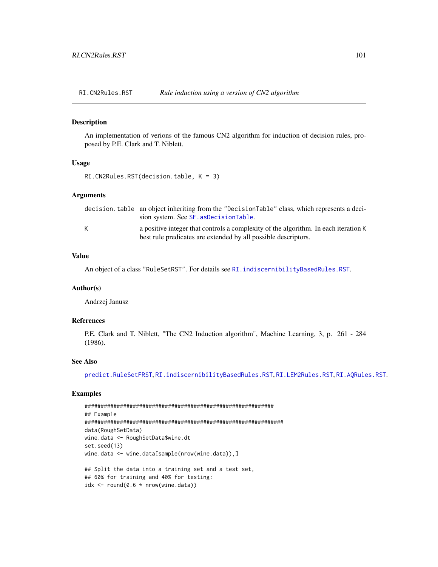<span id="page-100-0"></span>RI.CN2Rules.RST *Rule induction using a version of CN2 algorithm*

## Description

An implementation of verions of the famous CN2 algorithm for induction of decision rules, proposed by P.E. Clark and T. Niblett.

## Usage

```
RI.CN2Rules.RST(decision.table, K = 3)
```
## Arguments

|   | decision.table an object inheriting from the "DecisionTable" class, which represents a deci-                                                          |
|---|-------------------------------------------------------------------------------------------------------------------------------------------------------|
|   | sion system. See SF. asDecisionTable.                                                                                                                 |
| K | a positive integer that controls a complexity of the algorithm. In each iteration K<br>best rule predicates are extended by all possible descriptors. |

# Value

An object of a class "RuleSetRST". For details see [RI.indiscernibilityBasedRules.RST](#page-104-0).

#### Author(s)

Andrzej Janusz

# References

P.E. Clark and T. Niblett, "The CN2 Induction algorithm", Machine Learning, 3, p. 261 - 284 (1986).

## See Also

[predict.RuleSetFRST](#page-93-0), [RI.indiscernibilityBasedRules.RST](#page-104-0), [RI.LEM2Rules.RST](#page-107-0), [RI.AQRules.RST](#page-98-0).

# Examples

```
###########################################################
## Example
##############################################################
data(RoughSetData)
wine.data <- RoughSetData$wine.dt
set.seed(13)
wine.data <- wine.data[sample(nrow(wine.data)),]
## Split the data into a training set and a test set,
## 60% for training and 40% for testing:
idx \le round(0.6 * nrow(wine.data))
```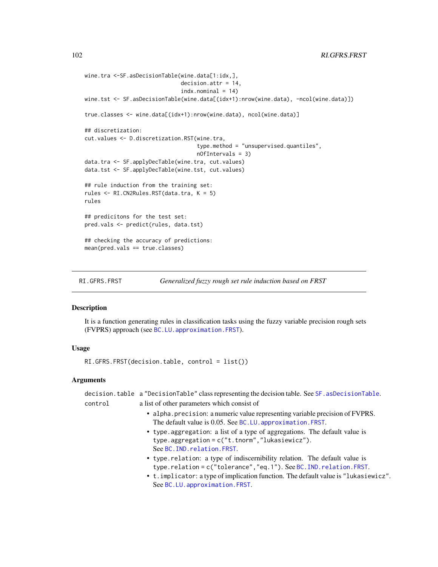```
wine.tra <-SF.asDecisionTable(wine.data[1:idx,],
                              decision.attr = 14,
                              indx.nominal = 14wine.tst <- SF.asDecisionTable(wine.data[(idx+1):nrow(wine.data), -ncol(wine.data)])
true.classes <- wine.data[(idx+1):nrow(wine.data), ncol(wine.data)]
## discretization:
cut.values <- D.discretization.RST(wine.tra,
                                   type.method = "unsupervised.quantiles",
                                   nOfIntervals = 3)
data.tra <- SF.applyDecTable(wine.tra, cut.values)
data.tst <- SF.applyDecTable(wine.tst, cut.values)
## rule induction from the training set:
rules <- RI.CN2Rules.RST(data.tra, K = 5)
rules
## predicitons for the test set:
pred.vals <- predict(rules, data.tst)
## checking the accuracy of predictions:
mean(pred.vals == true.classes)
```
<span id="page-101-0"></span>RI.GFRS.FRST *Generalized fuzzy rough set rule induction based on FRST*

## **Description**

It is a function generating rules in classification tasks using the fuzzy variable precision rough sets (FVPRS) approach (see [BC.LU.approximation.FRST](#page-32-0)).

## Usage

RI.GFRS.FRST(decision.table, control = list())

## Arguments

decision.table a "DecisionTable" class representing the decision table. See [SF.asDecisionTable](#page-113-0). control a list of other parameters which consist of

- alpha.precision: a numeric value representing variable precision of FVPRS. The default value is 0.05. See BC.LU. approximation. FRST.
- type.aggregation: a list of a type of aggregations. The default value is type.aggregation = c("t.tnorm","lukasiewicz"). See [BC.IND.relation.FRST](#page-25-0).
- type.relation: a type of indiscernibility relation. The default value is type.relation = c("tolerance","eq.1"). See [BC.IND.relation.FRST](#page-25-0).
- t.implicator: a type of implication function. The default value is "lukasiewicz". See [BC.LU.approximation.FRST](#page-32-0).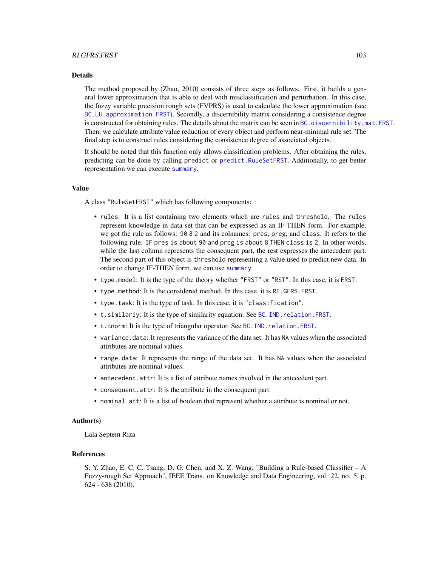#### Details

The method proposed by (Zhao, 2010) consists of three steps as follows. First, it builds a general lower approximation that is able to deal with misclassification and perturbation. In this case, the fuzzy variable precision rough sets (FVPRS) is used to calculate the lower approximation (see [BC.LU.approximation.FRST](#page-32-0)). Secondly, a discernibility matrix considering a consistence degree is constructed for obtaining rules. The details about the matrix can be seen in BC, discernibility, mat. FRST. Then, we calculate attribute value reduction of every object and perform near-minimal rule set. The final step is to construct rules considering the consistence degree of associated objects.

It should be noted that this function only allows classification problems. After obtaining the rules, predicting can be done by calling predict or [predict.RuleSetFRST](#page-93-0). Additionally, to get better representation we can execute [summary](#page-0-0).

## Value

A class "RuleSetFRST" which has following components:

- rules: It is a list containing two elements which are rules and threshold. The rules represent knowledge in data set that can be expressed as an IF-THEN form. For example, we got the rule as follows: 90 8 2 and its colnames: pres, preg, and class. It refers to the following rule: IF pres is about 90 and preg is about 8 THEN class is 2. In other words, while the last column represents the consequent part, the rest expresses the antecedent part. The second part of this object is threshold representing a value used to predict new data. In order to change IF-THEN form, we can use [summary](#page-0-0).
- type.model: It is the type of the theory whether "FRST" or "RST". In this case, it is FRST.
- type.method: It is the considered method. In this case, it is RI.GFRS.FRST.
- type.task: It is the type of task. In this case, it is "classification".
- t.similariy: It is the type of similarity equation. See [BC.IND.relation.FRST](#page-25-0).
- t.tnorm: It is the type of triangular operator. See [BC.IND.relation.FRST](#page-25-0).
- variance.data: It represents the variance of the data set. It has NA values when the associated attributes are nominal values.
- range.data: It represents the range of the data set. It has NA values when the associated attributes are nominal values.
- antecedent.attr: It is a list of attribute names involved in the antecedent part.
- consequent.attr: It is the attribute in the consequent part.
- nominal.att: It is a list of boolean that represent whether a attribute is nominal or not.

## Author(s)

Lala Septem Riza

## References

S. Y. Zhao, E. C. C. Tsang, D. G. Chen, and X. Z. Wang, "Building a Rule-based Classifier – A Fuzzy-rough Set Approach", IEEE Trans. on Knowledge and Data Engineering, vol. 22, no. 5, p. 624 - 638 (2010).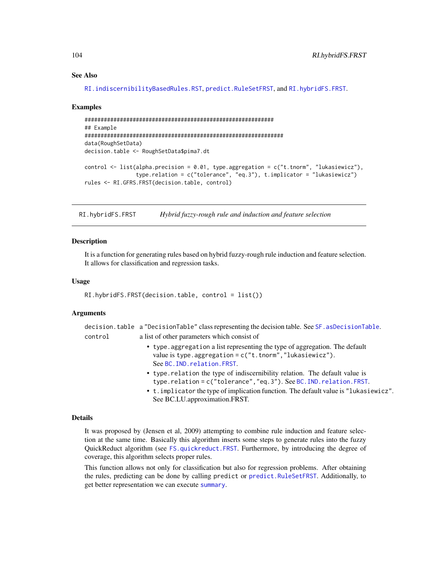## See Also

```
RI.indiscernibilityBasedRules.RST, predict.RuleSetFRST, and RI.hybridFS.FRST.
```
#### Examples

```
###########################################################
## Example
##############################################################
data(RoughSetData)
decision.table <- RoughSetData$pima7.dt
control \le list(alpha.precision = 0.01, type.aggregation = c("t.tnorm", "lukasiewicz",type.relation = c("tolerance", "eq.3"), t.implicator = "lukasiewicz")
rules <- RI.GFRS.FRST(decision.table, control)
```
<span id="page-103-0"></span>RI.hybridFS.FRST *Hybrid fuzzy-rough rule and induction and feature selection*

## **Description**

It is a function for generating rules based on hybrid fuzzy-rough rule induction and feature selection. It allows for classification and regression tasks.

## Usage

RI.hybridFS.FRST(decision.table, control = list())

#### Arguments

|         | decision.table a "DecisionTable" class representing the decision table. See SF. asDecisionTable. |
|---------|--------------------------------------------------------------------------------------------------|
| control | a list of other parameters which consist of                                                      |

- type.aggregation a list representing the type of aggregation. The default value is type.aggregation =  $c("t.tnorm", "lukasiewicz").$ See [BC.IND.relation.FRST](#page-25-0).
- type.relation the type of indiscernibility relation. The default value is type.relation = c("tolerance","eq.3"). See [BC.IND.relation.FRST](#page-25-0).
- t.implicator the type of implication function. The default value is "lukasiewicz". See BC.LU.approximation.FRST.

#### Details

It was proposed by (Jensen et al, 2009) attempting to combine rule induction and feature selection at the same time. Basically this algorithm inserts some steps to generate rules into the fuzzy QuickReduct algorithm (see [FS.quickreduct.FRST](#page-74-0). Furthermore, by introducing the degree of coverage, this algorithm selects proper rules.

This function allows not only for classification but also for regression problems. After obtaining the rules, predicting can be done by calling predict or [predict.RuleSetFRST](#page-93-0). Additionally, to get better representation we can execute [summary](#page-0-0).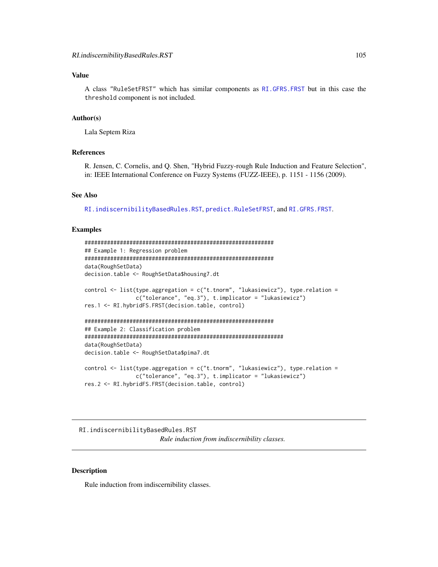# Value

A class "RuleSetFRST" which has similar components as [RI.GFRS.FRST](#page-101-0) but in this case the threshold component is not included.

#### Author(s)

Lala Septem Riza

## References

R. Jensen, C. Cornelis, and Q. Shen, "Hybrid Fuzzy-rough Rule Induction and Feature Selection", in: IEEE International Conference on Fuzzy Systems (FUZZ-IEEE), p. 1151 - 1156 (2009).

#### See Also

[RI.indiscernibilityBasedRules.RST](#page-104-0), [predict.RuleSetFRST](#page-93-0), and [RI.GFRS.FRST](#page-101-0).

## Examples

```
###########################################################
## Example 1: Regression problem
###########################################################
data(RoughSetData)
decision.table <- RoughSetData$housing7.dt
control \le list(type.aggregation = c("t.tnorm", "lukasiewicz"), type.relation =
                c("tolerance", "eq.3"), t.implicator = "lukasiewicz")
res.1 <- RI.hybridFS.FRST(decision.table, control)
###########################################################
## Example 2: Classification problem
##############################################################
data(RoughSetData)
decision.table <- RoughSetData$pima7.dt
control \le list(type.aggregation = c("t.tnorm", "lukasiewicz"), type.relation =
                c("tolerance", "eq.3"), t.implicator = "lukasiewicz")
res.2 <- RI.hybridFS.FRST(decision.table, control)
```
<span id="page-104-0"></span>RI.indiscernibilityBasedRules.RST *Rule induction from indiscernibility classes.*

## Description

Rule induction from indiscernibility classes.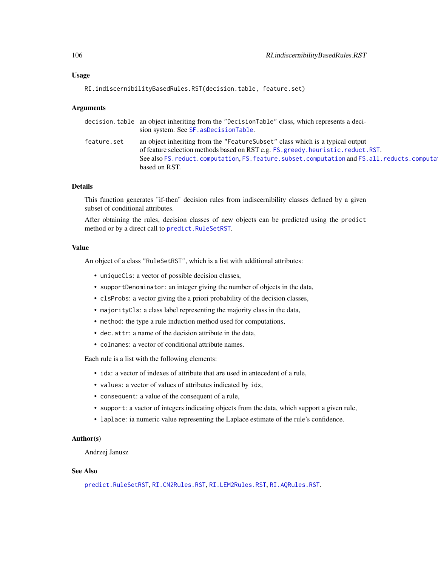## Usage

```
RI.indiscernibilityBasedRules.RST(decision.table, feature.set)
```
## Arguments

|             | decision.table an object inheriting from the "DecisionTable" class, which represents a deci-<br>sion system. See SF. asDecisionTable.                                                                                                                                                         |
|-------------|-----------------------------------------------------------------------------------------------------------------------------------------------------------------------------------------------------------------------------------------------------------------------------------------------|
| feature.set | an object inheriting from the "Feature Subset" class which is a typical output<br>of feature selection methods based on RST e.g. FS. greedy. heuristic. reduct. RST.<br>See also FS. reduct. computation, FS. feature. subset. computation and FS. all. reducts. computation<br>based on RST. |
|             |                                                                                                                                                                                                                                                                                               |

# Details

This function generates "if-then" decision rules from indiscernibility classes defined by a given subset of conditional attributes.

After obtaining the rules, decision classes of new objects can be predicted using the predict method or by a direct call to [predict.RuleSetRST](#page-94-0).

# Value

An object of a class "RuleSetRST", which is a list with additional attributes:

- uniqueCls: a vector of possible decision classes,
- supportDenominator: an integer giving the number of objects in the data,
- clsProbs: a vector giving the a priori probability of the decision classes,
- majorityCls: a class label representing the majority class in the data,
- method: the type a rule induction method used for computations,
- dec.attr: a name of the decision attribute in the data,
- colnames: a vector of conditional attribute names.

Each rule is a list with the following elements:

- idx: a vector of indexes of attribute that are used in antecedent of a rule,
- values: a vector of values of attributes indicated by idx,
- consequent: a value of the consequent of a rule,
- support: a vactor of integers indicating objects from the data, which support a given rule,
- laplace: ia numeric value representing the Laplace estimate of the rule's confidence.

## Author(s)

Andrzej Janusz

# See Also

[predict.RuleSetRST](#page-94-0), [RI.CN2Rules.RST](#page-100-0), [RI.LEM2Rules.RST](#page-107-0), [RI.AQRules.RST](#page-98-0).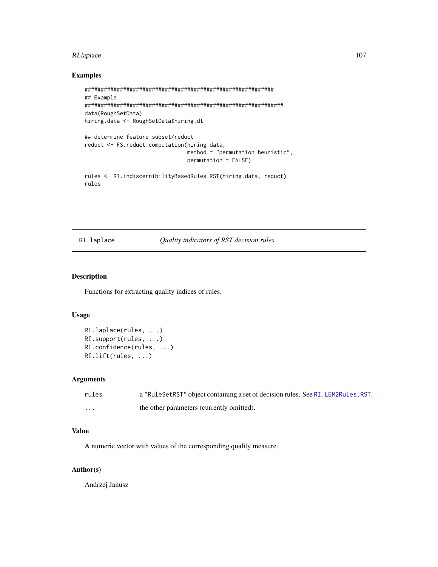#### RI.laplace 107

# Examples

```
###########################################################
## Example
##############################################################
data(RoughSetData)
hiring.data <- RoughSetData$hiring.dt
## determine feature subset/reduct
reduct <- FS.reduct.computation(hiring.data,
                                method = "permutation.heuristic",
                                permutation = FALSE)
rules <- RI.indiscernibilityBasedRules.RST(hiring.data, reduct)
rules
```
# RI.laplace *Quality indicators of RST decision rules*

## Description

Functions for extracting quality indices of rules.

## Usage

```
RI.laplace(rules, ...)
RI.support(rules, ...)
RI.confidence(rules, ...)
RI.lift(rules, ...)
```
#### Arguments

| rules   | a "RuleSetRST" object containing a set of decision rules. See RI. LEM2Rules. RST. |
|---------|-----------------------------------------------------------------------------------|
| $\cdot$ | the other parameters (currently omitted).                                         |

# Value

A numeric vector with values of the corresponding quality measure.

# Author(s)

Andrzej Janusz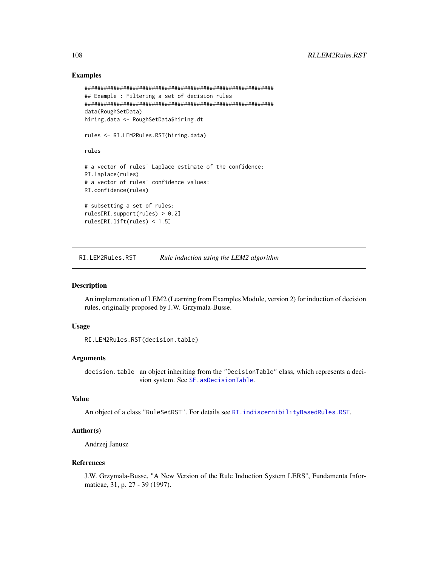## Examples

```
###########################################################
## Example : Filtering a set of decision rules
###########################################################
data(RoughSetData)
hiring.data <- RoughSetData$hiring.dt
rules <- RI.LEM2Rules.RST(hiring.data)
rules
# a vector of rules' Laplace estimate of the confidence:
RI.laplace(rules)
# a vector of rules' confidence values:
RI.confidence(rules)
# subsetting a set of rules:
rules[RI.support(rules) > 0.2]
rules[RI.lift(rules) < 1.5]
```
<span id="page-107-0"></span>RI.LEM2Rules.RST *Rule induction using the LEM2 algorithm*

#### Description

An implementation of LEM2 (Learning from Examples Module, version 2) for induction of decision rules, originally proposed by J.W. Grzymala-Busse.

## Usage

```
RI.LEM2Rules.RST(decision.table)
```
## **Arguments**

decision.table an object inheriting from the "DecisionTable" class, which represents a decision system. See [SF.asDecisionTable](#page-113-0).

# Value

```
An object of a class "RuleSetRST". For details see RI.indiscernibilityBasedRules.RST.
```
## Author(s)

Andrzej Janusz

#### References

J.W. Grzymala-Busse, "A New Version of the Rule Induction System LERS", Fundamenta Informaticae, 31, p. 27 - 39 (1997).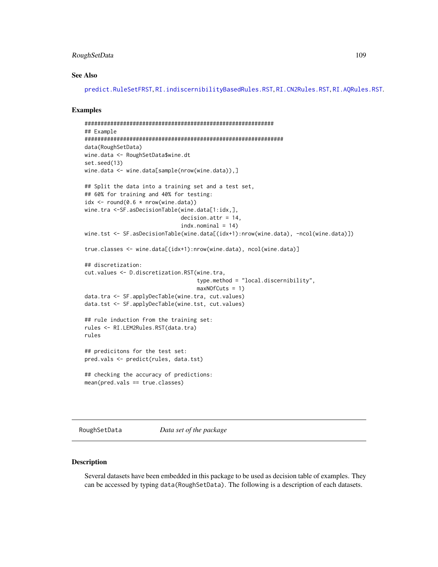# <span id="page-108-0"></span>RoughSetData 109

#### See Also

[predict.RuleSetFRST](#page-93-0), [RI.indiscernibilityBasedRules.RST](#page-104-0), [RI.CN2Rules.RST](#page-100-0), [RI.AQRules.RST](#page-98-0).

# Examples

```
###########################################################
## Example
##############################################################
data(RoughSetData)
wine.data <- RoughSetData$wine.dt
set.seed(13)
wine.data <- wine.data[sample(nrow(wine.data)),]
## Split the data into a training set and a test set,
## 60% for training and 40% for testing:
idx \le round(0.6 * nrow(wine.data))
wine.tra <-SF.asDecisionTable(wine.data[1:idx,],
                              decision.attr = 14,
                              indx.nominal = 14wine.tst <- SF.asDecisionTable(wine.data[(idx+1):nrow(wine.data), -ncol(wine.data)])
true.classes <- wine.data[(idx+1):nrow(wine.data), ncol(wine.data)]
## discretization:
cut.values <- D.discretization.RST(wine.tra,
                                   type.method = "local.discernibility",
                                   maxNOfCuts = 1)
data.tra <- SF.applyDecTable(wine.tra, cut.values)
data.tst <- SF.applyDecTable(wine.tst, cut.values)
## rule induction from the training set:
rules <- RI.LEM2Rules.RST(data.tra)
rules
## predicitons for the test set:
pred.vals <- predict(rules, data.tst)
## checking the accuracy of predictions:
mean(pred.vals == true.classes)
```
RoughSetData *Data set of the package*

#### Description

Several datasets have been embedded in this package to be used as decision table of examples. They can be accessed by typing data(RoughSetData). The following is a description of each datasets.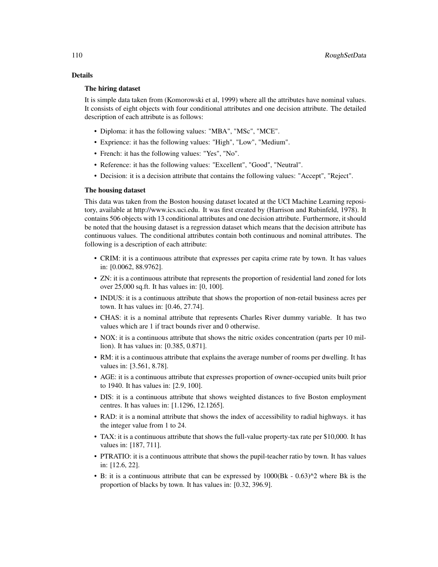# Details

# The hiring dataset

It is simple data taken from (Komorowski et al, 1999) where all the attributes have nominal values. It consists of eight objects with four conditional attributes and one decision attribute. The detailed description of each attribute is as follows:

- Diploma: it has the following values: "MBA", "MSc", "MCE".
- Exprience: it has the following values: "High", "Low", "Medium".
- French: it has the following values: "Yes", "No".
- Reference: it has the following values: "Excellent", "Good", "Neutral".
- Decision: it is a decision attribute that contains the following values: "Accept", "Reject".

#### The housing dataset

This data was taken from the Boston housing dataset located at the UCI Machine Learning repository, available at http://www.ics.uci.edu. It was first created by (Harrison and Rubinfeld, 1978). It contains 506 objects with 13 conditional attributes and one decision attribute. Furthermore, it should be noted that the housing dataset is a regression dataset which means that the decision attribute has continuous values. The conditional attributes contain both continuous and nominal attributes. The following is a description of each attribute:

- CRIM: it is a continuous attribute that expresses per capita crime rate by town. It has values in: [0.0062, 88.9762].
- ZN: it is a continuous attribute that represents the proportion of residential land zoned for lots over 25,000 sq.ft. It has values in: [0, 100].
- INDUS: it is a continuous attribute that shows the proportion of non-retail business acres per town. It has values in: [0.46, 27.74].
- CHAS: it is a nominal attribute that represents Charles River dummy variable. It has two values which are 1 if tract bounds river and 0 otherwise.
- NOX: it is a continuous attribute that shows the nitric oxides concentration (parts per 10 million). It has values in: [0.385, 0.871].
- RM: it is a continuous attribute that explains the average number of rooms per dwelling. It has values in: [3.561, 8.78].
- AGE: it is a continuous attribute that expresses proportion of owner-occupied units built prior to 1940. It has values in: [2.9, 100].
- DIS: it is a continuous attribute that shows weighted distances to five Boston employment centres. It has values in: [1.1296, 12.1265].
- RAD: it is a nominal attribute that shows the index of accessibility to radial highways. it has the integer value from 1 to 24.
- TAX: it is a continuous attribute that shows the full-value property-tax rate per \$10,000. It has values in: [187, 711].
- PTRATIO: it is a continuous attribute that shows the pupil-teacher ratio by town. It has values in: [12.6, 22].
- B: it is a continuous attribute that can be expressed by 1000(Bk 0.63)^2 where Bk is the proportion of blacks by town. It has values in: [0.32, 396.9].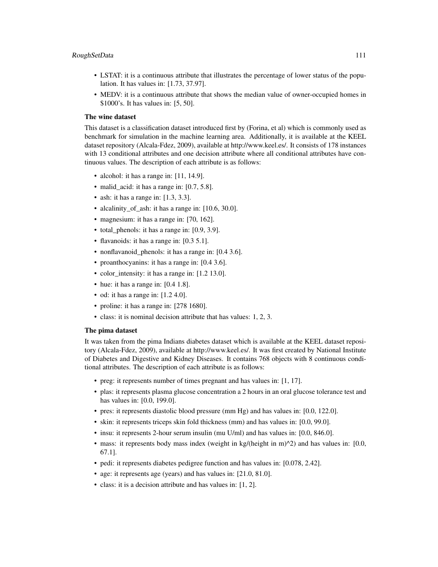- LSTAT: it is a continuous attribute that illustrates the percentage of lower status of the population. It has values in: [1.73, 37.97].
- MEDV: it is a continuous attribute that shows the median value of owner-occupied homes in \$1000's. It has values in: [5, 50].

#### The wine dataset

This dataset is a classification dataset introduced first by (Forina, et al) which is commonly used as benchmark for simulation in the machine learning area. Additionally, it is available at the KEEL dataset repository (Alcala-Fdez, 2009), available at http://www.keel.es/. It consists of 178 instances with 13 conditional attributes and one decision attribute where all conditional attributes have continuous values. The description of each attribute is as follows:

- alcohol: it has a range in: [11, 14.9].
- malid acid: it has a range in: [0.7, 5.8].
- ash: it has a range in: [1.3, 3.3].
- alcalinity\_of\_ash: it has a range in: [10.6, 30.0].
- magnesium: it has a range in: [70, 162].
- total phenols: it has a range in: [0.9, 3.9].
- flavanoids: it has a range in: [0.3 5.1].
- nonflavanoid\_phenols: it has a range in: [0.4 3.6].
- proanthocyanins: it has a range in: [0.4 3.6].
- color\_intensity: it has a range in: [1.2 13.0].
- hue: it has a range in: [0.4 1.8].
- od: it has a range in: [1.2 4.0].
- proline: it has a range in: [278 1680].
- class: it is nominal decision attribute that has values: 1, 2, 3.

#### The pima dataset

It was taken from the pima Indians diabetes dataset which is available at the KEEL dataset repository (Alcala-Fdez, 2009), available at http://www.keel.es/. It was first created by National Institute of Diabetes and Digestive and Kidney Diseases. It contains 768 objects with 8 continuous conditional attributes. The description of each attribute is as follows:

- preg: it represents number of times pregnant and has values in: [1, 17].
- plas: it represents plasma glucose concentration a 2 hours in an oral glucose tolerance test and has values in: [0.0, 199.0].
- pres: it represents diastolic blood pressure (mm Hg) and has values in: [0.0, 122.0].
- skin: it represents triceps skin fold thickness (mm) and has values in: [0.0, 99.0].
- insu: it represents 2-hour serum insulin (mu U/ml) and has values in: [0.0, 846.0].
- mass: it represents body mass index (weight in kg/(height in m) $^{\wedge}2$ ) and has values in: [0.0, 67.1].
- pedi: it represents diabetes pedigree function and has values in: [0.078, 2.42].
- age: it represents age (years) and has values in: [21.0, 81.0].
- class: it is a decision attribute and has values in: [1, 2].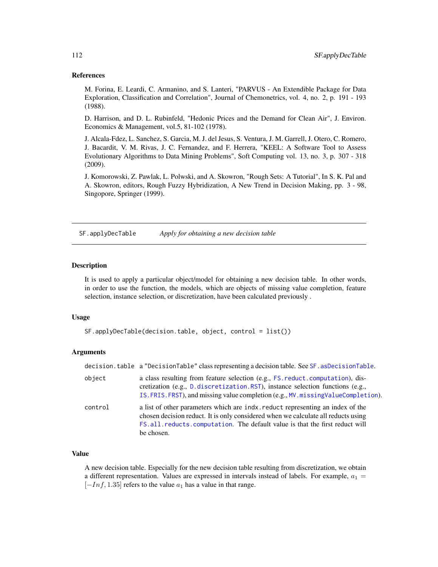#### <span id="page-111-1"></span>References

M. Forina, E. Leardi, C. Armanino, and S. Lanteri, "PARVUS - An Extendible Package for Data Exploration, Classification and Correlation", Journal of Chemonetrics, vol. 4, no. 2, p. 191 - 193 (1988).

D. Harrison, and D. L. Rubinfeld, "Hedonic Prices and the Demand for Clean Air", J. Environ. Economics & Management, vol.5, 81-102 (1978).

J. Alcala-Fdez, L. Sanchez, S. Garcia, M. J. del Jesus, S. Ventura, J. M. Garrell, J. Otero, C. Romero, J. Bacardit, V. M. Rivas, J. C. Fernandez, and F. Herrera, "KEEL: A Software Tool to Assess Evolutionary Algorithms to Data Mining Problems", Soft Computing vol. 13, no. 3, p. 307 - 318 (2009).

J. Komorowski, Z. Pawlak, L. Polwski, and A. Skowron, "Rough Sets: A Tutorial", In S. K. Pal and A. Skowron, editors, Rough Fuzzy Hybridization, A New Trend in Decision Making, pp. 3 - 98, Singopore, Springer (1999).

<span id="page-111-0"></span>SF.applyDecTable *Apply for obtaining a new decision table*

#### Description

It is used to apply a particular object/model for obtaining a new decision table. In other words, in order to use the function, the models, which are objects of missing value completion, feature selection, instance selection, or discretization, have been calculated previously .

#### Usage

```
SF.applyDecTable(decision.table, object, control = list())
```
#### Arguments

|         | decision.table a "DecisionTable" class representing a decision table. See SF. asDecisionTable.                                                                                                                                                                      |
|---------|---------------------------------------------------------------------------------------------------------------------------------------------------------------------------------------------------------------------------------------------------------------------|
| object  | a class resulting from feature selection (e.g., FS. reduct. computation), dis-<br>cretization (e.g., D. discretization. RST), instance selection functions (e.g.,<br>IS. FRIS. FRST), and missing value completion (e.g., MV. missing Value Completion).            |
| control | a list of other parameters which are indx. reduct representing an index of the<br>chosen decision reduct. It is only considered when we calculate all reducts using<br>FS. all. reducts. computation. The default value is that the first reduct will<br>be chosen. |

# Value

A new decision table. Especially for the new decision table resulting from discretization, we obtain a different representation. Values are expressed in intervals instead of labels. For example,  $a_1 =$  $[-Inf, 1.35]$  refers to the value  $a_1$  has a value in that range.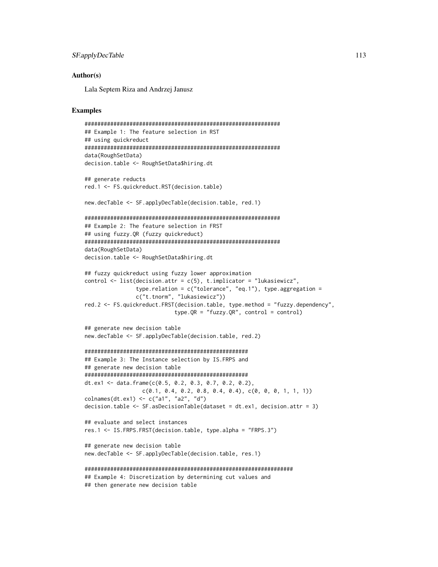```
SF.applyDecTable 113
```
Lala Septem Riza and Andrzej Janusz

# Examples

```
#############################################################
## Example 1: The feature selection in RST
## using quickreduct
#############################################################
data(RoughSetData)
decision.table <- RoughSetData$hiring.dt
## generate reducts
red.1 <- FS.quickreduct.RST(decision.table)
new.decTable <- SF.applyDecTable(decision.table, red.1)
#############################################################
## Example 2: The feature selection in FRST
## using fuzzy.QR (fuzzy quickreduct)
#############################################################
data(RoughSetData)
decision.table <- RoughSetData$hiring.dt
## fuzzy quickreduct using fuzzy lower approximation
control <- list(decision.attr = c(5), t.implicator = "lukasiewicz",
                type.relation = c("tolerance", "eq.1"), type. aggregation =c("t.tnorm", "lukasiewicz"))
red.2 <- FS.quickreduct.FRST(decision.table, type.method = "fuzzy.dependency",
                            type.QR = "fuzzy.QR", control = control)
## generate new decision table
new.decTable <- SF.applyDecTable(decision.table, red.2)
###################################################
## Example 3: The Instance selection by IS.FRPS and
## generate new decision table
###################################################
dt.ex1 <- data.frame(c(0.5, 0.2, 0.3, 0.7, 0.2, 0.2),
                 c(0.1, 0.4, 0.2, 0.8, 0.4, 0.4), c(0, 0, 0, 1, 1, 1))colnames(dt.ex1) <- c("a1", "a2", "d")
decision.table <- SF.asDecisionTable(dataset = dt.ex1, decision.attr = 3)
## evaluate and select instances
res.1 <- IS.FRPS.FRST(decision.table, type.alpha = "FRPS.3")
## generate new decision table
new.decTable <- SF.applyDecTable(decision.table, res.1)
#################################################################
## Example 4: Discretization by determining cut values and
## then generate new decision table
```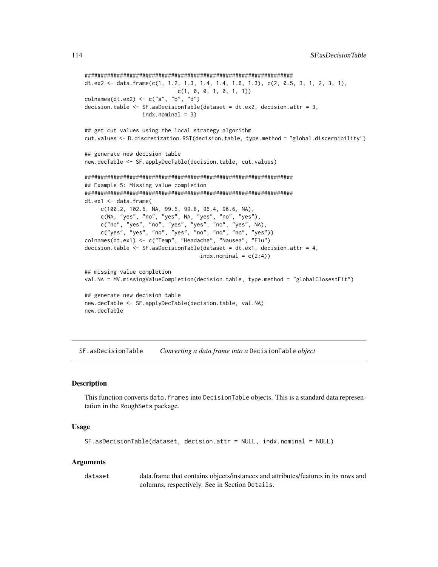```
#################################################################
dt.ex2 <- data.frame(c(1, 1.2, 1.3, 1.4, 1.4, 1.6, 1.3), c(2, 0.5, 3, 1, 2, 3, 1),
                             c(1, 0, 0, 1, 0, 1, 1))
colnames(dt.ex2) \leq c("a", "b", "d")
decision.table <- SF.asDecisionTable(dataset = dt.ex2, decision.attr = 3,
                 indx.nominal = 3)## get cut values using the local strategy algorithm
cut.values <- D.discretization.RST(decision.table, type.method = "global.discernibility")
## generate new decision table
new.decTable <- SF.applyDecTable(decision.table, cut.values)
#################################################################
## Example 5: Missing value completion
#################################################################
dt.ex1 <- data.frame(
     c(100.2, 102.6, NA, 99.6, 99.8, 96.4, 96.6, NA),
     c(NA, "yes", "no", "yes", NA, "yes", "no", "yes"),
     c("no", "yes", "no", "yes", "yes", "no", "yes", NA),
     c("yes", "yes", "no", "yes", "no", "no", "no", "yes"))
colnames(dt.ex1) <- c("Temp", "Headache", "Nausea", "Flu")
decision.table <- SF.asDecisionTable(dataset = dt.ex1, decision.attr = 4,
                                    indx.nominal = c(2:4)## missing value completion
val.NA = MV.missingValueCompletion(decision.table, type.method = "globalClosestFit")
## generate new decision table
new.decTable <- SF.applyDecTable(decision.table, val.NA)
new.decTable
```
<span id="page-113-0"></span>SF.asDecisionTable *Converting a data.frame into a* DecisionTable *object*

#### **Description**

This function converts data. frames into DecisionTable objects. This is a standard data representation in the RoughSets package.

# Usage

```
SF.asDecisionTable(dataset, decision.attr = NULL, indx.nominal = NULL)
```
#### Arguments

dataset data.frame that contains objects/instances and attributes/features in its rows and columns, respectively. See in Section Details.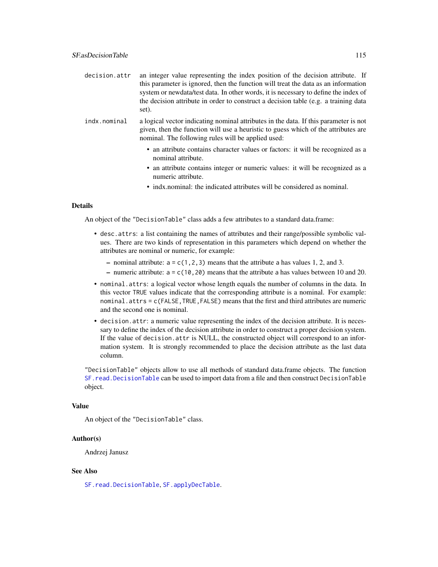<span id="page-114-0"></span>

| decision.attr | an integer value representing the index position of the decision attribute. If      |
|---------------|-------------------------------------------------------------------------------------|
|               | this parameter is ignored, then the function will treat the data as an information  |
|               | system or newdata/test data. In other words, it is necessary to define the index of |
|               | the decision attribute in order to construct a decision table (e.g. a training data |
|               | set).                                                                               |

- indx.nominal a logical vector indicating nominal attributes in the data. If this parameter is not given, then the function will use a heuristic to guess which of the attributes are nominal. The following rules will be applied used:
	- an attribute contains character values or factors: it will be recognized as a nominal attribute.
	- an attribute contains integer or numeric values: it will be recognized as a numeric attribute.
	- indx.nominal: the indicated attributes will be considered as nominal.

#### Details

An object of the "DecisionTable" class adds a few attributes to a standard data.frame:

- desc.attrs: a list containing the names of attributes and their range/possible symbolic values. There are two kinds of representation in this parameters which depend on whether the attributes are nominal or numeric, for example:
	- nominal attribute:  $a = c(1, 2, 3)$  means that the attribute a has values 1, 2, and 3.
	- numeric attribute:  $a = c(10, 20)$  means that the attribute a has values between 10 and 20.
- nominal.attrs: a logical vector whose length equals the number of columns in the data. In this vector TRUE values indicate that the corresponding attribute is a nominal. For example: nominal.attrs = c(FALSE,TRUE,FALSE) means that the first and third attributes are numeric and the second one is nominal.
- decision.attr: a numeric value representing the index of the decision attribute. It is necessary to define the index of the decision attribute in order to construct a proper decision system. If the value of decision.attr is NULL, the constructed object will correspond to an information system. It is strongly recommended to place the decision attribute as the last data column.

"DecisionTable" objects allow to use all methods of standard data.frame objects. The function [SF.read.DecisionTable](#page-116-0) can be used to import data from a file and then construct DecisionTable object.

#### Value

An object of the "DecisionTable" class.

# Author(s)

Andrzej Janusz

# See Also

[SF.read.DecisionTable](#page-116-0), [SF.applyDecTable](#page-111-0).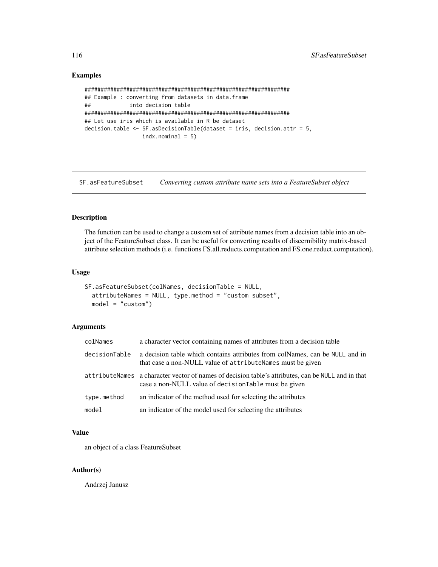# Examples

```
################################################################
## Example : converting from datasets in data.frame
## into decision table
################################################################
## Let use iris which is available in R be dataset
decision.table <- SF.asDecisionTable(dataset = iris, decision.attr = 5,
                 indx.nominal = 5)
```
SF.asFeatureSubset *Converting custom attribute name sets into a FeatureSubset object*

# Description

The function can be used to change a custom set of attribute names from a decision table into an object of the FeatureSubset class. It can be useful for converting results of discernibility matrix-based attribute selection methods (i.e. functions FS.all.reducts.computation and FS.one.reduct.computation).

# Usage

```
SF.asFeatureSubset(colNames, decisionTable = NULL,
  attributeNames = NULL, type.method = "custom subset",
 model = "custom")
```
# Arguments

| colNames      | a character vector containing names of attributes from a decision table                                                                                     |
|---------------|-------------------------------------------------------------------------------------------------------------------------------------------------------------|
| decisionTable | a decision table which contains attributes from colNames, can be NULL and in<br>that case a non-NULL value of attributeNames must be given                  |
|               | attributeNames a character vector of names of decision table's attributes, can be NULL and in that<br>case a non-NULL value of decision Table must be given |
| type.method   | an indicator of the method used for selecting the attributes                                                                                                |
| model         | an indicator of the model used for selecting the attributes                                                                                                 |

#### Value

an object of a class FeatureSubset

#### Author(s)

Andrzej Janusz

<span id="page-115-0"></span>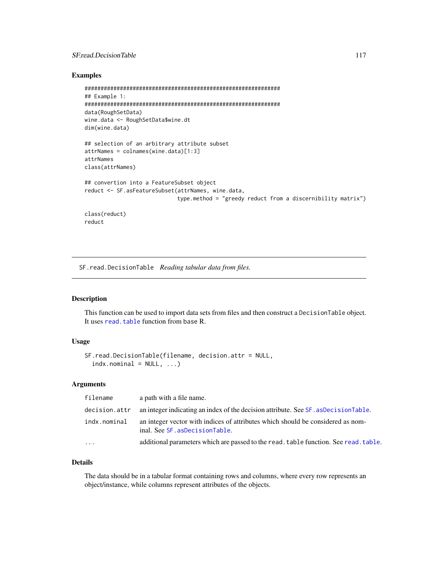# <span id="page-116-1"></span>SF.read.DecisionTable 117

#### Examples

```
#############################################################
## Example 1:
#############################################################
data(RoughSetData)
wine.data <- RoughSetData$wine.dt
dim(wine.data)
## selection of an arbitrary attribute subset
attrNames = colnames(wine.data)[1:3]
attrNames
class(attrNames)
## convertion into a FeatureSubset object
reduct <- SF.asFeatureSubset(attrNames, wine.data,
                             type.method = "greedy reduct from a discernibility matrix")
class(reduct)
reduct
```
<span id="page-116-0"></span>SF.read.DecisionTable *Reading tabular data from files.*

# Description

This function can be used to import data sets from files and then construct a DecisionTable object. It uses [read.table](#page-0-0) function from base R.

#### Usage

```
SF.read.DecisionTable(filename, decision.attr = NULL,
 indx.nominal = NULL, ...)
```
#### Arguments

| filename      | a path with a file name.                                                                                          |
|---------------|-------------------------------------------------------------------------------------------------------------------|
| decision.attr | an integer indicating an index of the decision attribute. See SF, as Decision Table.                              |
| indx.nominal  | an integer vector with indices of attributes which should be considered as nom-<br>inal. See SF. asDecisionTable. |
| $\ddots$ .    | additional parameters which are passed to the read, table function. See read, table.                              |

# Details

The data should be in a tabular format containing rows and columns, where every row represents an object/instance, while columns represent attributes of the objects.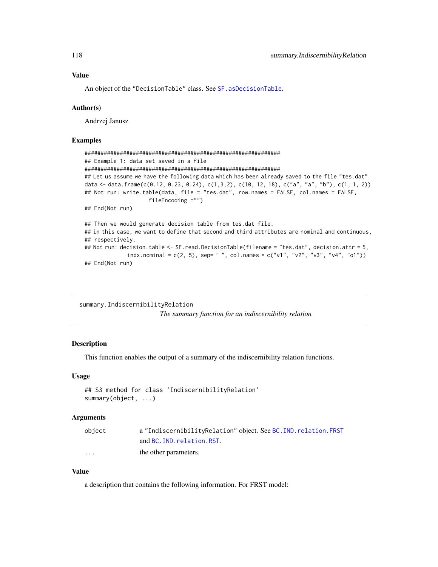<span id="page-117-0"></span>An object of the "DecisionTable" class. See SF. asDecisionTable.

#### Author(s)

Andrzej Janusz

# Examples

```
#############################################################
## Example 1: data set saved in a file
#############################################################
## Let us assume we have the following data which has been already saved to the file "tes.dat"
data <- data.frame(c(0.12, 0.23, 0.24), c(1,3,2), c(10, 12, 18), c("a", "a", "b"), c(1, 1, 2))
## Not run: write.table(data, file = "tes.dat", row.names = FALSE, col.names = FALSE,
                    fileEncoding ="")
## End(Not run)
## Then we would generate decision table from tes.dat file.
## in this case, we want to define that second and third attributes are nominal and continuous,
## respectively.
## Not run: decision.table <- SF.read.DecisionTable(filename = "tes.dat", decision.attr = 5,
             indx.nominal = c(2, 5), sep= " ", col.names = c("v1", "v2", "v3", "v4", "o1"))
## End(Not run)
```

```
summary.IndiscernibilityRelation
```
*The summary function for an indiscernibility relation*

#### Description

This function enables the output of a summary of the indiscernibility relation functions.

#### Usage

```
## S3 method for class 'IndiscernibilityRelation'
summary(object, ...)
```
#### Arguments

| object   | a "IndiscernibilityRelation" object. See BC. IND. relation. FRST |
|----------|------------------------------------------------------------------|
|          | and BC. IND. relation. RST.                                      |
| $\cdots$ | the other parameters.                                            |

#### Value

a description that contains the following information. For FRST model: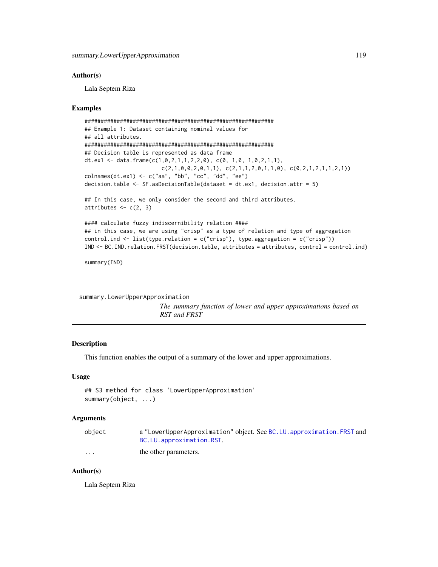<span id="page-118-0"></span>Lala Septem Riza

#### Examples

```
###########################################################
## Example 1: Dataset containing nominal values for
## all attributes.
###########################################################
## Decision table is represented as data frame
dt.ex1 <- data.frame(c(1,0,2,1,1,2,2,0), c(0, 1,0, 1,0,2,1,1),
                        c(2,1,0,0,2,0,1,1), c(2,1,1,2,0,1,1,0), c(0,2,1,2,1,1,2,1))colnames(dt.ex1) <- c("aa", "bb", "cc", "dd", "ee")
decision.table \leq SF. asDecisionTable(dataset = dt.ex1, decision.attr = 5)
## In this case, we only consider the second and third attributes.
attributes \leq c(2, 3)#### calculate fuzzy indiscernibility relation ####
## in this case, we are using "crisp" as a type of relation and type of aggregation
control.ind <- list(type.relation = c("crisp"), type.aggregation = c("crisp"))
IND <- BC.IND.relation.FRST(decision.table, attributes = attributes, control = control.ind)
```
summary(IND)

summary.LowerUpperApproximation

*The summary function of lower and upper approximations based on RST and FRST*

#### Description

This function enables the output of a summary of the lower and upper approximations.

#### Usage

```
## S3 method for class 'LowerUpperApproximation'
summary(object, ...)
```
#### Arguments

| object   | a "LowerUpperApproximation" object. See BC. LU. approximation. FRST and |
|----------|-------------------------------------------------------------------------|
|          | BC.LU.approximation.RST.                                                |
| $\cdots$ | the other parameters.                                                   |

# Author(s)

Lala Septem Riza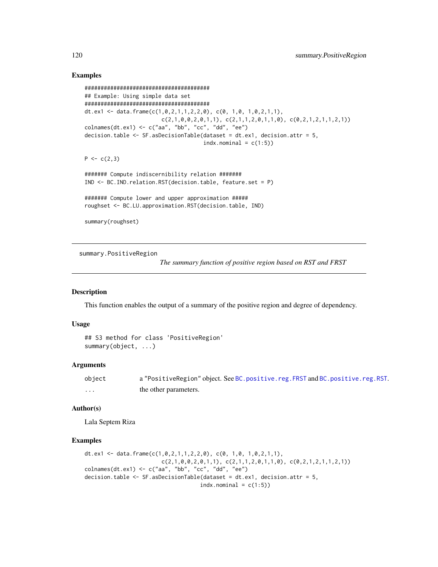# Examples

```
#######################################
## Example: Using simple data set
#######################################
dt.ex1 <- data.frame(c(1,0,2,1,1,2,2,0), c(0, 1,0, 1,0,2,1,1),
                        c(2,1,0,0,2,0,1,1), c(2,1,1,2,0,1,1,0), c(0,2,1,2,1,1,2,1))colnames(dt.ex1) <- c("aa", "bb", "cc", "dd", "ee")
decision.table <- SF.asDecisionTable(dataset = dt.ex1, decision.attr = 5,
                                     indx.nominal = c(1:5)P \leftarrow c(2,3)####### Compute indiscernibility relation #######
IND <- BC.IND.relation.RST(decision.table, feature.set = P)
####### Compute lower and upper approximation #####
roughset <- BC.LU.approximation.RST(decision.table, IND)
summary(roughset)
```
summary.PositiveRegion

*The summary function of positive region based on RST and FRST*

# **Description**

This function enables the output of a summary of the positive region and degree of dependency.

# Usage

```
## S3 method for class 'PositiveRegion'
summary(object, ...)
```
# Arguments

| object | a "PositiveRegion" object. See BC.positive.reg.FRST and BC.positive.reg.RST. |
|--------|------------------------------------------------------------------------------|
| .      | the other parameters.                                                        |

# Author(s)

Lala Septem Riza

# Examples

```
dt.ex1 <- data.frame(c(1,0,2,1,1,2,2,0), c(0, 1,0, 1,0,2,1,1),
                        c(2,1,0,0,2,0,1,1), c(2,1,1,2,0,1,1,0), c(0,2,1,2,1,1,2,1))colnames(dt.ex1) <- c("aa", "bb", "cc", "dd", "ee")
decision.table \leq SF. asDecisionTable(dataset = dt.ex1, decision.attr = 5,
                                    indx.nominal = c(1:5)
```
<span id="page-119-0"></span>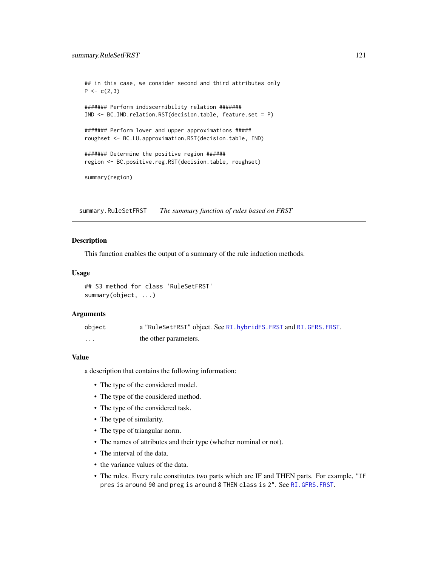```
## in this case, we consider second and third attributes only
P \leftarrow c(2,3)####### Perform indiscernibility relation #######
IND <- BC.IND.relation.RST(decision.table, feature.set = P)
####### Perform lower and upper approximations #####
roughset <- BC.LU.approximation.RST(decision.table, IND)
####### Determine the positive region ######
region <- BC.positive.reg.RST(decision.table, roughset)
summary(region)
```
summary.RuleSetFRST *The summary function of rules based on FRST*

# **Description**

This function enables the output of a summary of the rule induction methods.

#### Usage

## S3 method for class 'RuleSetFRST' summary(object, ...)

#### Arguments

| object | a "RuleSetFRST" object. See RI. hybridFS. FRST and RI. GFRS. FRST. |
|--------|--------------------------------------------------------------------|
| .      | the other parameters.                                              |

# Value

a description that contains the following information:

- The type of the considered model.
- The type of the considered method.
- The type of the considered task.
- The type of similarity.
- The type of triangular norm.
- The names of attributes and their type (whether nominal or not).
- The interval of the data.
- the variance values of the data.
- The rules. Every rule constitutes two parts which are IF and THEN parts. For example, "IF pres is around 90 and preg is around 8 THEN class is 2". See [RI.GFRS.FRST](#page-101-0).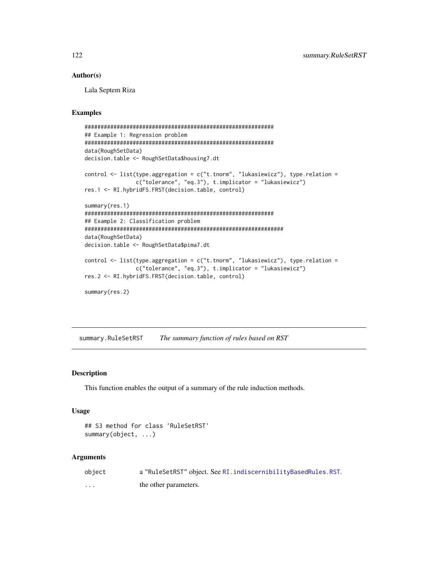Lala Septem Riza

#### Examples

```
###########################################################
## Example 1: Regression problem
###########################################################
data(RoughSetData)
decision.table <- RoughSetData$housing7.dt
control <- list(type.aggregation = c("t.tnorm", "lukasiewicz"), type.relation =
                c("tolerance", "eq.3"), t.implicator = "lukasiewicz")
res.1 <- RI.hybridFS.FRST(decision.table, control)
summary(res.1)
###########################################################
## Example 2: Classification problem
##############################################################
data(RoughSetData)
decision.table <- RoughSetData$pima7.dt
control <- list(type.aggregation = c("t.tnorm", "lukasiewicz"), type.relation =
                c("tolerance", "eq.3"), t.implicator = "lukasiewicz")
res.2 <- RI.hybridFS.FRST(decision.table, control)
summary(res.2)
```
summary.RuleSetRST *The summary function of rules based on RST*

#### Description

This function enables the output of a summary of the rule induction methods.

#### Usage

```
## S3 method for class 'RuleSetRST'
summary(object, ...)
```
#### Arguments

| object   | a "RuleSetRST" object. See RI. indiscernibilityBasedRules.RST. |
|----------|----------------------------------------------------------------|
| $\cdots$ | the other parameters.                                          |

<span id="page-121-0"></span>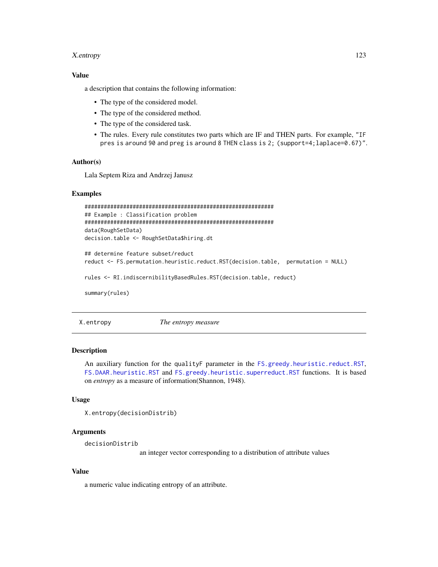#### <span id="page-122-0"></span>X.entropy 123

# Value

a description that contains the following information:

- The type of the considered model.
- The type of the considered method.
- The type of the considered task.
- The rules. Every rule constitutes two parts which are IF and THEN parts. For example, "IF pres is around 90 and preg is around 8 THEN class is 2; (support=4;laplace=0.67)".

# Author(s)

Lala Septem Riza and Andrzej Janusz

# Examples

```
###########################################################
## Example : Classification problem
###########################################################
data(RoughSetData)
decision.table <- RoughSetData$hiring.dt
```

```
## determine feature subset/reduct
reduct <- FS.permutation.heuristic.reduct.RST(decision.table, permutation = NULL)
rules <- RI.indiscernibilityBasedRules.RST(decision.table, reduct)
```
summary(rules)

X.entropy *The entropy measure*

# **Description**

An auxiliary function for the qualityF parameter in the [FS.greedy.heuristic.reduct.RST](#page-65-0), [FS.DAAR.heuristic.RST](#page-61-0) and [FS.greedy.heuristic.superreduct.RST](#page-67-0) functions. It is based on *entropy* as a measure of information(Shannon, 1948).

# Usage

```
X.entropy(decisionDistrib)
```
# **Arguments**

decisionDistrib

an integer vector corresponding to a distribution of attribute values

#### Value

a numeric value indicating entropy of an attribute.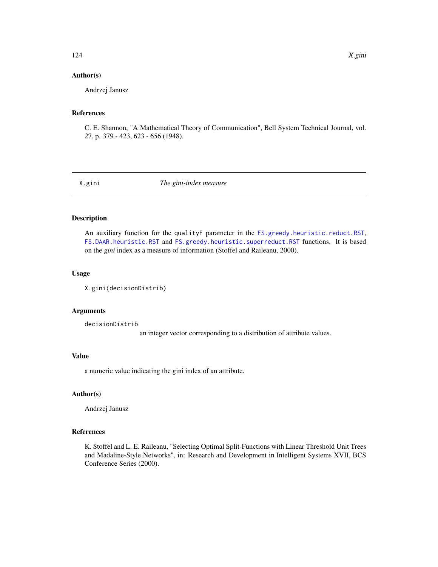Andrzej Janusz

#### References

C. E. Shannon, "A Mathematical Theory of Communication", Bell System Technical Journal, vol. 27, p. 379 - 423, 623 - 656 (1948).

X.gini *The gini-index measure*

# Description

An auxiliary function for the qualityF parameter in the [FS.greedy.heuristic.reduct.RST](#page-65-0), [FS.DAAR.heuristic.RST](#page-61-0) and [FS.greedy.heuristic.superreduct.RST](#page-67-0) functions. It is based on the *gini* index as a measure of information (Stoffel and Raileanu, 2000).

#### Usage

```
X.gini(decisionDistrib)
```
#### Arguments

decisionDistrib

an integer vector corresponding to a distribution of attribute values.

#### Value

a numeric value indicating the gini index of an attribute.

# Author(s)

Andrzej Janusz

#### References

K. Stoffel and L. E. Raileanu, "Selecting Optimal Split-Functions with Linear Threshold Unit Trees and Madaline-Style Networks", in: Research and Development in Intelligent Systems XVII, BCS Conference Series (2000).

<span id="page-123-0"></span>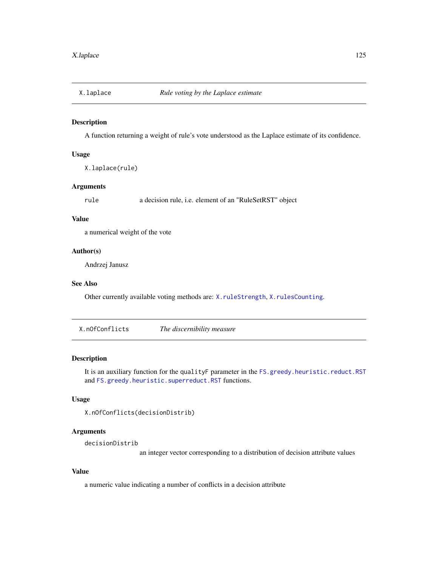<span id="page-124-1"></span><span id="page-124-0"></span>

# Description

A function returning a weight of rule's vote understood as the Laplace estimate of its confidence.

#### Usage

X.laplace(rule)

# Arguments

rule a decision rule, i.e. element of an "RuleSetRST" object

#### Value

a numerical weight of the vote

#### Author(s)

Andrzej Janusz

#### See Also

Other currently available voting methods are: [X.ruleStrength](#page-125-0), [X.rulesCounting](#page-125-1).

X.nOfConflicts *The discernibility measure*

# Description

It is an auxiliary function for the qualityF parameter in the [FS.greedy.heuristic.reduct.RST](#page-65-0) and [FS.greedy.heuristic.superreduct.RST](#page-67-0) functions.

# Usage

```
X.nOfConflicts(decisionDistrib)
```
# Arguments

decisionDistrib

an integer vector corresponding to a distribution of decision attribute values

# Value

a numeric value indicating a number of conflicts in a decision attribute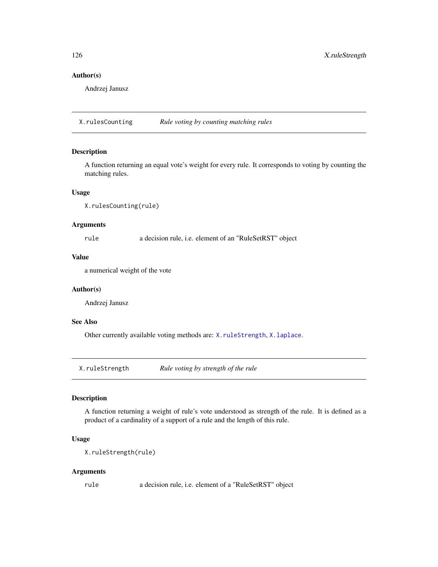Andrzej Janusz

<span id="page-125-1"></span>X.rulesCounting *Rule voting by counting matching rules*

# Description

A function returning an equal vote's weight for every rule. It corresponds to voting by counting the matching rules.

#### Usage

```
X.rulesCounting(rule)
```
# Arguments

rule a decision rule, i.e. element of an "RuleSetRST" object

# Value

a numerical weight of the vote

#### Author(s)

Andrzej Janusz

# See Also

Other currently available voting methods are: [X.ruleStrength](#page-125-0), [X.laplace](#page-124-0).

<span id="page-125-0"></span>X.ruleStrength *Rule voting by strength of the rule*

# Description

A function returning a weight of rule's vote understood as strength of the rule. It is defined as a product of a cardinality of a support of a rule and the length of this rule.

#### Usage

```
X.ruleStrength(rule)
```
#### Arguments

rule a decision rule, i.e. element of a "RuleSetRST" object

<span id="page-125-2"></span>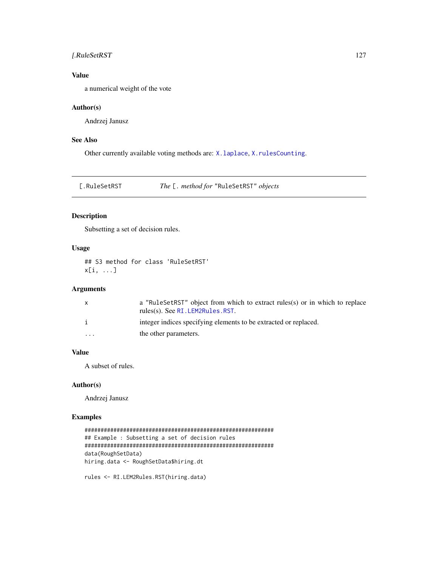# <span id="page-126-0"></span>[.RuleSetRST 127

# Value

a numerical weight of the vote

# Author(s)

Andrzej Janusz

# See Also

Other currently available voting methods are: [X.laplace](#page-124-0), [X.rulesCounting](#page-125-1).

[.RuleSetRST *The* [. *method for* "RuleSetRST" *objects*

# Description

Subsetting a set of decision rules.

# Usage

## S3 method for class 'RuleSetRST' x[i, ...]

# Arguments

| a "RuleSetRST" object from which to extract rules(s) or in which to replace |
|-----------------------------------------------------------------------------|
|                                                                             |
|                                                                             |
|                                                                             |

# Value

A subset of rules.

#### Author(s)

Andrzej Janusz

# Examples

```
###########################################################
## Example : Subsetting a set of decision rules
###########################################################
data(RoughSetData)
hiring.data <- RoughSetData$hiring.dt
```
rules <- RI.LEM2Rules.RST(hiring.data)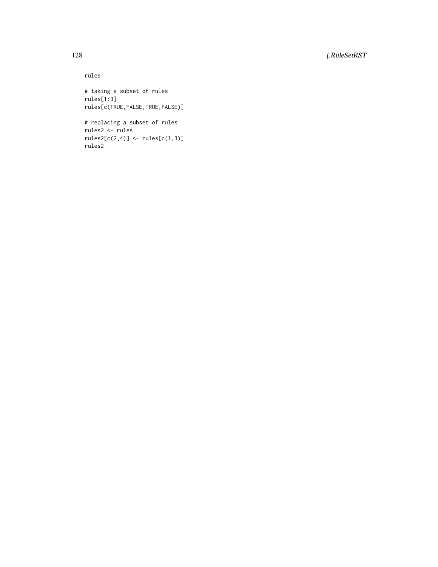128 [.RuleSetRST

rules # taking a subset of rules rules[1:3] rules[c(TRUE,FALSE,TRUE,FALSE)]

# replacing a subset of rules rules2 <- rules  $rules2[c(2,4)] \leftarrow rules[c(1,3)]$ rules2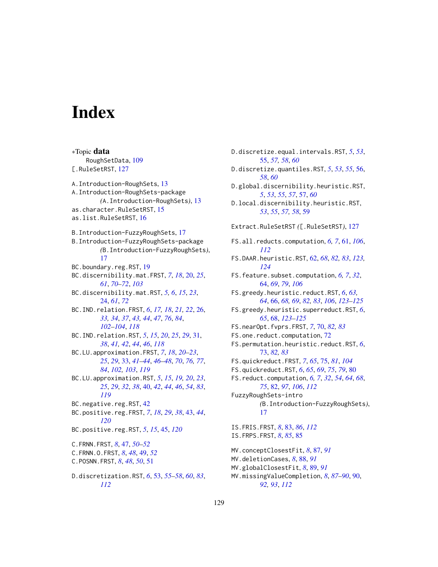# **Index**

∗Topic data

RoughSetData, [109](#page-108-0) [.RuleSetRST, [127](#page-126-0) A.Introduction-RoughSets, [13](#page-12-0) A.Introduction-RoughSets-package *(*A.Introduction-RoughSets*)*, [13](#page-12-0) as.character.RuleSetRST, [15](#page-14-0) as.list.RuleSetRST, [16](#page-15-0) B.Introduction-FuzzyRoughSets, [17](#page-16-0) B.Introduction-FuzzyRoughSets-package *(*B.Introduction-FuzzyRoughSets*)*, [17](#page-16-0) BC.boundary.reg.RST, [19](#page-18-0) BC.discernibility.mat.FRST, *[7](#page-6-0)*, *[18](#page-17-0)*, [20,](#page-19-0) *[25](#page-24-0)*, *[61](#page-60-1)*, *[70](#page-69-0)[–72](#page-71-0)*, *[103](#page-102-0)* BC.discernibility.mat.RST, *[5,](#page-4-0) [6](#page-5-0)*, *[15](#page-14-0)*, *[23](#page-22-0)*, [24,](#page-23-0) *[61](#page-60-1)*, *[72](#page-71-0)* BC.IND.relation.FRST, *[6](#page-5-0)*, *[17,](#page-16-0) [18](#page-17-0)*, *[21,](#page-20-0) [22](#page-21-0)*, [26,](#page-25-1) *[33,](#page-32-1) [34](#page-33-0)*, *[37](#page-36-0)*, *[43,](#page-42-1) [44](#page-43-0)*, *[47](#page-46-0)*, *[76](#page-75-0)*, *[84](#page-83-0)*, *[102](#page-101-1)[–104](#page-103-1)*, *[118](#page-117-0)* BC.IND.relation.RST, *[5](#page-4-0)*, *[15](#page-14-0)*, *[20](#page-19-0)*, *[25](#page-24-0)*, *[29](#page-28-0)*, [31,](#page-30-1) *[38](#page-37-0)*, *[41,](#page-40-0) [42](#page-41-0)*, *[44](#page-43-0)*, *[46](#page-45-0)*, *[118](#page-117-0)* BC.LU.approximation.FRST, *[7](#page-6-0)*, *[18](#page-17-0)*, *[20–](#page-19-0)[23](#page-22-0)*, *[25](#page-24-0)*, *[29](#page-28-0)*, [33,](#page-32-1) *[41–](#page-40-0)[44](#page-43-0)*, *[46–](#page-45-0)[48](#page-47-0)*, *[70](#page-69-0)*, *[76,](#page-75-0) [77](#page-76-0)*, *[84](#page-83-0)*, *[102,](#page-101-1) [103](#page-102-0)*, *[119](#page-118-0)* BC.LU.approximation.RST, *[5](#page-4-0)*, *[15](#page-14-0)*, *[19,](#page-18-0) [20](#page-19-0)*, *[23](#page-22-0)*, *[25](#page-24-0)*, *[29](#page-28-0)*, *[32](#page-31-0)*, *[38](#page-37-0)*, [40,](#page-39-1) *[42](#page-41-0)*, *[44](#page-43-0)*, *[46](#page-45-0)*, *[54](#page-53-0)*, *[83](#page-82-1)*, *[119](#page-118-0)* BC.negative.reg.RST, [42](#page-41-0) BC.positive.reg.FRST, *[7](#page-6-0)*, *[18](#page-17-0)*, *[29](#page-28-0)*, *[38](#page-37-0)*, [43,](#page-42-1) *[44](#page-43-0)*, *[120](#page-119-0)* BC.positive.reg.RST, *[5](#page-4-0)*, *[15](#page-14-0)*, [45,](#page-44-1) *[120](#page-119-0)* C.FRNN.FRST, *[8](#page-7-0)*, [47,](#page-46-0) *[50–](#page-49-0)[52](#page-51-0)* C.FRNN.O.FRST, *[8](#page-7-0)*, *[48](#page-47-0)*, [49,](#page-48-0) *[52](#page-51-0)* C.POSNN.FRST, *[8](#page-7-0)*, *[48](#page-47-0)*, *[50](#page-49-0)*, [51](#page-50-0) D.discretization.RST, *[6](#page-5-0)*, [53,](#page-52-1) *[55–](#page-54-0)[58](#page-57-0)*, *[60](#page-59-0)*, *[83](#page-82-1)*, *[112](#page-111-1)*

D.discretize.equal.intervals.RST, *[5](#page-4-0)*, *[53](#page-52-1)*, [55,](#page-54-0) *[57,](#page-56-0) [58](#page-57-0)*, *[60](#page-59-0)* D.discretize.quantiles.RST, *[5](#page-4-0)*, *[53](#page-52-1)*, *[55](#page-54-0)*, [56,](#page-55-0) *[58](#page-57-0)*, *[60](#page-59-0)* D.global.discernibility.heuristic.RST, *[5](#page-4-0)*, *[53](#page-52-1)*, *[55](#page-54-0)*, *[57](#page-56-0)*, [57,](#page-56-0) *[60](#page-59-0)* D.local.discernibility.heuristic.RST, *[53](#page-52-1)*, *[55](#page-54-0)*, *[57,](#page-56-0) [58](#page-57-0)*, [59](#page-58-0) Extract.RuleSetRST *(*[.RuleSetRST*)*, [127](#page-126-0) FS.all.reducts.computation, *[6,](#page-5-0) [7](#page-6-0)*, [61,](#page-60-1) *[106](#page-105-0)*, *[112](#page-111-1)* FS.DAAR.heuristic.RST, [62,](#page-61-1) *[68](#page-67-1)*, *[82,](#page-81-1) [83](#page-82-1)*, *[123,](#page-122-0) [124](#page-123-0)* FS.feature.subset.computation, *[6,](#page-5-0) [7](#page-6-0)*, *[32](#page-31-0)*, [64,](#page-63-0) *[69](#page-68-0)*, *[79](#page-78-0)*, *[106](#page-105-0)* FS.greedy.heuristic.reduct.RST, *[6](#page-5-0)*, *[63,](#page-62-0) [64](#page-63-0)*, [66,](#page-65-1) *[68,](#page-67-1) [69](#page-68-0)*, *[82,](#page-81-1) [83](#page-82-1)*, *[106](#page-105-0)*, *[123](#page-122-0)[–125](#page-124-1)* FS.greedy.heuristic.superreduct.RST, *[6](#page-5-0)*, *[65](#page-64-0)*, [68,](#page-67-1) *[123](#page-122-0)[–125](#page-124-1)* FS.nearOpt.fvprs.FRST, *[7](#page-6-0)*, [70,](#page-69-0) *[82,](#page-81-1) [83](#page-82-1)* FS.one.reduct.computation, [72](#page-71-0) FS.permutation.heuristic.reduct.RST, *[6](#page-5-0)*, [73,](#page-72-0) *[82,](#page-81-1) [83](#page-82-1)* FS.quickreduct.FRST, *[7](#page-6-0)*, *[65](#page-64-0)*, [75,](#page-74-0) *[81](#page-80-0)*, *[104](#page-103-1)* FS.quickreduct.RST, *[6](#page-5-0)*, *[65](#page-64-0)*, *[69](#page-68-0)*, *[75](#page-74-0)*, *[79](#page-78-0)*, [80](#page-79-0) FS.reduct.computation, *[6,](#page-5-0) [7](#page-6-0)*, *[32](#page-31-0)*, *[54](#page-53-0)*, *[64](#page-63-0)*, *[68](#page-67-1)*, *[75](#page-74-0)*, [82,](#page-81-1) *[97](#page-96-0)*, *[106](#page-105-0)*, *[112](#page-111-1)* FuzzyRoughSets-intro *(*B.Introduction-FuzzyRoughSets*)*, [17](#page-16-0) IS.FRIS.FRST, *[8](#page-7-0)*, [83,](#page-82-1) *[86](#page-85-0)*, *[112](#page-111-1)* IS.FRPS.FRST, *[8](#page-7-0)*, *[85](#page-84-0)*, [85](#page-84-0) MV.conceptClosestFit, *[8](#page-7-0)*, [87,](#page-86-0) *[91](#page-90-0)* MV.deletionCases, *[8](#page-7-0)*, [88,](#page-87-0) *[91](#page-90-0)* MV.globalClosestFit, *[8](#page-7-0)*, [89,](#page-88-0) *[91](#page-90-0)* MV.missingValueCompletion, *[8](#page-7-0)*, *[87](#page-86-0)[–90](#page-89-1)*, [90,](#page-89-1)

*[92,](#page-91-0) [93](#page-92-0)*, *[112](#page-111-1)*